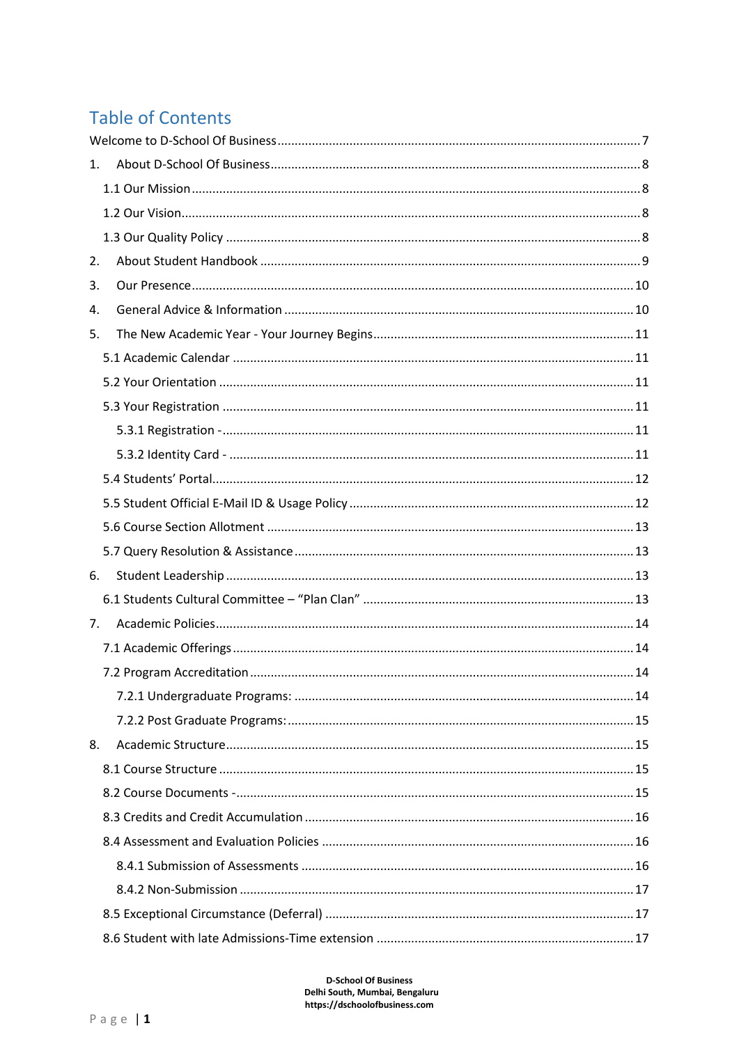# **Table of Contents**

| 1. |  |
|----|--|
|    |  |
|    |  |
|    |  |
| 2. |  |
| 3. |  |
| 4. |  |
| 5. |  |
|    |  |
|    |  |
|    |  |
|    |  |
|    |  |
|    |  |
|    |  |
|    |  |
|    |  |
| 6. |  |
|    |  |
| 7. |  |
|    |  |
|    |  |
|    |  |
|    |  |
| 8. |  |
|    |  |
|    |  |
|    |  |
|    |  |
|    |  |
|    |  |
|    |  |
|    |  |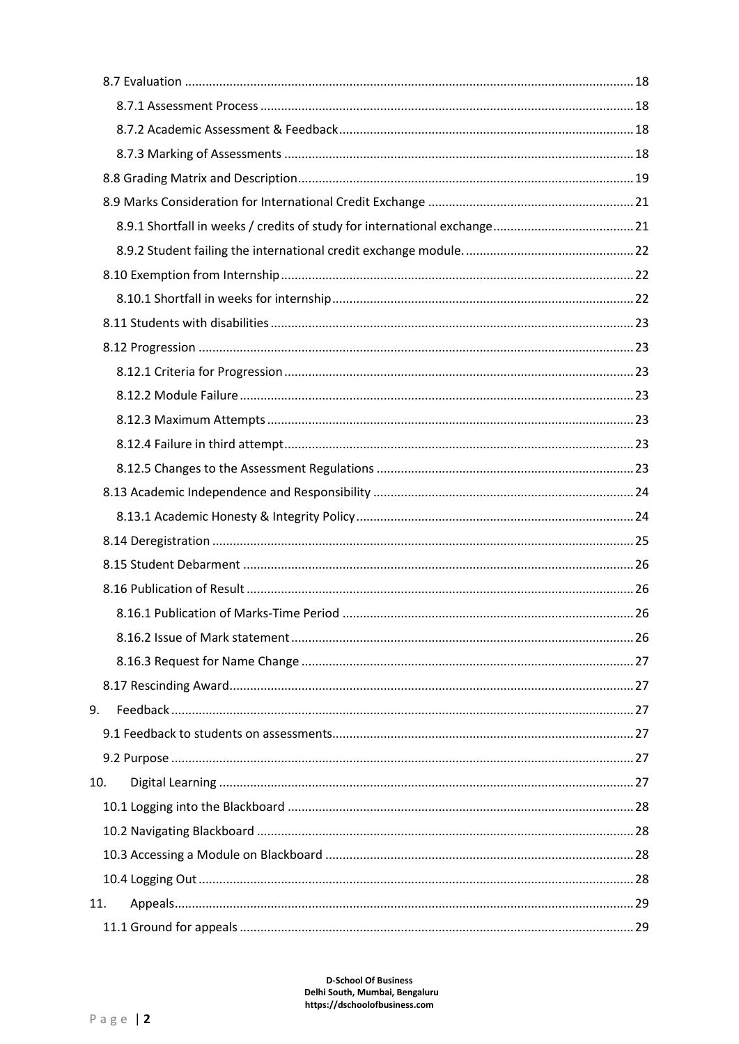| 9.  |  |
|-----|--|
|     |  |
|     |  |
| 10. |  |
|     |  |
|     |  |
|     |  |
|     |  |
| 11. |  |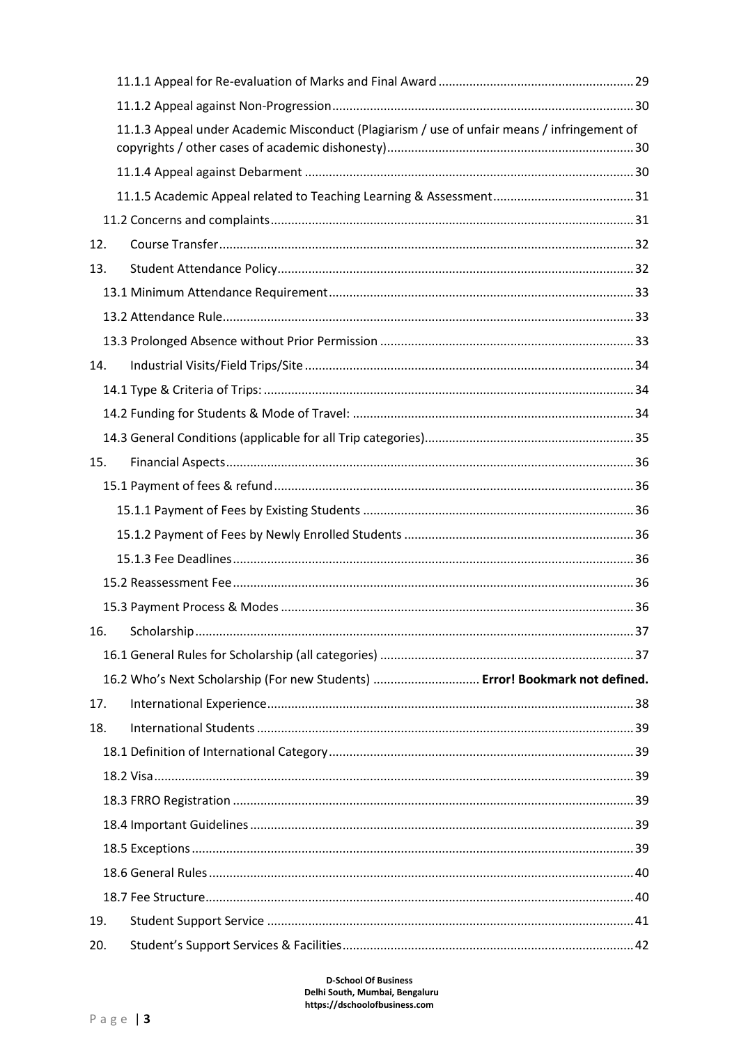|     | 11.1.3 Appeal under Academic Misconduct (Plagiarism / use of unfair means / infringement of |  |
|-----|---------------------------------------------------------------------------------------------|--|
|     |                                                                                             |  |
|     |                                                                                             |  |
|     |                                                                                             |  |
| 12. |                                                                                             |  |
| 13. |                                                                                             |  |
|     |                                                                                             |  |
|     |                                                                                             |  |
|     |                                                                                             |  |
| 14. |                                                                                             |  |
|     |                                                                                             |  |
|     |                                                                                             |  |
|     |                                                                                             |  |
| 15. |                                                                                             |  |
|     |                                                                                             |  |
|     |                                                                                             |  |
|     |                                                                                             |  |
|     |                                                                                             |  |
|     |                                                                                             |  |
|     |                                                                                             |  |
| 16. |                                                                                             |  |
|     |                                                                                             |  |
|     | 16.2 Who's Next Scholarship (For new Students)  Error! Bookmark not defined.                |  |
| 17. |                                                                                             |  |
| 18. |                                                                                             |  |
|     |                                                                                             |  |
|     |                                                                                             |  |
|     |                                                                                             |  |
|     |                                                                                             |  |
|     |                                                                                             |  |
|     |                                                                                             |  |
|     |                                                                                             |  |
| 19. |                                                                                             |  |
| 20. |                                                                                             |  |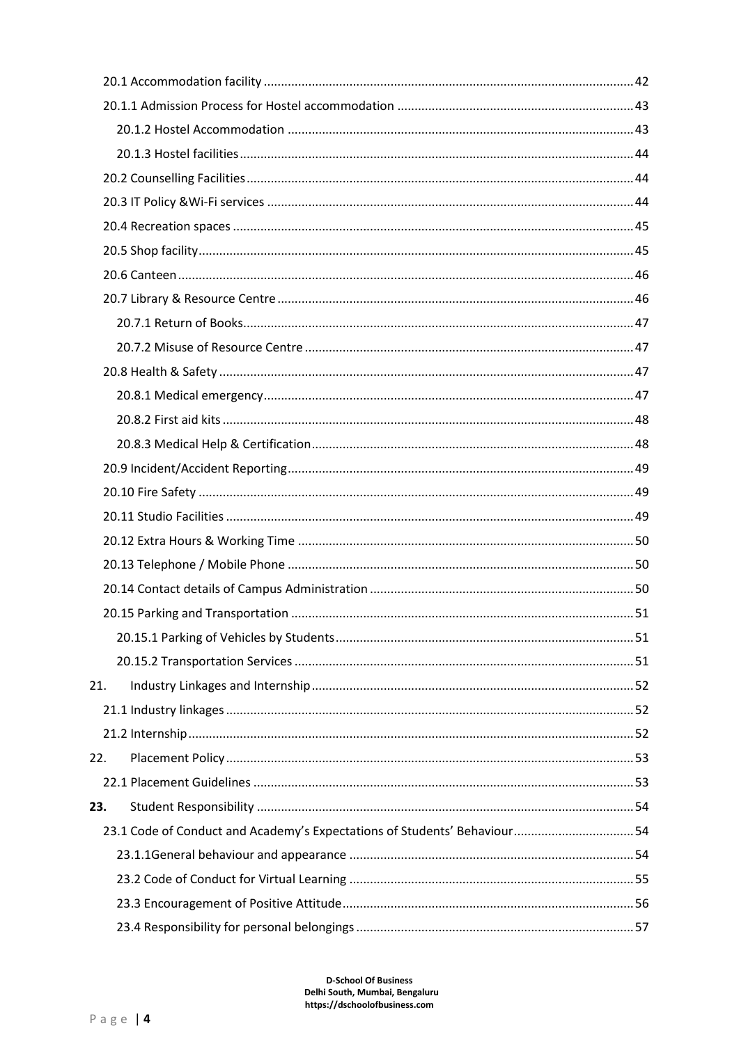| 21. |                                                                           |  |
|-----|---------------------------------------------------------------------------|--|
|     |                                                                           |  |
|     |                                                                           |  |
| 22. |                                                                           |  |
|     |                                                                           |  |
| 23. |                                                                           |  |
|     | 23.1 Code of Conduct and Academy's Expectations of Students' Behaviour 54 |  |
|     |                                                                           |  |
|     |                                                                           |  |
|     |                                                                           |  |
|     |                                                                           |  |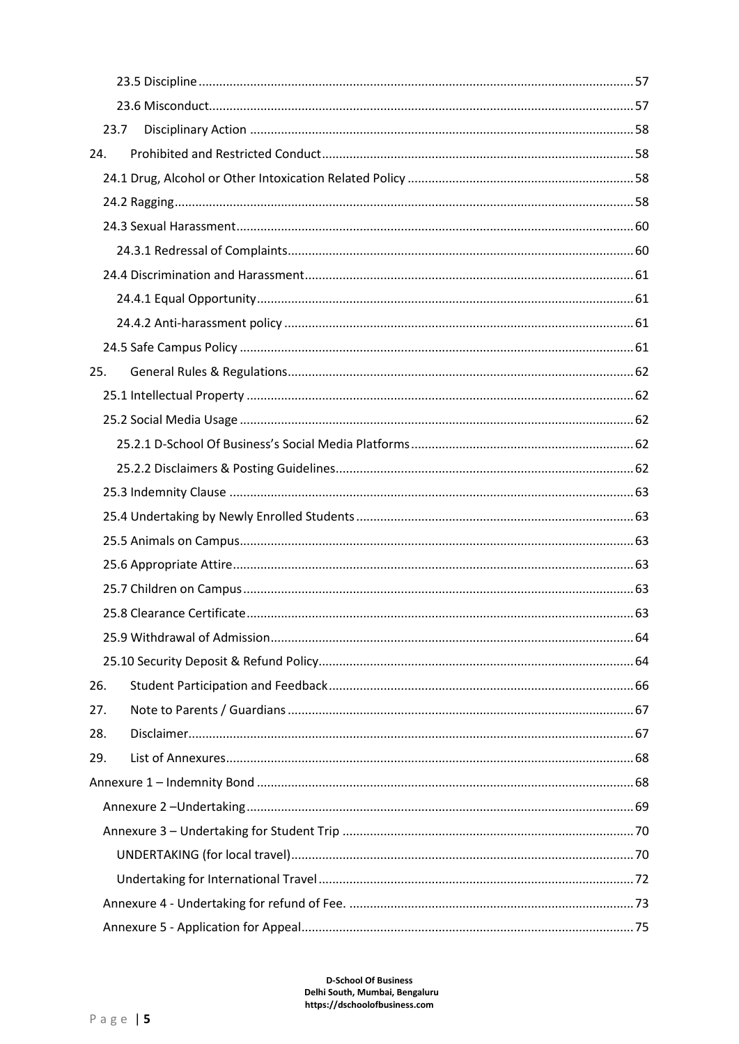|     | 23.7 |  |
|-----|------|--|
| 24. |      |  |
|     |      |  |
|     |      |  |
|     |      |  |
|     |      |  |
|     |      |  |
|     |      |  |
|     |      |  |
|     |      |  |
| 25. |      |  |
|     |      |  |
|     |      |  |
|     |      |  |
|     |      |  |
|     |      |  |
|     |      |  |
|     |      |  |
|     |      |  |
|     |      |  |
|     |      |  |
|     |      |  |
|     |      |  |
| 26. |      |  |
| 27. |      |  |
| 28. |      |  |
| 29. |      |  |
|     |      |  |
|     |      |  |
|     |      |  |
|     |      |  |
|     |      |  |
|     |      |  |
|     |      |  |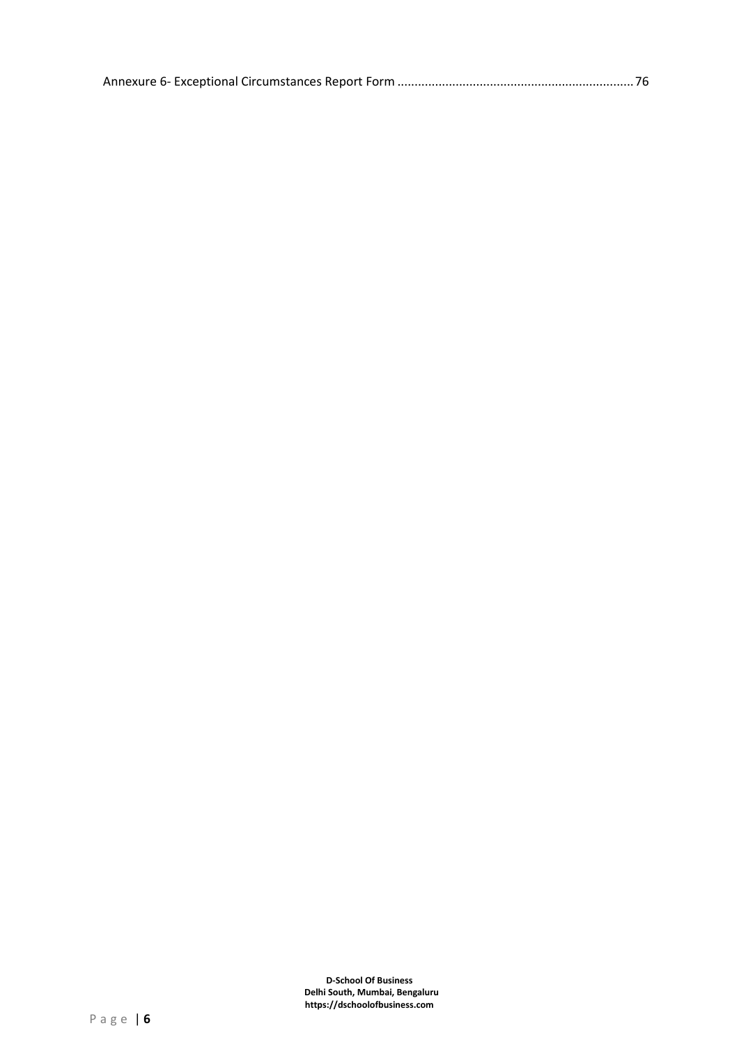|--|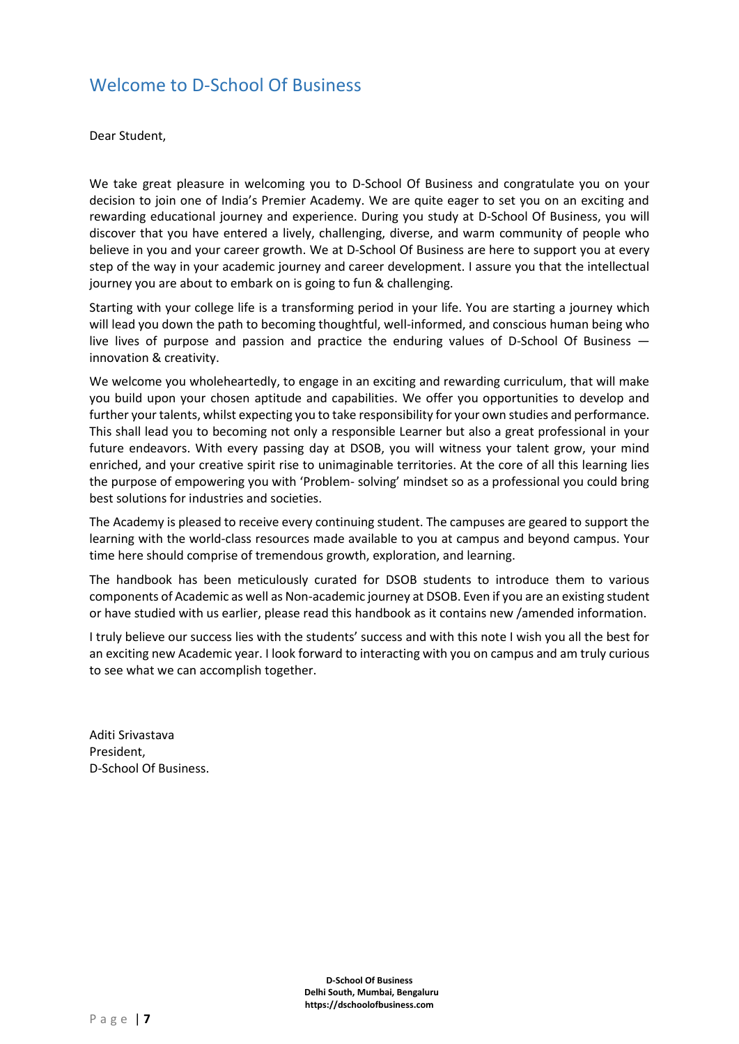## <span id="page-6-0"></span>Welcome to D-School Of Business

Dear Student,

We take great pleasure in welcoming you to D-School Of Business and congratulate you on your decision to join one of India's Premier Academy. We are quite eager to set you on an exciting and rewarding educational journey and experience. During you study at D-School Of Business, you will discover that you have entered a lively, challenging, diverse, and warm community of people who believe in you and your career growth. We at D-School Of Business are here to support you at every step of the way in your academic journey and career development. I assure you that the intellectual journey you are about to embark on is going to fun & challenging.

Starting with your college life is a transforming period in your life. You are starting a journey which will lead you down the path to becoming thoughtful, well-informed, and conscious human being who live lives of purpose and passion and practice the enduring values of D-School Of Business innovation & creativity.

We welcome you wholeheartedly, to engage in an exciting and rewarding curriculum, that will make you build upon your chosen aptitude and capabilities. We offer you opportunities to develop and further your talents, whilst expecting you to take responsibility for your own studies and performance. This shall lead you to becoming not only a responsible Learner but also a great professional in your future endeavors. With every passing day at DSOB, you will witness your talent grow, your mind enriched, and your creative spirit rise to unimaginable territories. At the core of all this learning lies the purpose of empowering you with 'Problem- solving' mindset so as a professional you could bring best solutions for industries and societies.

The Academy is pleased to receive every continuing student. The campuses are geared to support the learning with the world-class resources made available to you at campus and beyond campus. Your time here should comprise of tremendous growth, exploration, and learning.

The handbook has been meticulously curated for DSOB students to introduce them to various components of Academic as well as Non-academic journey at DSOB. Even if you are an existing student or have studied with us earlier, please read this handbook as it contains new /amended information.

I truly believe our success lies with the students' success and with this note I wish you all the best for an exciting new Academic year. I look forward to interacting with you on campus and am truly curious to see what we can accomplish together.

Aditi Srivastava President, D-School Of Business.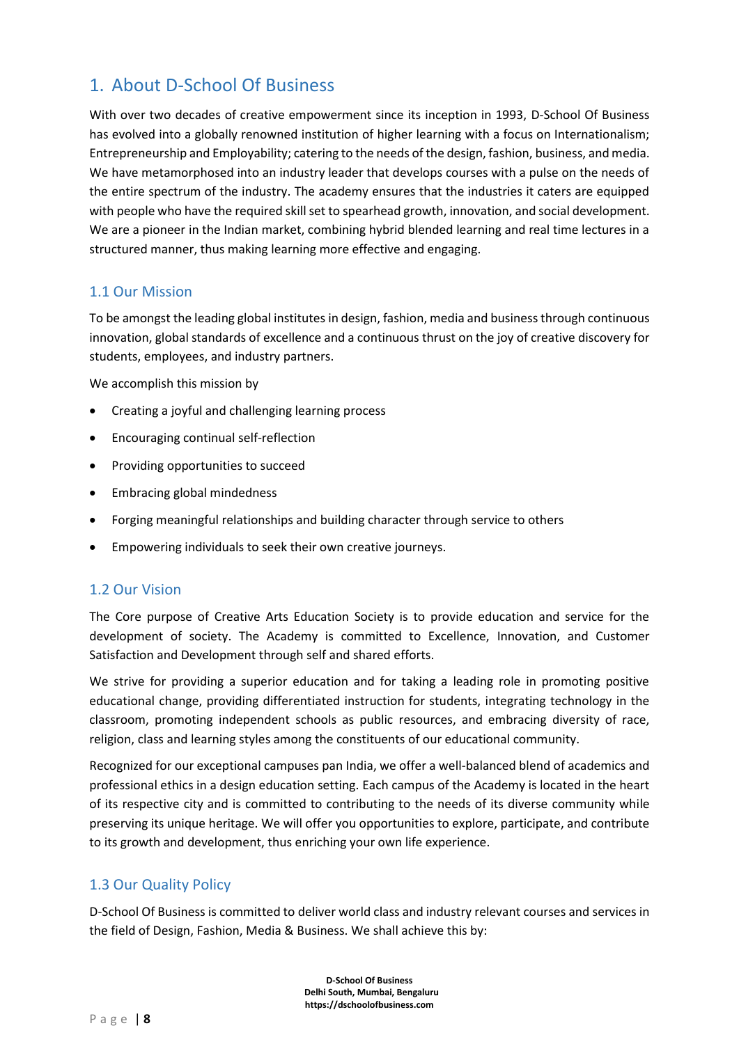# <span id="page-7-0"></span>1. About D-School Of Business

With over two decades of creative empowerment since its inception in 1993, D-School Of Business has evolved into a globally renowned institution of higher learning with a focus on Internationalism; Entrepreneurship and Employability; catering to the needs of the design, fashion, business, and media. We have metamorphosed into an industry leader that develops courses with a pulse on the needs of the entire spectrum of the industry. The academy ensures that the industries it caters are equipped with people who have the required skill set to spearhead growth, innovation, and social development. We are a pioneer in the Indian market, combining hybrid blended learning and real time lectures in a structured manner, thus making learning more effective and engaging.

#### <span id="page-7-1"></span>1.1 Our Mission

To be amongst the leading global institutes in design, fashion, media and business through continuous innovation, global standards of excellence and a continuous thrust on the joy of creative discovery for students, employees, and industry partners.

We accomplish this mission by

- Creating a joyful and challenging learning process
- Encouraging continual self-reflection
- Providing opportunities to succeed
- Embracing global mindedness
- Forging meaningful relationships and building character through service to others
- Empowering individuals to seek their own creative journeys.

#### <span id="page-7-2"></span>1.2 Our Vision

The Core purpose of Creative Arts Education Society is to provide education and service for the development of society. The Academy is committed to Excellence, Innovation, and Customer Satisfaction and Development through self and shared efforts.

We strive for providing a superior education and for taking a leading role in promoting positive educational change, providing differentiated instruction for students, integrating technology in the classroom, promoting independent schools as public resources, and embracing diversity of race, religion, class and learning styles among the constituents of our educational community.

Recognized for our exceptional campuses pan India, we offer a well-balanced blend of academics and professional ethics in a design education setting. Each campus of the Academy is located in the heart of its respective city and is committed to contributing to the needs of its diverse community while preserving its unique heritage. We will offer you opportunities to explore, participate, and contribute to its growth and development, thus enriching your own life experience.

## <span id="page-7-3"></span>1.3 Our Quality Policy

D-School Of Business is committed to deliver world class and industry relevant courses and services in the field of Design, Fashion, Media & Business. We shall achieve this by: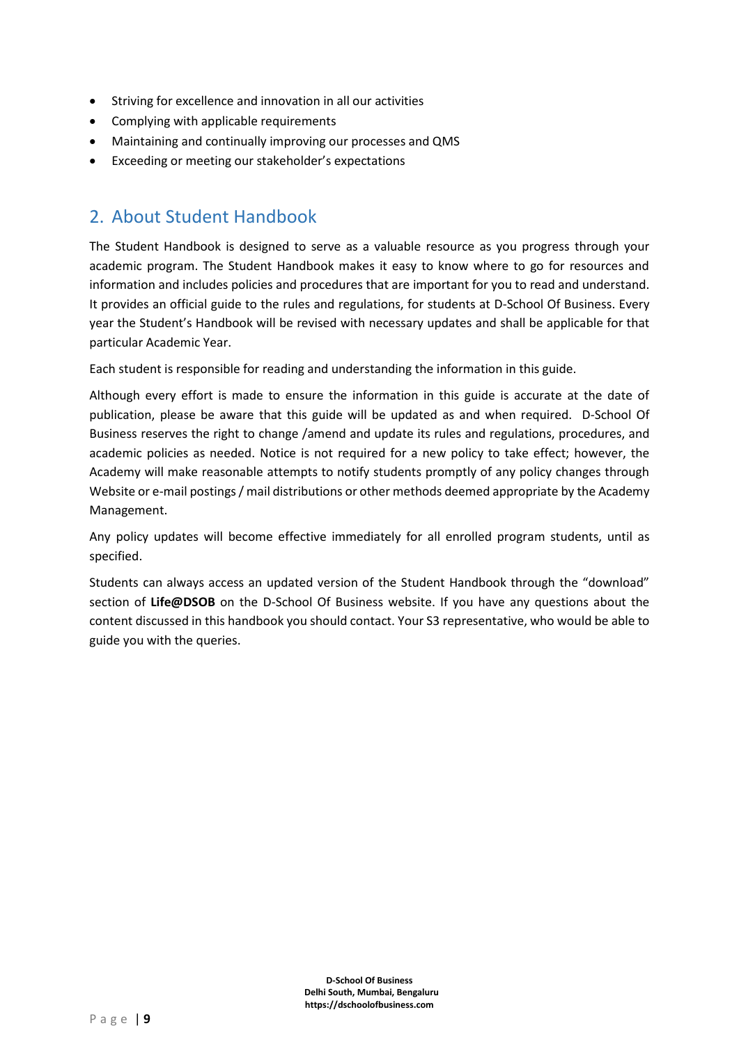- Striving for excellence and innovation in all our activities
- Complying with applicable requirements
- Maintaining and continually improving our processes and QMS
- Exceeding or meeting our stakeholder's expectations

## <span id="page-8-0"></span>2. About Student Handbook

The Student Handbook is designed to serve as a valuable resource as you progress through your academic program. The Student Handbook makes it easy to know where to go for resources and information and includes policies and procedures that are important for you to read and understand. It provides an official guide to the rules and regulations, for students at D-School Of Business. Every year the Student's Handbook will be revised with necessary updates and shall be applicable for that particular Academic Year.

Each student is responsible for reading and understanding the information in this guide.

Although every effort is made to ensure the information in this guide is accurate at the date of publication, please be aware that this guide will be updated as and when required. D-School Of Business reserves the right to change /amend and update its rules and regulations, procedures, and academic policies as needed. Notice is not required for a new policy to take effect; however, the Academy will make reasonable attempts to notify students promptly of any policy changes through Website or e-mail postings / mail distributions or other methods deemed appropriate by the Academy Management.

Any policy updates will become effective immediately for all enrolled program students, until as specified.

Students can always access an updated version of the Student Handbook through the "download" section of **Life@DSOB** on the D-School Of Business website. If you have any questions about the content discussed in this handbook you should contact. Your S3 representative, who would be able to guide you with the queries.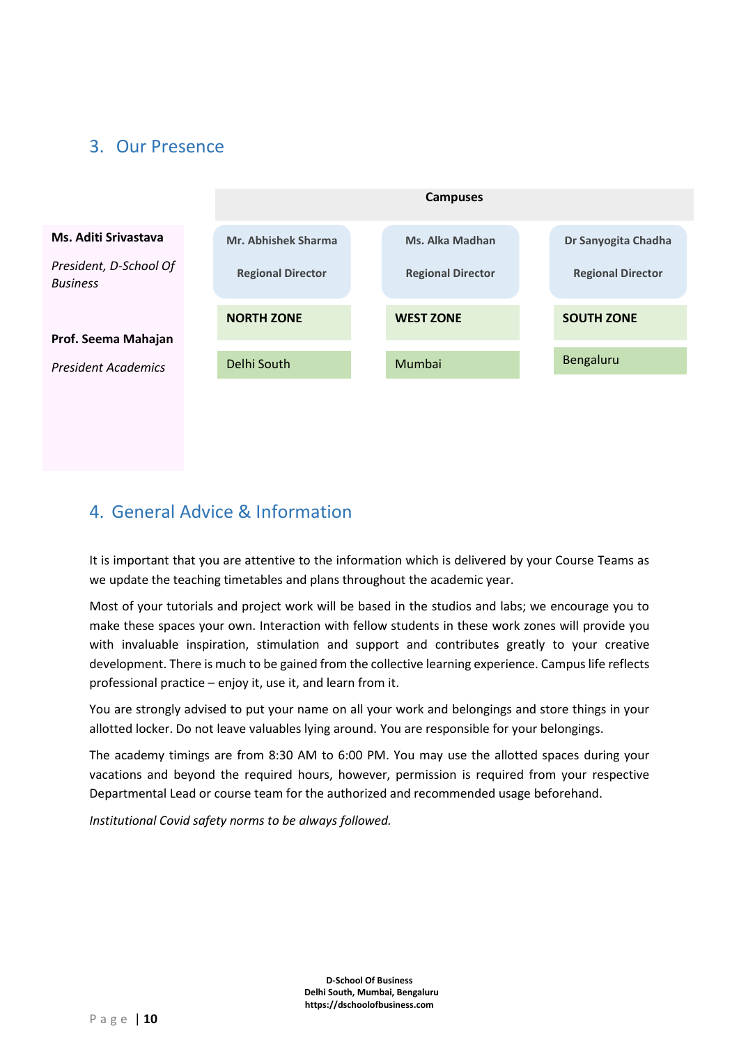# <span id="page-9-0"></span>3. Our Presence



# <span id="page-9-1"></span>4. General Advice & Information

It is important that you are attentive to the information which is delivered by your Course Teams as we update the teaching timetables and plans throughout the academic year.

Most of your tutorials and project work will be based in the studios and labs; we encourage you to make these spaces your own. Interaction with fellow students in these work zones will provide you with invaluable inspiration, stimulation and support and contributes greatly to your creative development. There is much to be gained from the collective learning experience. Campus life reflects professional practice – enjoy it, use it, and learn from it.

You are strongly advised to put your name on all your work and belongings and store things in your allotted locker. Do not leave valuables lying around. You are responsible for your belongings.

The academy timings are from 8:30 AM to 6:00 PM. You may use the allotted spaces during your vacations and beyond the required hours, however, permission is required from your respective Departmental Lead or course team for the authorized and recommended usage beforehand.

*Institutional Covid safety norms to be always followed.*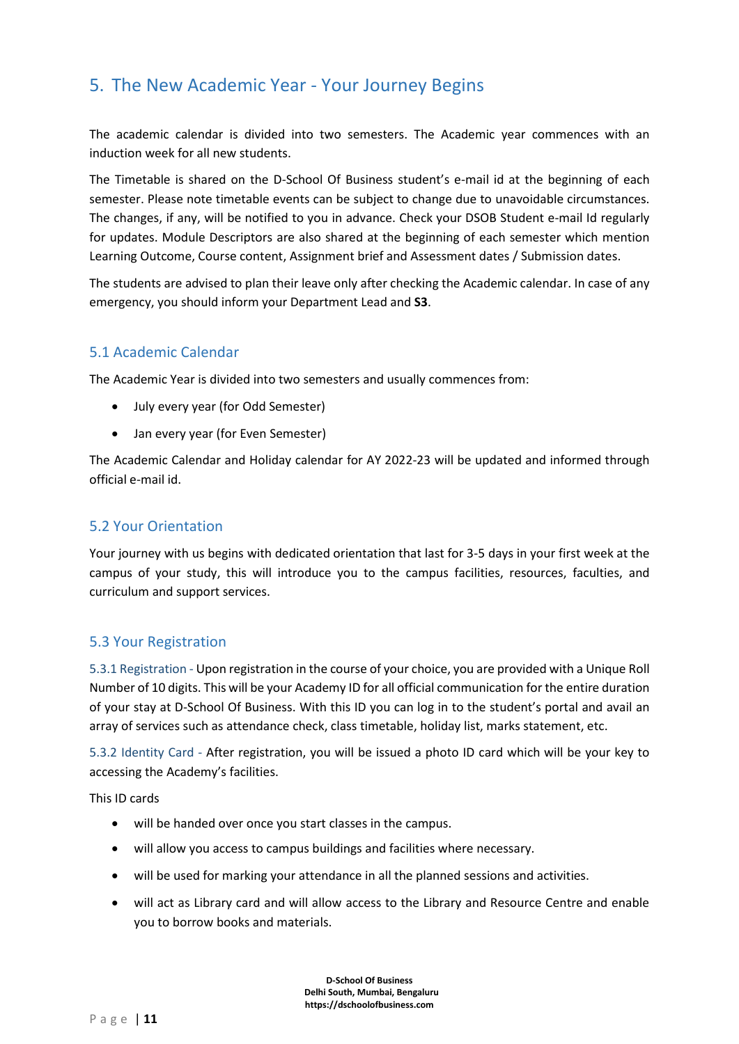# <span id="page-10-0"></span>5. The New Academic Year - Your Journey Begins

The academic calendar is divided into two semesters. The Academic year commences with an induction week for all new students.

The Timetable is shared on the D-School Of Business student's e-mail id at the beginning of each semester. Please note timetable events can be subject to change due to unavoidable circumstances. The changes, if any, will be notified to you in advance. Check your DSOB Student e-mail Id regularly for updates. Module Descriptors are also shared at the beginning of each semester which mention Learning Outcome, Course content, Assignment brief and Assessment dates / Submission dates.

The students are advised to plan their leave only after checking the Academic calendar. In case of any emergency, you should inform your Department Lead and **S3**.

## <span id="page-10-1"></span>5.1 Academic Calendar

The Academic Year is divided into two semesters and usually commences from:

- July every year (for Odd Semester)
- Jan every year (for Even Semester)

The Academic Calendar and Holiday calendar for AY 2022-23 will be updated and informed through official e-mail id.

## <span id="page-10-2"></span>5.2 Your Orientation

Your journey with us begins with dedicated orientation that last for 3-5 days in your first week at the campus of your study, this will introduce you to the campus facilities, resources, faculties, and curriculum and support services.

## <span id="page-10-3"></span>5.3 Your Registration

<span id="page-10-4"></span>5.3.1 Registration - Upon registration in the course of your choice, you are provided with a Unique Roll Number of 10 digits. This will be your Academy ID for all official communication for the entire duration of your stay at D-School Of Business. With this ID you can log in to the student's portal and avail an array of services such as attendance check, class timetable, holiday list, marks statement, etc.

<span id="page-10-5"></span>5.3.2 Identity Card - After registration, you will be issued a photo ID card which will be your key to accessing the Academy's facilities.

This ID cards

- will be handed over once you start classes in the campus.
- will allow you access to campus buildings and facilities where necessary.
- will be used for marking your attendance in all the planned sessions and activities.
- will act as Library card and will allow access to the Library and Resource Centre and enable you to borrow books and materials.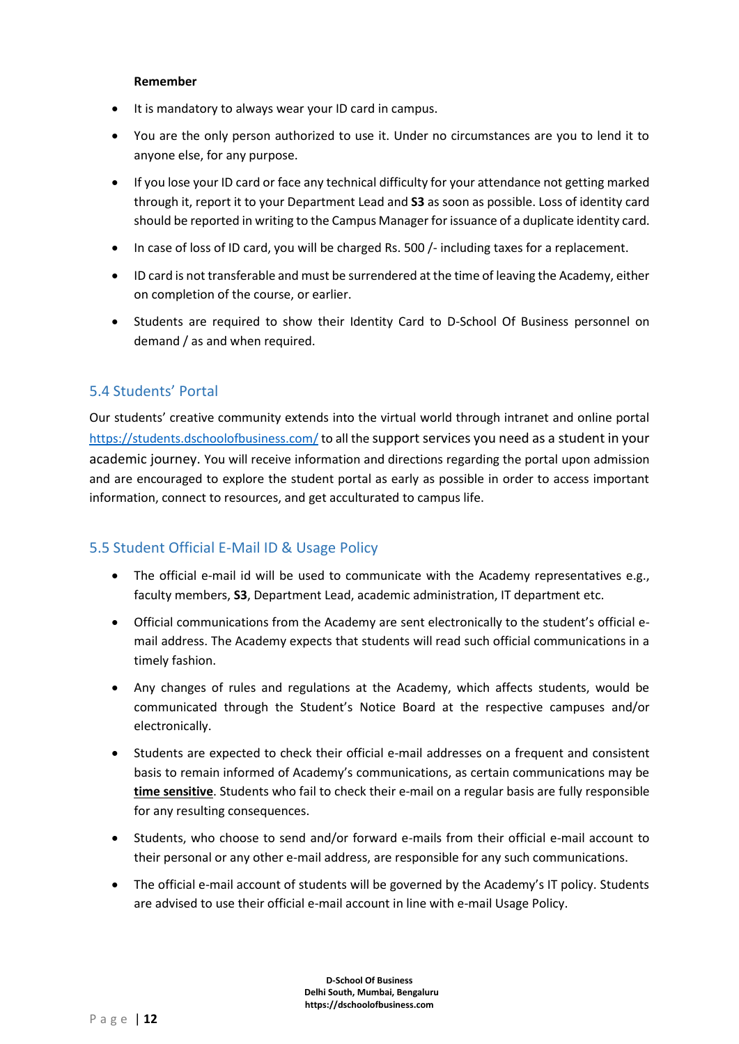#### **Remember**

- It is mandatory to always wear your ID card in campus.
- You are the only person authorized to use it. Under no circumstances are you to lend it to anyone else, for any purpose.
- If you lose your ID card or face any technical difficulty for your attendance not getting marked through it, report it to your Department Lead and **S3** as soon as possible. Loss of identity card should be reported in writing to the Campus Manager for issuance of a duplicate identity card.
- In case of loss of ID card, you will be charged Rs. 500 /- including taxes for a replacement.
- ID card is not transferable and must be surrendered at the time of leaving the Academy, either on completion of the course, or earlier.
- Students are required to show their Identity Card to D-School Of Business personnel on demand / as and when required.

## <span id="page-11-0"></span>5.4 Students' Portal

Our students' creative community extends into the virtual world through intranet and online portal <https://students.dschoolofbusiness.com/> to all the support services you need as a student in your academic journey. You will receive information and directions regarding the portal upon admission and are encouraged to explore the student portal as early as possible in order to access important information, connect to resources, and get acculturated to campus life.

## <span id="page-11-1"></span>5.5 Student Official E-Mail ID & Usage Policy

- The official e-mail id will be used to communicate with the Academy representatives e.g., faculty members, **S3**, Department Lead, academic administration, IT department etc.
- Official communications from the Academy are sent electronically to the student's official email address. The Academy expects that students will read such official communications in a timely fashion.
- Any changes of rules and regulations at the Academy, which affects students, would be communicated through the Student's Notice Board at the respective campuses and/or electronically.
- Students are expected to check their official e-mail addresses on a frequent and consistent basis to remain informed of Academy's communications, as certain communications may be **time sensitive**. Students who fail to check their e-mail on a regular basis are fully responsible for any resulting consequences.
- Students, who choose to send and/or forward e-mails from their official e-mail account to their personal or any other e-mail address, are responsible for any such communications.
- The official e-mail account of students will be governed by the Academy's IT policy. Students are advised to use their official e-mail account in line with e-mail Usage Policy.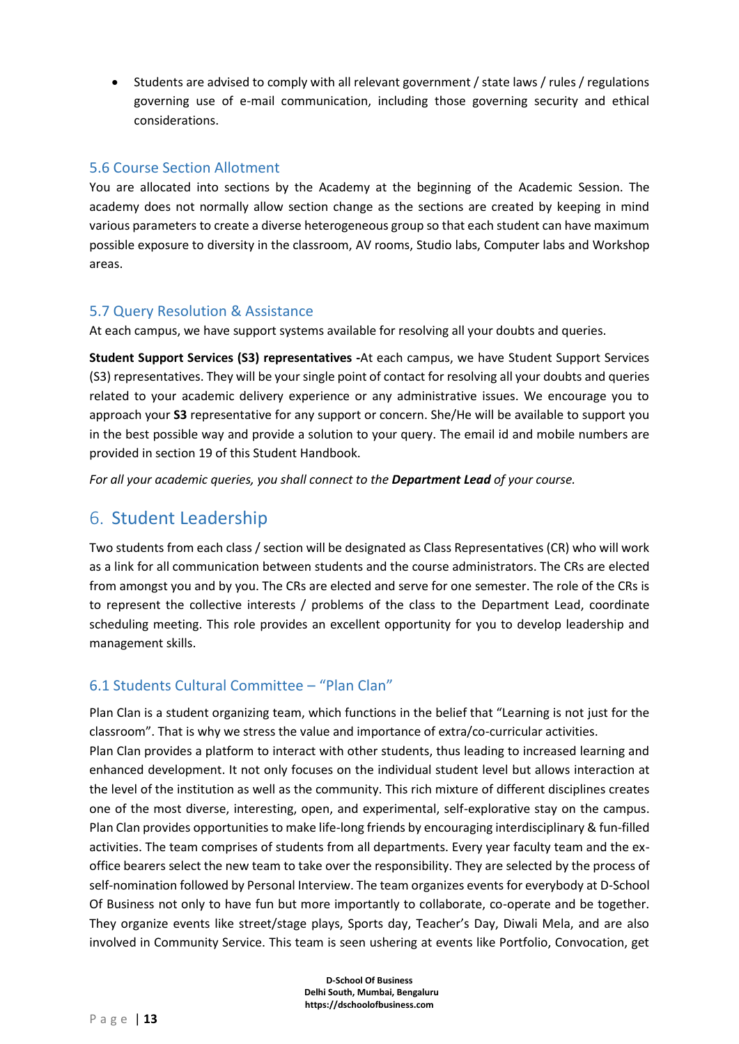• Students are advised to comply with all relevant government / state laws / rules / regulations governing use of e-mail communication, including those governing security and ethical considerations.

#### <span id="page-12-0"></span>5.6 Course Section Allotment

You are allocated into sections by the Academy at the beginning of the Academic Session. The academy does not normally allow section change as the sections are created by keeping in mind various parameters to create a diverse heterogeneous group so that each student can have maximum possible exposure to diversity in the classroom, AV rooms, Studio labs, Computer labs and Workshop areas.

#### <span id="page-12-1"></span>5.7 Query Resolution & Assistance

At each campus, we have support systems available for resolving all your doubts and queries.

**Student Support Services (S3) representatives -**At each campus, we have Student Support Services (S3) representatives. They will be your single point of contact for resolving all your doubts and queries related to your academic delivery experience or any administrative issues. We encourage you to approach your **S3** representative for any support or concern. She/He will be available to support you in the best possible way and provide a solution to your query. The email id and mobile numbers are provided in section 19 of this Student Handbook.

<span id="page-12-2"></span>*For all your academic queries, you shall connect to the Department Lead of your course.*

## 6. Student Leadership

Two students from each class / section will be designated as Class Representatives (CR) who will work as a link for all communication between students and the course administrators. The CRs are elected from amongst you and by you. The CRs are elected and serve for one semester. The role of the CRs is to represent the collective interests / problems of the class to the Department Lead, coordinate scheduling meeting. This role provides an excellent opportunity for you to develop leadership and management skills.

## <span id="page-12-3"></span>6.1 Students Cultural Committee – "Plan Clan"

Plan Clan is a student organizing team, which functions in the belief that "Learning is not just for the classroom". That is why we stress the value and importance of extra/co-curricular activities.

Plan Clan provides a platform to interact with other students, thus leading to increased learning and enhanced development. It not only focuses on the individual student level but allows interaction at the level of the institution as well as the community. This rich mixture of different disciplines creates one of the most diverse, interesting, open, and experimental, self-explorative stay on the campus. Plan Clan provides opportunities to make life-long friends by encouraging interdisciplinary & fun-filled activities. The team comprises of students from all departments. Every year faculty team and the exoffice bearers select the new team to take over the responsibility. They are selected by the process of self-nomination followed by Personal Interview. The team organizes events for everybody at D-School Of Business not only to have fun but more importantly to collaborate, co-operate and be together. They organize events like street/stage plays, Sports day, Teacher's Day, Diwali Mela, and are also involved in Community Service. This team is seen ushering at events like Portfolio, Convocation, get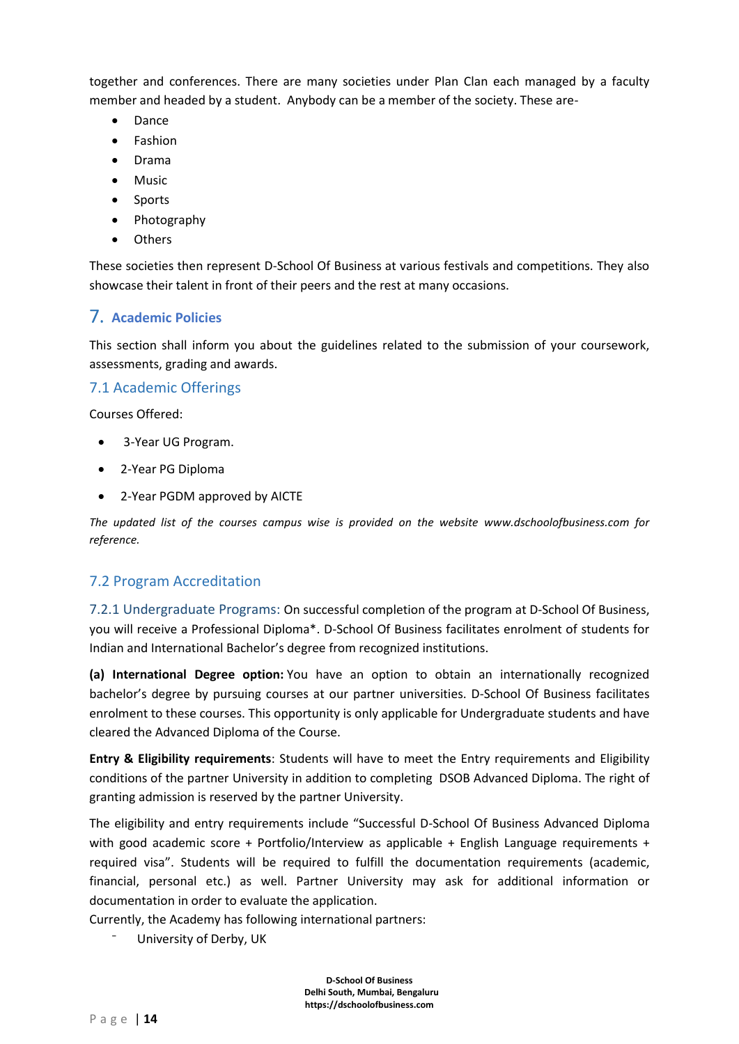together and conferences. There are many societies under Plan Clan each managed by a faculty member and headed by a student. Anybody can be a member of the society. These are-

- Dance
- **Fashion**
- Drama
- **Music**
- Sports
- Photography
- <span id="page-13-0"></span>• Others

These societies then represent D-School Of Business at various festivals and competitions. They also showcase their talent in front of their peers and the rest at many occasions.

## 7. **Academic Policies**

This section shall inform you about the guidelines related to the submission of your coursework, assessments, grading and awards.

#### <span id="page-13-1"></span>7.1 Academic Offerings

Courses Offered:

- 3-Year UG Program.
- 2-Year PG Diploma
- 2-Year PGDM approved by AICTE

*The updated list of the courses campus wise is provided on the website www.dschoolofbusiness.com for reference.*

## <span id="page-13-2"></span>7.2 Program Accreditation

<span id="page-13-3"></span>7.2.1 Undergraduate Programs: On successful completion of the program at D-School Of Business, you will receive a Professional Diploma\*. D-School Of Business facilitates enrolment of students for Indian and International Bachelor's degree from recognized institutions.

**(a) International Degree option:** You have an option to obtain an internationally recognized bachelor's degree by pursuing courses at our partner universities. D-School Of Business facilitates enrolment to these courses. This opportunity is only applicable for Undergraduate students and have cleared the Advanced Diploma of the Course.

**Entry & Eligibility requirements**: Students will have to meet the Entry requirements and Eligibility conditions of the partner University in addition to completing DSOB Advanced Diploma. The right of granting admission is reserved by the partner University.

The eligibility and entry requirements include "Successful D-School Of Business Advanced Diploma with good academic score + Portfolio/Interview as applicable + English Language requirements + required visa". Students will be required to fulfill the documentation requirements (academic, financial, personal etc.) as well. Partner University may ask for additional information or documentation in order to evaluate the application.

Currently, the Academy has following international partners:

⁻ University of Derby, UK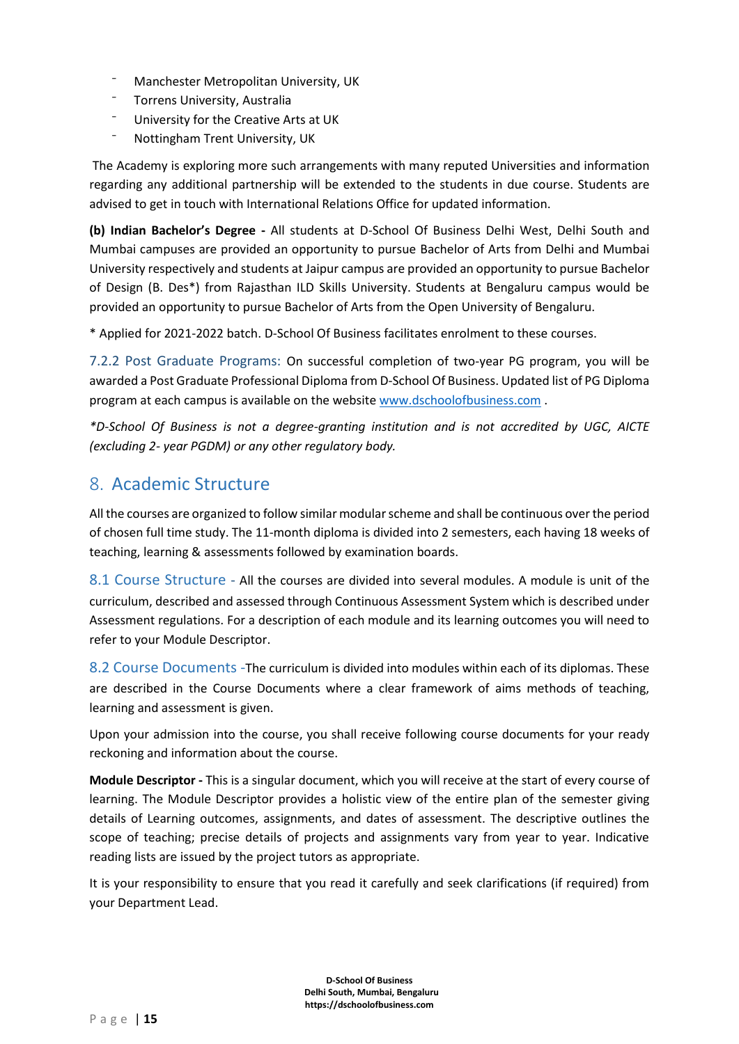- ⁻ Manchester Metropolitan University, UK
- ⁻ Torrens University, Australia
- ⁻ University for the Creative Arts at UK
- ⁻ Nottingham Trent University, UK

The Academy is exploring more such arrangements with many reputed Universities and information regarding any additional partnership will be extended to the students in due course. Students are advised to get in touch with International Relations Office for updated information.

**(b) Indian Bachelor's Degree -** All students at D-School Of Business Delhi West, Delhi South and Mumbai campuses are provided an opportunity to pursue Bachelor of Arts from Delhi and Mumbai University respectively and students at Jaipur campus are provided an opportunity to pursue Bachelor of Design (B. Des\*) from Rajasthan ILD Skills University. Students at Bengaluru campus would be provided an opportunity to pursue Bachelor of Arts from the Open University of Bengaluru.

\* Applied for 2021-2022 batch. D-School Of Business facilitates enrolment to these courses.

<span id="page-14-0"></span>7.2.2 Post Graduate Programs: On successful completion of two-year PG program, you will be awarded a Post Graduate Professional Diploma from D-School Of Business. Updated list of PG Diploma program at each campus is available on the website [www.dschoolofbusiness.com](http://www.dschoolofbusiness.com/) .

*\*D-School Of Business is not a degree-granting institution and is not accredited by UGC, AICTE (excluding 2- year PGDM) or any other regulatory body.*

## <span id="page-14-1"></span>8. Academic Structure

All the courses are organized to follow similar modular scheme and shall be continuous over the period of chosen full time study. The 11-month diploma is divided into 2 semesters, each having 18 weeks of teaching, learning & assessments followed by examination boards.

<span id="page-14-2"></span>8.1 Course Structure - All the courses are divided into several modules. A module is unit of the curriculum, described and assessed through Continuous Assessment System which is described under Assessment regulations. For a description of each module and its learning outcomes you will need to refer to your Module Descriptor.

<span id="page-14-3"></span>8.2 Course Documents -The curriculum is divided into modules within each of its diplomas. These are described in the Course Documents where a clear framework of aims methods of teaching, learning and assessment is given.

Upon your admission into the course, you shall receive following course documents for your ready reckoning and information about the course.

**Module Descriptor -** This is a singular document, which you will receive at the start of every course of learning. The Module Descriptor provides a holistic view of the entire plan of the semester giving details of Learning outcomes, assignments, and dates of assessment. The descriptive outlines the scope of teaching; precise details of projects and assignments vary from year to year. Indicative reading lists are issued by the project tutors as appropriate.

It is your responsibility to ensure that you read it carefully and seek clarifications (if required) from your Department Lead.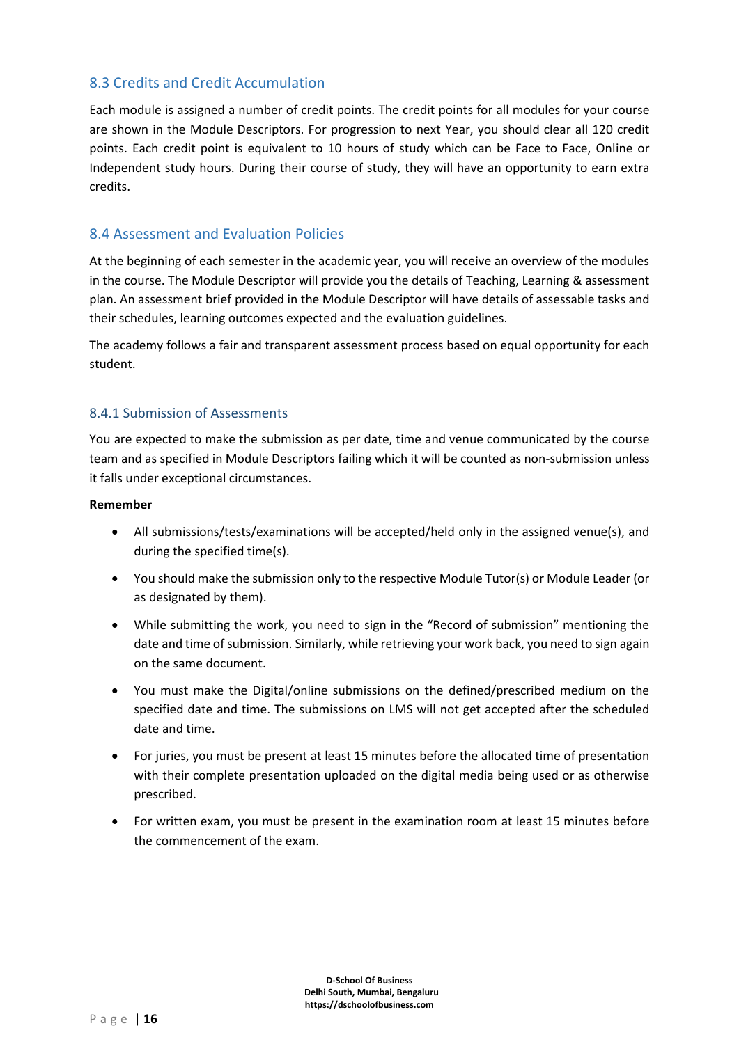## <span id="page-15-0"></span>8.3 Credits and Credit Accumulation

Each module is assigned a number of credit points. The credit points for all modules for your course are shown in the Module Descriptors. For progression to next Year, you should clear all 120 credit points. Each credit point is equivalent to 10 hours of study which can be Face to Face, Online or Independent study hours. During their course of study, they will have an opportunity to earn extra credits.

#### <span id="page-15-1"></span>8.4 Assessment and Evaluation Policies

At the beginning of each semester in the academic year, you will receive an overview of the modules in the course. The Module Descriptor will provide you the details of Teaching, Learning & assessment plan. An assessment brief provided in the Module Descriptor will have details of assessable tasks and their schedules, learning outcomes expected and the evaluation guidelines.

The academy follows a fair and transparent assessment process based on equal opportunity for each student.

#### <span id="page-15-2"></span>8.4.1 Submission of Assessments

You are expected to make the submission as per date, time and venue communicated by the course team and as specified in Module Descriptors failing which it will be counted as non-submission unless it falls under exceptional circumstances.

#### **Remember**

- All submissions/tests/examinations will be accepted/held only in the assigned venue(s), and during the specified time(s).
- You should make the submission only to the respective Module Tutor(s) or Module Leader (or as designated by them).
- While submitting the work, you need to sign in the "Record of submission" mentioning the date and time of submission. Similarly, while retrieving your work back, you need to sign again on the same document.
- You must make the Digital/online submissions on the defined/prescribed medium on the specified date and time. The submissions on LMS will not get accepted after the scheduled date and time.
- For juries, you must be present at least 15 minutes before the allocated time of presentation with their complete presentation uploaded on the digital media being used or as otherwise prescribed.
- For written exam, you must be present in the examination room at least 15 minutes before the commencement of the exam.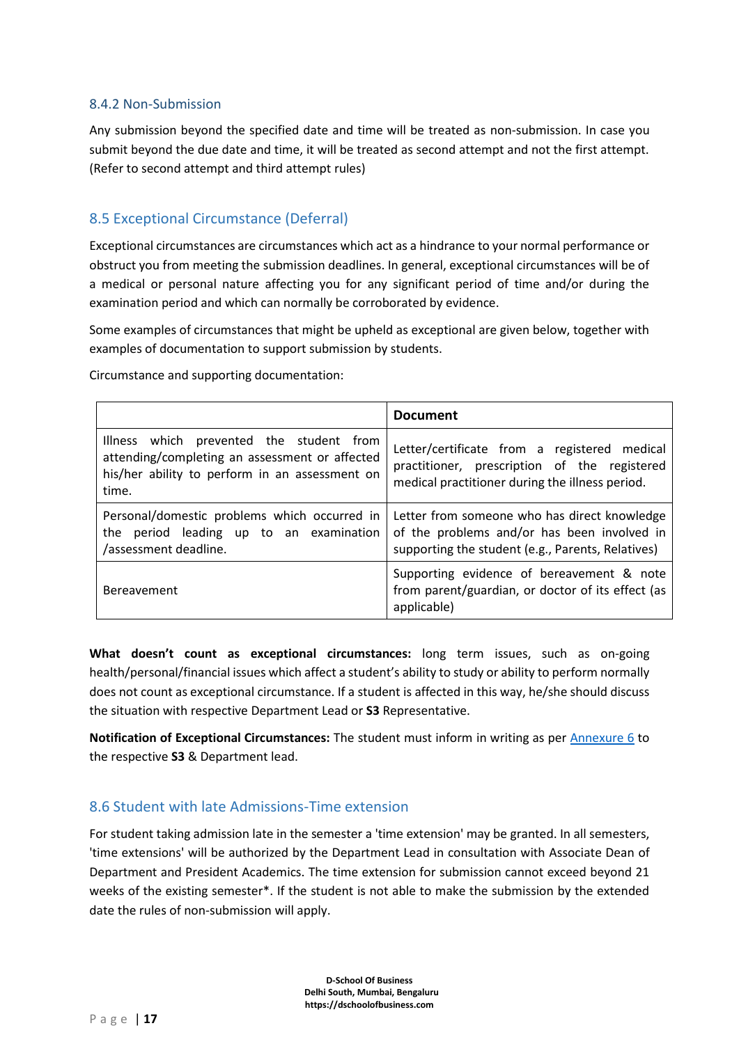#### <span id="page-16-0"></span>8.4.2 Non-Submission

Any submission beyond the specified date and time will be treated as non-submission. In case you submit beyond the due date and time, it will be treated as second attempt and not the first attempt. (Refer to second attempt and third attempt rules)

## <span id="page-16-1"></span>8.5 Exceptional Circumstance (Deferral)

Exceptional circumstances are circumstances which act as a hindrance to your normal performance or obstruct you from meeting the submission deadlines. In general, exceptional circumstances will be of a medical or personal nature affecting you for any significant period of time and/or during the examination period and which can normally be corroborated by evidence.

Some examples of circumstances that might be upheld as exceptional are given below, together with examples of documentation to support submission by students.

Circumstance and supporting documentation:

|                                                                                                                                                       | <b>Document</b>                                                                                                                                  |
|-------------------------------------------------------------------------------------------------------------------------------------------------------|--------------------------------------------------------------------------------------------------------------------------------------------------|
| Illness which prevented the student from<br>attending/completing an assessment or affected<br>his/her ability to perform in an assessment on<br>time. | Letter/certificate from a registered medical<br>practitioner, prescription of the registered<br>medical practitioner during the illness period.  |
| Personal/domestic problems which occurred in<br>the period leading up to an examination<br>/assessment deadline.                                      | Letter from someone who has direct knowledge<br>of the problems and/or has been involved in<br>supporting the student (e.g., Parents, Relatives) |
| Bereavement                                                                                                                                           | Supporting evidence of bereavement & note<br>from parent/guardian, or doctor of its effect (as<br>applicable)                                    |

**What doesn't count as exceptional circumstances:** long term issues, such as on-going health/personal/financial issues which affect a student's ability to study or ability to perform normally does not count as exceptional circumstance. If a student is affected in this way, he/she should discuss the situation with respective Department Lead or **S3** Representative.

**Notification of Exceptional Circumstances:** The student must inform in writing as per [Annexure 6](#page-75-0) to the respective **S3** & Department lead.

## <span id="page-16-2"></span>8.6 Student with late Admissions-Time extension

For student taking admission late in the semester a 'time extension' may be granted. In all semesters, 'time extensions' will be authorized by the Department Lead in consultation with Associate Dean of Department and President Academics. The time extension for submission cannot exceed beyond 21 weeks of the existing semester\*. If the student is not able to make the submission by the extended date the rules of non-submission will apply.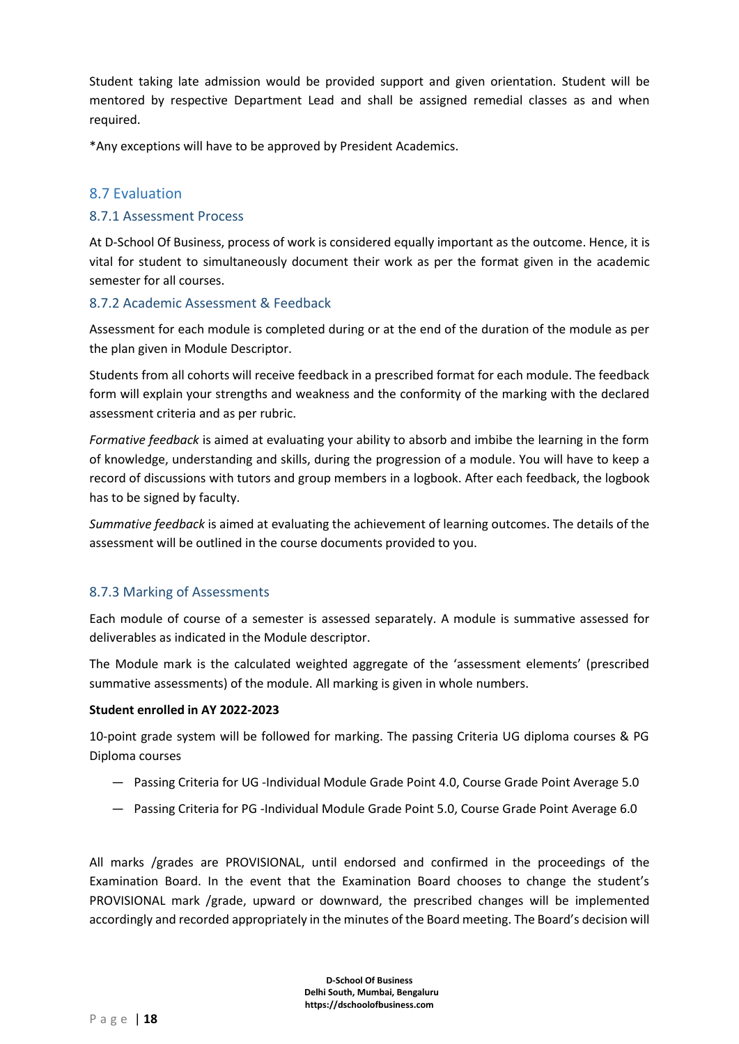Student taking late admission would be provided support and given orientation. Student will be mentored by respective Department Lead and shall be assigned remedial classes as and when required.

\*Any exceptions will have to be approved by President Academics.

#### <span id="page-17-0"></span>8.7 Evaluation

#### <span id="page-17-1"></span>8.7.1 Assessment Process

At D-School Of Business, process of work is considered equally important as the outcome. Hence, it is vital for student to simultaneously document their work as per the format given in the academic semester for all courses.

#### <span id="page-17-2"></span>8.7.2 Academic Assessment & Feedback

Assessment for each module is completed during or at the end of the duration of the module as per the plan given in Module Descriptor.

Students from all cohorts will receive feedback in a prescribed format for each module. The feedback form will explain your strengths and weakness and the conformity of the marking with the declared assessment criteria and as per rubric.

*Formative feedback* is aimed at evaluating your ability to absorb and imbibe the learning in the form of knowledge, understanding and skills, during the progression of a module. You will have to keep a record of discussions with tutors and group members in a logbook. After each feedback, the logbook has to be signed by faculty.

*Summative feedback* is aimed at evaluating the achievement of learning outcomes. The details of the assessment will be outlined in the course documents provided to you.

#### <span id="page-17-3"></span>8.7.3 Marking of Assessments

Each module of course of a semester is assessed separately. A module is summative assessed for deliverables as indicated in the Module descriptor.

The Module mark is the calculated weighted aggregate of the 'assessment elements' (prescribed summative assessments) of the module. All marking is given in whole numbers.

#### **Student enrolled in AY 2022-2023**

10-point grade system will be followed for marking. The passing Criteria UG diploma courses & PG Diploma courses

- ― Passing Criteria for UG -Individual Module Grade Point 4.0, Course Grade Point Average 5.0
- ― Passing Criteria for PG -Individual Module Grade Point 5.0, Course Grade Point Average 6.0

All marks /grades are PROVISIONAL, until endorsed and confirmed in the proceedings of the Examination Board. In the event that the Examination Board chooses to change the student's PROVISIONAL mark /grade, upward or downward, the prescribed changes will be implemented accordingly and recorded appropriately in the minutes of the Board meeting. The Board's decision will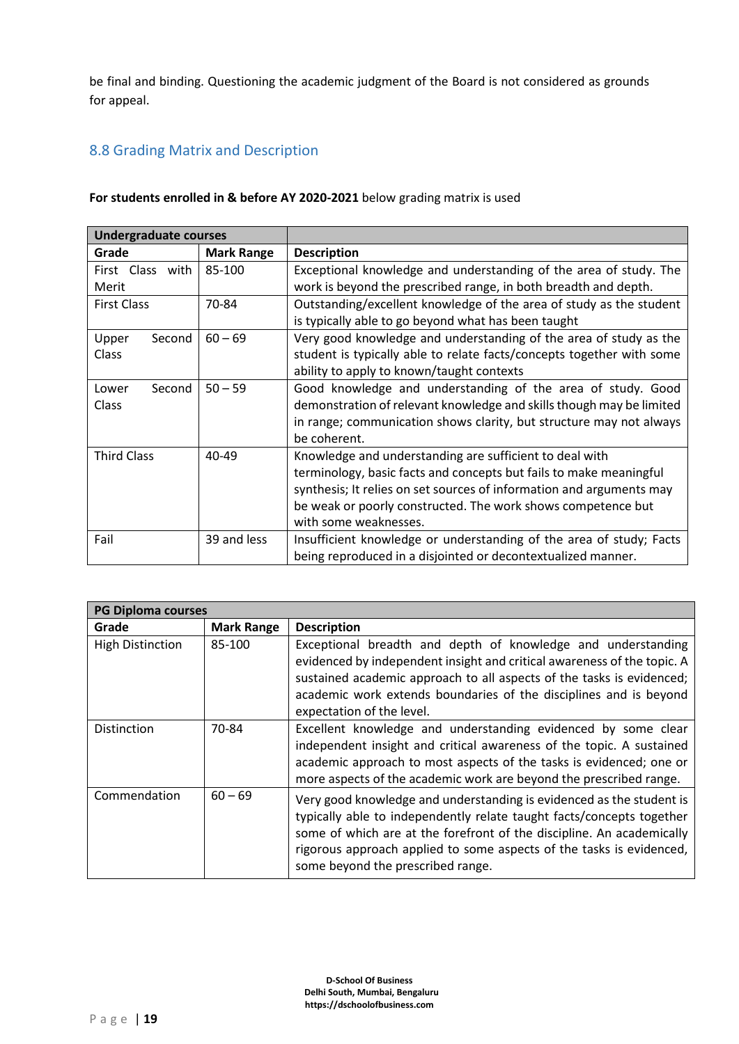be final and binding. Questioning the academic judgment of the Board is not considered as grounds for appeal.

## <span id="page-18-0"></span>8.8 Grading Matrix and Description

#### **For students enrolled in & before AY 2020-2021** below grading matrix is used

| <b>Undergraduate courses</b> |                   |                                                                       |
|------------------------------|-------------------|-----------------------------------------------------------------------|
| Grade                        | <b>Mark Range</b> | <b>Description</b>                                                    |
| First Class with             | 85-100            | Exceptional knowledge and understanding of the area of study. The     |
| Merit                        |                   | work is beyond the prescribed range, in both breadth and depth.       |
| <b>First Class</b>           | 70-84             | Outstanding/excellent knowledge of the area of study as the student   |
|                              |                   | is typically able to go beyond what has been taught                   |
| Second<br>Upper              | $60 - 69$         | Very good knowledge and understanding of the area of study as the     |
| Class                        |                   | student is typically able to relate facts/concepts together with some |
|                              |                   | ability to apply to known/taught contexts                             |
| Second<br>Lower              | $50 - 59$         | Good knowledge and understanding of the area of study. Good           |
| <b>Class</b>                 |                   | demonstration of relevant knowledge and skills though may be limited  |
|                              |                   | in range; communication shows clarity, but structure may not always   |
|                              |                   | be coherent.                                                          |
| <b>Third Class</b>           | 40-49             | Knowledge and understanding are sufficient to deal with               |
|                              |                   | terminology, basic facts and concepts but fails to make meaningful    |
|                              |                   | synthesis; It relies on set sources of information and arguments may  |
|                              |                   | be weak or poorly constructed. The work shows competence but          |
|                              |                   | with some weaknesses.                                                 |
| Fail                         | 39 and less       | Insufficient knowledge or understanding of the area of study; Facts   |
|                              |                   | being reproduced in a disjointed or decontextualized manner.          |

| <b>PG Diploma courses</b> |                   |                                                                                                                                                                                                                                                                                                                                     |
|---------------------------|-------------------|-------------------------------------------------------------------------------------------------------------------------------------------------------------------------------------------------------------------------------------------------------------------------------------------------------------------------------------|
| Grade                     | <b>Mark Range</b> | <b>Description</b>                                                                                                                                                                                                                                                                                                                  |
| <b>High Distinction</b>   | 85-100            | Exceptional breadth and depth of knowledge and understanding<br>evidenced by independent insight and critical awareness of the topic. A<br>sustained academic approach to all aspects of the tasks is evidenced;<br>academic work extends boundaries of the disciplines and is beyond<br>expectation of the level.                  |
| <b>Distinction</b>        | 70-84             | Excellent knowledge and understanding evidenced by some clear<br>independent insight and critical awareness of the topic. A sustained<br>academic approach to most aspects of the tasks is evidenced; one or<br>more aspects of the academic work are beyond the prescribed range.                                                  |
| Commendation              | $60 - 69$         | Very good knowledge and understanding is evidenced as the student is<br>typically able to independently relate taught facts/concepts together<br>some of which are at the forefront of the discipline. An academically<br>rigorous approach applied to some aspects of the tasks is evidenced,<br>some beyond the prescribed range. |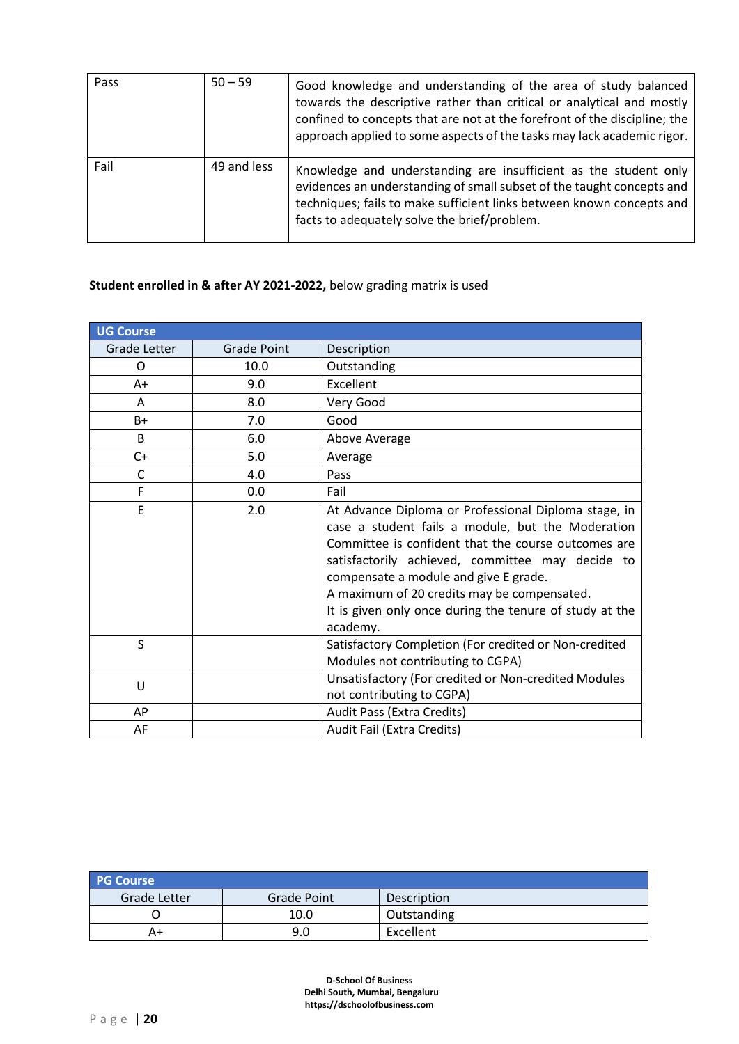| Pass | $50 - 59$   | Good knowledge and understanding of the area of study balanced<br>towards the descriptive rather than critical or analytical and mostly<br>confined to concepts that are not at the forefront of the discipline; the<br>approach applied to some aspects of the tasks may lack academic rigor. |
|------|-------------|------------------------------------------------------------------------------------------------------------------------------------------------------------------------------------------------------------------------------------------------------------------------------------------------|
| Fail | 49 and less | Knowledge and understanding are insufficient as the student only<br>evidences an understanding of small subset of the taught concepts and<br>techniques; fails to make sufficient links between known concepts and<br>facts to adequately solve the brief/problem.                             |

## **Student enrolled in & after AY 2021-2022,** below grading matrix is used

| <b>UG Course</b> |             |                                                                                                                                                                                                                                                                                                                                                                                     |
|------------------|-------------|-------------------------------------------------------------------------------------------------------------------------------------------------------------------------------------------------------------------------------------------------------------------------------------------------------------------------------------------------------------------------------------|
| Grade Letter     | Grade Point | Description                                                                                                                                                                                                                                                                                                                                                                         |
| O                | 10.0        | Outstanding                                                                                                                                                                                                                                                                                                                                                                         |
| $A+$             | 9.0         | Excellent                                                                                                                                                                                                                                                                                                                                                                           |
| A                | 8.0         | Very Good                                                                                                                                                                                                                                                                                                                                                                           |
| B+               | 7.0         | Good                                                                                                                                                                                                                                                                                                                                                                                |
| <sub>B</sub>     | 6.0         | Above Average                                                                                                                                                                                                                                                                                                                                                                       |
| C+               | 5.0         | Average                                                                                                                                                                                                                                                                                                                                                                             |
| $\mathsf{C}$     | 4.0         | Pass                                                                                                                                                                                                                                                                                                                                                                                |
| F                | 0.0         | Fail                                                                                                                                                                                                                                                                                                                                                                                |
| E                | 2.0         | At Advance Diploma or Professional Diploma stage, in<br>case a student fails a module, but the Moderation<br>Committee is confident that the course outcomes are<br>satisfactorily achieved, committee may decide to<br>compensate a module and give E grade.<br>A maximum of 20 credits may be compensated.<br>It is given only once during the tenure of study at the<br>academy. |
| S                |             | Satisfactory Completion (For credited or Non-credited<br>Modules not contributing to CGPA)                                                                                                                                                                                                                                                                                          |
| U                |             | Unsatisfactory (For credited or Non-credited Modules<br>not contributing to CGPA)                                                                                                                                                                                                                                                                                                   |
| AP               |             | Audit Pass (Extra Credits)                                                                                                                                                                                                                                                                                                                                                          |
| AF               |             | Audit Fail (Extra Credits)                                                                                                                                                                                                                                                                                                                                                          |

| <b>PG Course</b> |                    |             |
|------------------|--------------------|-------------|
| Grade Letter     | <b>Grade Point</b> | Description |
|                  | 10.0               | Outstanding |
| A+               | 9.0                | Excellent   |

**D-School Of Business Delhi South, Mumbai, Bengaluru https://dschoolofbusiness.com**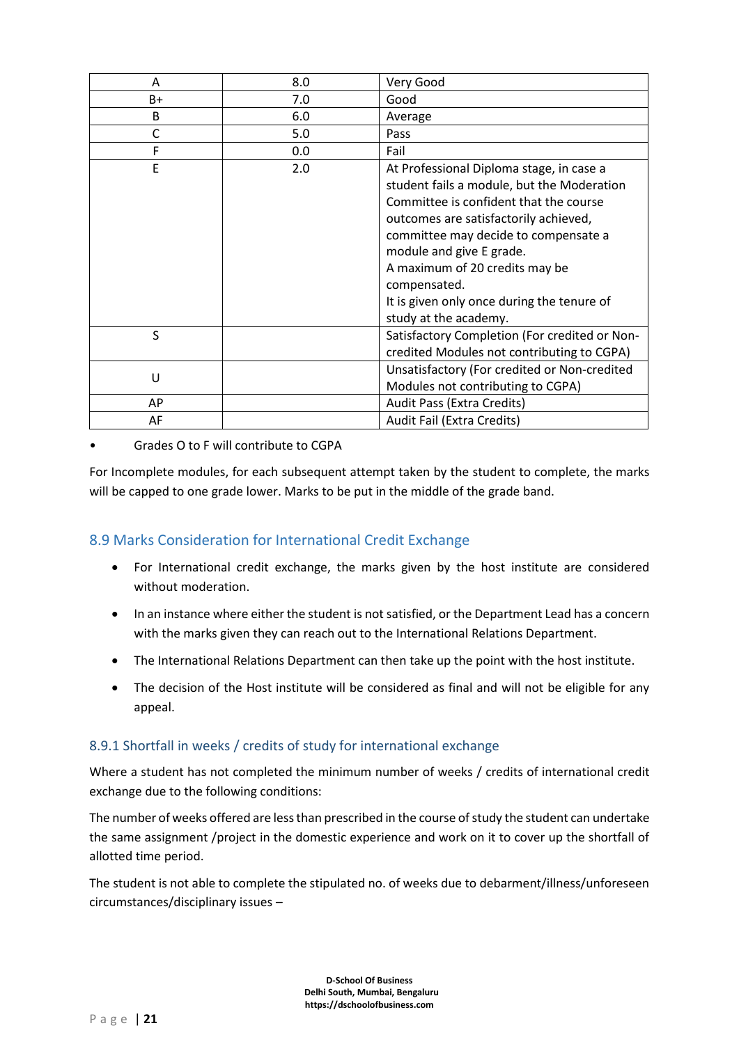| A    | 8.0 | Very Good                                                                                                                                                                                                                                                                                                                                                              |
|------|-----|------------------------------------------------------------------------------------------------------------------------------------------------------------------------------------------------------------------------------------------------------------------------------------------------------------------------------------------------------------------------|
| $B+$ | 7.0 | Good                                                                                                                                                                                                                                                                                                                                                                   |
| B    | 6.0 | Average                                                                                                                                                                                                                                                                                                                                                                |
| C    | 5.0 | Pass                                                                                                                                                                                                                                                                                                                                                                   |
| F    | 0.0 | Fail                                                                                                                                                                                                                                                                                                                                                                   |
| E    | 2.0 | At Professional Diploma stage, in case a<br>student fails a module, but the Moderation<br>Committee is confident that the course<br>outcomes are satisfactorily achieved,<br>committee may decide to compensate a<br>module and give E grade.<br>A maximum of 20 credits may be<br>compensated.<br>It is given only once during the tenure of<br>study at the academy. |
| S    |     | Satisfactory Completion (For credited or Non-<br>credited Modules not contributing to CGPA)                                                                                                                                                                                                                                                                            |
| U    |     | Unsatisfactory (For credited or Non-credited<br>Modules not contributing to CGPA)                                                                                                                                                                                                                                                                                      |
| AP   |     | Audit Pass (Extra Credits)                                                                                                                                                                                                                                                                                                                                             |
| AF   |     | Audit Fail (Extra Credits)                                                                                                                                                                                                                                                                                                                                             |

#### • Grades O to F will contribute to CGPA

For Incomplete modules, for each subsequent attempt taken by the student to complete, the marks will be capped to one grade lower. Marks to be put in the middle of the grade band.

## <span id="page-20-0"></span>8.9 Marks Consideration for International Credit Exchange

- For International credit exchange, the marks given by the host institute are considered without moderation.
- In an instance where either the student is not satisfied, or the Department Lead has a concern with the marks given they can reach out to the International Relations Department.
- The International Relations Department can then take up the point with the host institute.
- The decision of the Host institute will be considered as final and will not be eligible for any appeal.

#### <span id="page-20-1"></span>8.9.1 Shortfall in weeks / credits of study for international exchange

Where a student has not completed the minimum number of weeks / credits of international credit exchange due to the following conditions:

The number of weeks offered are less than prescribed in the course of study the student can undertake the same assignment /project in the domestic experience and work on it to cover up the shortfall of allotted time period.

The student is not able to complete the stipulated no. of weeks due to debarment/illness/unforeseen circumstances/disciplinary issues –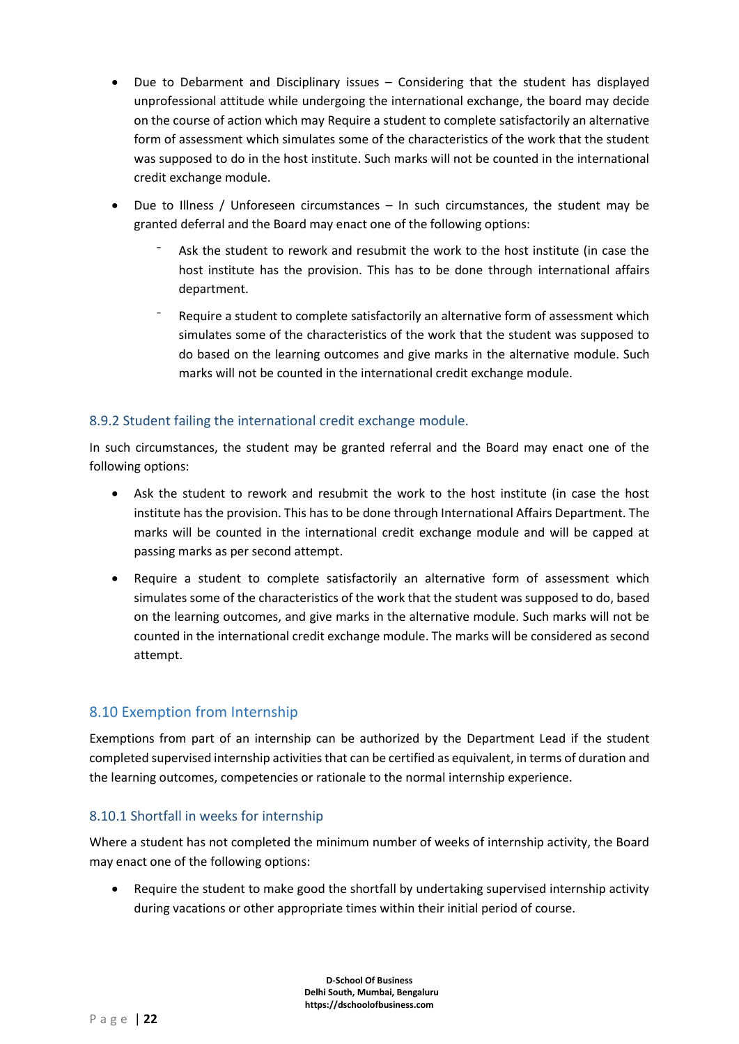- Due to Debarment and Disciplinary issues Considering that the student has displayed unprofessional attitude while undergoing the international exchange, the board may decide on the course of action which may Require a student to complete satisfactorily an alternative form of assessment which simulates some of the characteristics of the work that the student was supposed to do in the host institute. Such marks will not be counted in the international credit exchange module.
- Due to Illness / Unforeseen circumstances In such circumstances, the student may be granted deferral and the Board may enact one of the following options:
	- Ask the student to rework and resubmit the work to the host institute (in case the host institute has the provision. This has to be done through international affairs department.
	- Require a student to complete satisfactorily an alternative form of assessment which simulates some of the characteristics of the work that the student was supposed to do based on the learning outcomes and give marks in the alternative module. Such marks will not be counted in the international credit exchange module.

#### <span id="page-21-0"></span>8.9.2 Student failing the international credit exchange module.

In such circumstances, the student may be granted referral and the Board may enact one of the following options:

- Ask the student to rework and resubmit the work to the host institute (in case the host institute has the provision. This has to be done through International Affairs Department. The marks will be counted in the international credit exchange module and will be capped at passing marks as per second attempt.
- Require a student to complete satisfactorily an alternative form of assessment which simulates some of the characteristics of the work that the student was supposed to do, based on the learning outcomes, and give marks in the alternative module. Such marks will not be counted in the international credit exchange module. The marks will be considered as second attempt.

## <span id="page-21-1"></span>8.10 Exemption from Internship

Exemptions from part of an internship can be authorized by the Department Lead if the student completed supervised internship activities that can be certified as equivalent, in terms of duration and the learning outcomes, competencies or rationale to the normal internship experience.

#### <span id="page-21-2"></span>8.10.1 Shortfall in weeks for internship

Where a student has not completed the minimum number of weeks of internship activity, the Board may enact one of the following options:

• Require the student to make good the shortfall by undertaking supervised internship activity during vacations or other appropriate times within their initial period of course.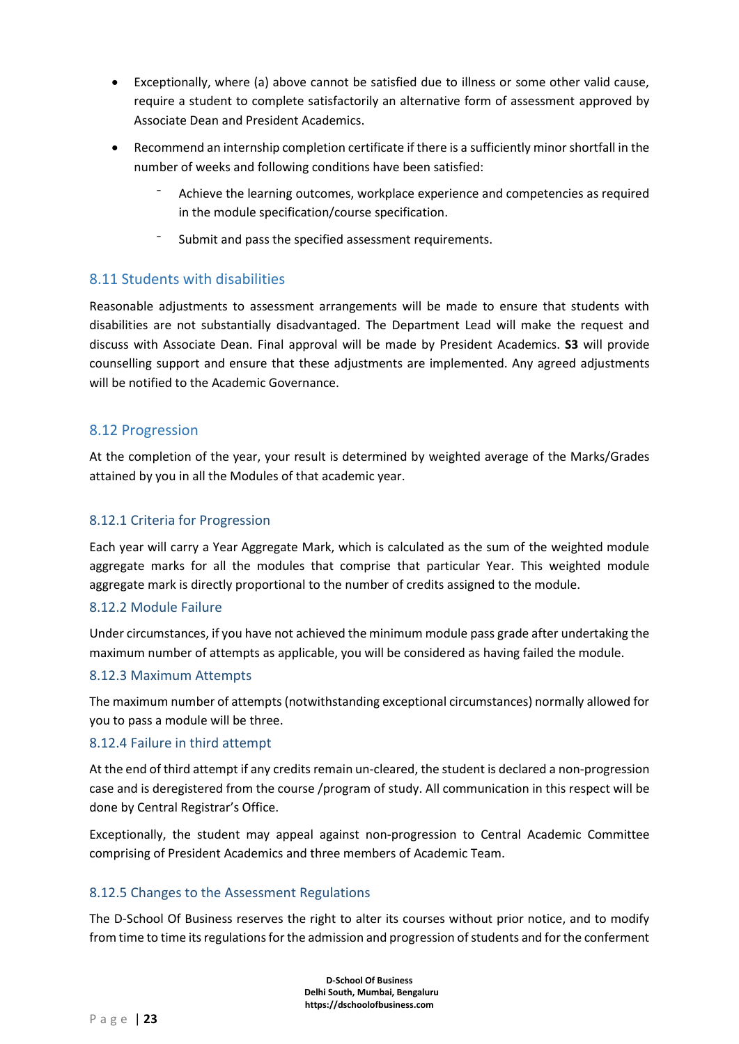- Exceptionally, where (a) above cannot be satisfied due to illness or some other valid cause, require a student to complete satisfactorily an alternative form of assessment approved by Associate Dean and President Academics.
- Recommend an internship completion certificate if there is a sufficiently minor shortfall in the number of weeks and following conditions have been satisfied:
	- ⁻ Achieve the learning outcomes, workplace experience and competencies as required in the module specification/course specification.
	- Submit and pass the specified assessment requirements.

#### <span id="page-22-0"></span>8.11 Students with disabilities

Reasonable adjustments to assessment arrangements will be made to ensure that students with disabilities are not substantially disadvantaged. The Department Lead will make the request and discuss with Associate Dean. Final approval will be made by President Academics. **S3** will provide counselling support and ensure that these adjustments are implemented. Any agreed adjustments will be notified to the Academic Governance.

#### <span id="page-22-1"></span>8.12 Progression

At the completion of the year, your result is determined by weighted average of the Marks/Grades attained by you in all the Modules of that academic year.

#### <span id="page-22-2"></span>8.12.1 Criteria for Progression

Each year will carry a Year Aggregate Mark, which is calculated as the sum of the weighted module aggregate marks for all the modules that comprise that particular Year. This weighted module aggregate mark is directly proportional to the number of credits assigned to the module.

#### <span id="page-22-3"></span>8.12.2 Module Failure

Under circumstances, if you have not achieved the minimum module pass grade after undertaking the maximum number of attempts as applicable, you will be considered as having failed the module.

#### <span id="page-22-4"></span>8.12.3 Maximum Attempts

The maximum number of attempts (notwithstanding exceptional circumstances) normally allowed for you to pass a module will be three.

#### <span id="page-22-5"></span>8.12.4 Failure in third attempt

At the end of third attempt if any credits remain un-cleared, the student is declared a non-progression case and is deregistered from the course /program of study. All communication in this respect will be done by Central Registrar's Office.

Exceptionally, the student may appeal against non-progression to Central Academic Committee comprising of President Academics and three members of Academic Team.

#### <span id="page-22-6"></span>8.12.5 Changes to the Assessment Regulations

The D-School Of Business reserves the right to alter its courses without prior notice, and to modify from time to time its regulations for the admission and progression of students and for the conferment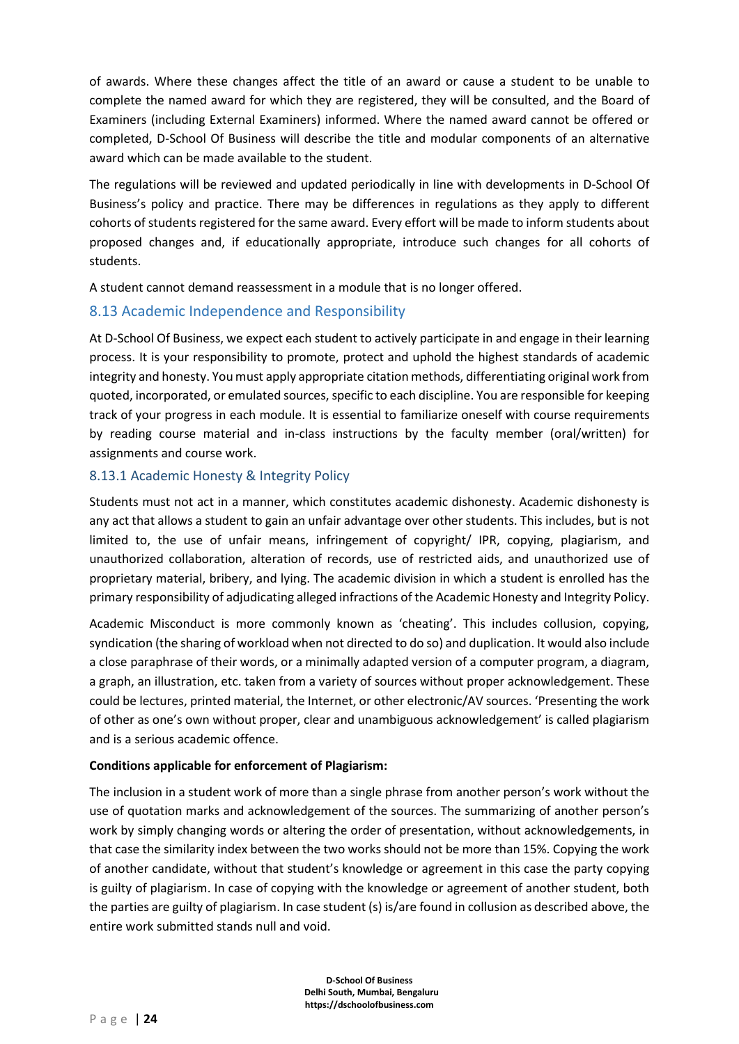of awards. Where these changes affect the title of an award or cause a student to be unable to complete the named award for which they are registered, they will be consulted, and the Board of Examiners (including External Examiners) informed. Where the named award cannot be offered or completed, D-School Of Business will describe the title and modular components of an alternative award which can be made available to the student.

The regulations will be reviewed and updated periodically in line with developments in D-School Of Business's policy and practice. There may be differences in regulations as they apply to different cohorts of students registered for the same award. Every effort will be made to inform students about proposed changes and, if educationally appropriate, introduce such changes for all cohorts of students.

A student cannot demand reassessment in a module that is no longer offered.

## <span id="page-23-0"></span>8.13 Academic Independence and Responsibility

At D-School Of Business, we expect each student to actively participate in and engage in their learning process. It is your responsibility to promote, protect and uphold the highest standards of academic integrity and honesty. You must apply appropriate citation methods, differentiating original work from quoted, incorporated, or emulated sources, specific to each discipline. You are responsible for keeping track of your progress in each module. It is essential to familiarize oneself with course requirements by reading course material and in-class instructions by the faculty member (oral/written) for assignments and course work.

#### <span id="page-23-1"></span>8.13.1 Academic Honesty & Integrity Policy

Students must not act in a manner, which constitutes academic dishonesty. Academic dishonesty is any act that allows a student to gain an unfair advantage over other students. This includes, but is not limited to, the use of unfair means, infringement of copyright/ IPR, copying, plagiarism, and unauthorized collaboration, alteration of records, use of restricted aids, and unauthorized use of proprietary material, bribery, and lying. The academic division in which a student is enrolled has the primary responsibility of adjudicating alleged infractions of the Academic Honesty and Integrity Policy.

Academic Misconduct is more commonly known as 'cheating'. This includes collusion, copying, syndication (the sharing of workload when not directed to do so) and duplication. It would also include a close paraphrase of their words, or a minimally adapted version of a computer program, a diagram, a graph, an illustration, etc. taken from a variety of sources without proper acknowledgement. These could be lectures, printed material, the Internet, or other electronic/AV sources. 'Presenting the work of other as one's own without proper, clear and unambiguous acknowledgement' is called plagiarism and is a serious academic offence.

#### **Conditions applicable for enforcement of Plagiarism:**

The inclusion in a student work of more than a single phrase from another person's work without the use of quotation marks and acknowledgement of the sources. The summarizing of another person's work by simply changing words or altering the order of presentation, without acknowledgements, in that case the similarity index between the two works should not be more than 15%. Copying the work of another candidate, without that student's knowledge or agreement in this case the party copying is guilty of plagiarism. In case of copying with the knowledge or agreement of another student, both the parties are guilty of plagiarism. In case student (s) is/are found in collusion as described above, the entire work submitted stands null and void.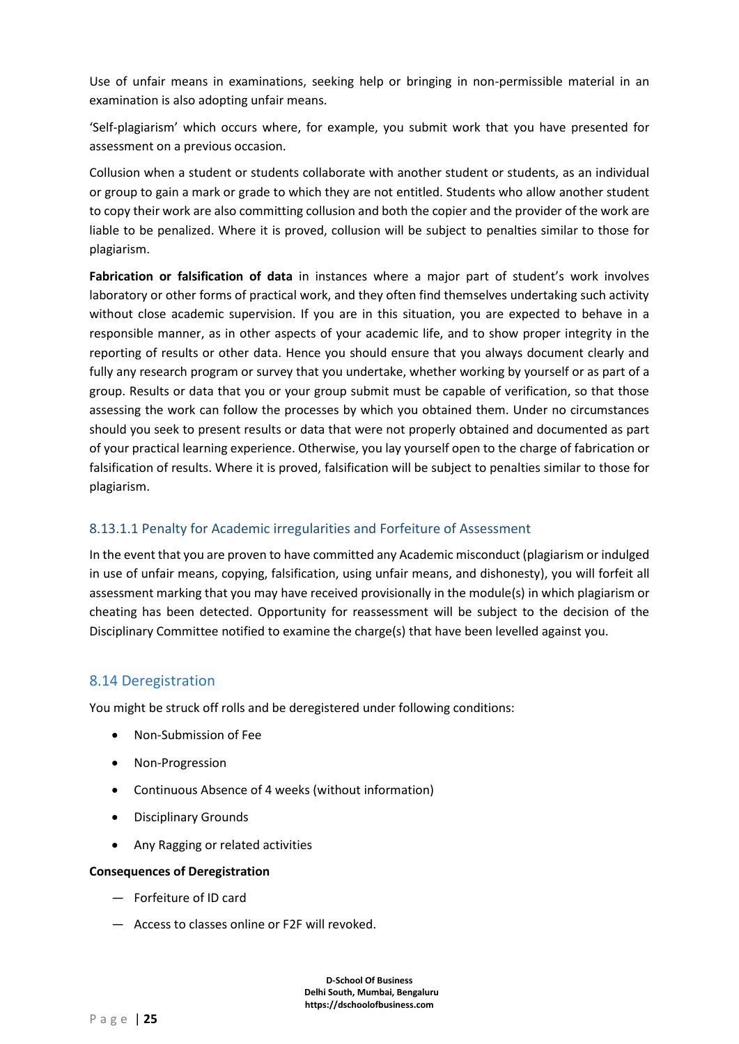Use of unfair means in examinations, seeking help or bringing in non-permissible material in an examination is also adopting unfair means.

'Self-plagiarism' which occurs where, for example, you submit work that you have presented for assessment on a previous occasion.

Collusion when a student or students collaborate with another student or students, as an individual or group to gain a mark or grade to which they are not entitled. Students who allow another student to copy their work are also committing collusion and both the copier and the provider of the work are liable to be penalized. Where it is proved, collusion will be subject to penalties similar to those for plagiarism.

**Fabrication or falsification of data** in instances where a major part of student's work involves laboratory or other forms of practical work, and they often find themselves undertaking such activity without close academic supervision. If you are in this situation, you are expected to behave in a responsible manner, as in other aspects of your academic life, and to show proper integrity in the reporting of results or other data. Hence you should ensure that you always document clearly and fully any research program or survey that you undertake, whether working by yourself or as part of a group. Results or data that you or your group submit must be capable of verification, so that those assessing the work can follow the processes by which you obtained them. Under no circumstances should you seek to present results or data that were not properly obtained and documented as part of your practical learning experience. Otherwise, you lay yourself open to the charge of fabrication or falsification of results. Where it is proved, falsification will be subject to penalties similar to those for plagiarism.

#### 8.13.1.1 Penalty for Academic irregularities and Forfeiture of Assessment

In the event that you are proven to have committed any Academic misconduct (plagiarism or indulged in use of unfair means, copying, falsification, using unfair means, and dishonesty), you will forfeit all assessment marking that you may have received provisionally in the module(s) in which plagiarism or cheating has been detected. Opportunity for reassessment will be subject to the decision of the Disciplinary Committee notified to examine the charge(s) that have been levelled against you.

#### <span id="page-24-0"></span>8.14 Deregistration

You might be struck off rolls and be deregistered under following conditions:

- Non-Submission of Fee
- Non-Progression
- Continuous Absence of 4 weeks (without information)
- Disciplinary Grounds
- Any Ragging or related activities

#### **Consequences of Deregistration**

- ― Forfeiture of ID card
- ― Access to classes online or F2F will revoked.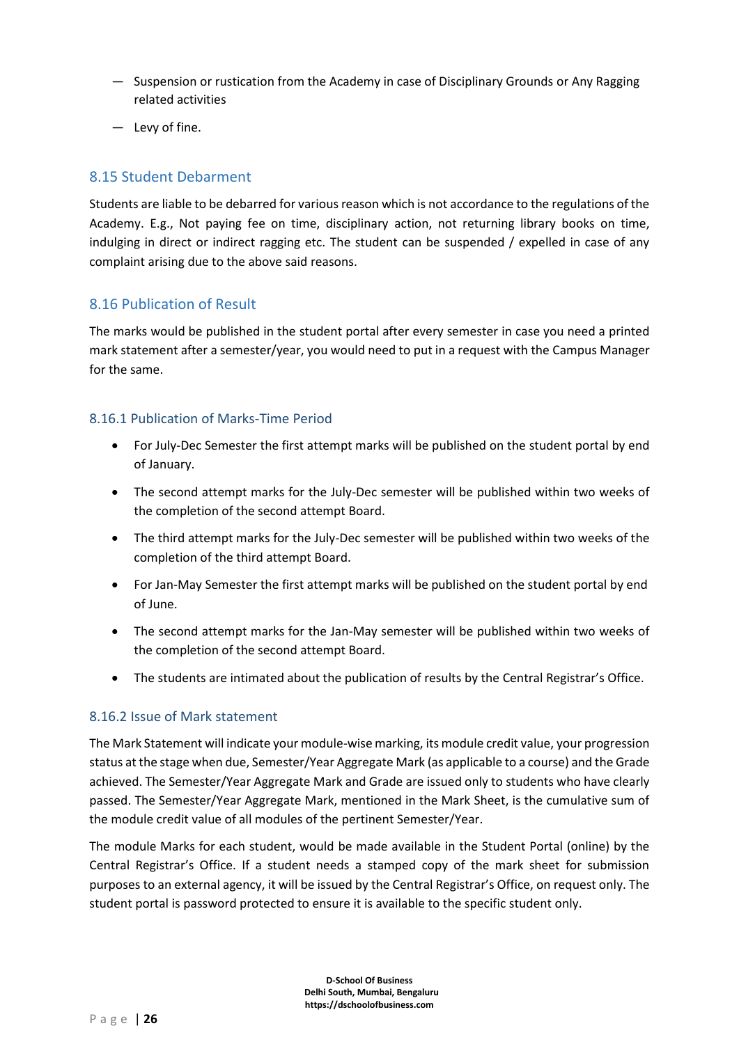- ― Suspension or rustication from the Academy in case of Disciplinary Grounds or Any Ragging related activities
- ― Levy of fine.

### <span id="page-25-0"></span>8.15 Student Debarment

Students are liable to be debarred for various reason which is not accordance to the regulations of the Academy. E.g., Not paying fee on time, disciplinary action, not returning library books on time, indulging in direct or indirect ragging etc. The student can be suspended / expelled in case of any complaint arising due to the above said reasons.

## <span id="page-25-1"></span>8.16 Publication of Result

The marks would be published in the student portal after every semester in case you need a printed mark statement after a semester/year, you would need to put in a request with the Campus Manager for the same.

#### <span id="page-25-2"></span>8.16.1 Publication of Marks-Time Period

- For July-Dec Semester the first attempt marks will be published on the student portal by end of January.
- The second attempt marks for the July-Dec semester will be published within two weeks of the completion of the second attempt Board.
- The third attempt marks for the July-Dec semester will be published within two weeks of the completion of the third attempt Board.
- For Jan-May Semester the first attempt marks will be published on the student portal by end of June.
- The second attempt marks for the Jan-May semester will be published within two weeks of the completion of the second attempt Board.
- The students are intimated about the publication of results by the Central Registrar's Office.

#### <span id="page-25-3"></span>8.16.2 Issue of Mark statement

The Mark Statement will indicate your module-wise marking, its module credit value, your progression status at the stage when due, Semester/Year Aggregate Mark (as applicable to a course) and the Grade achieved. The Semester/Year Aggregate Mark and Grade are issued only to students who have clearly passed. The Semester/Year Aggregate Mark, mentioned in the Mark Sheet, is the cumulative sum of the module credit value of all modules of the pertinent Semester/Year.

The module Marks for each student, would be made available in the Student Portal (online) by the Central Registrar's Office. If a student needs a stamped copy of the mark sheet for submission purposes to an external agency, it will be issued by the Central Registrar's Office, on request only. The student portal is password protected to ensure it is available to the specific student only.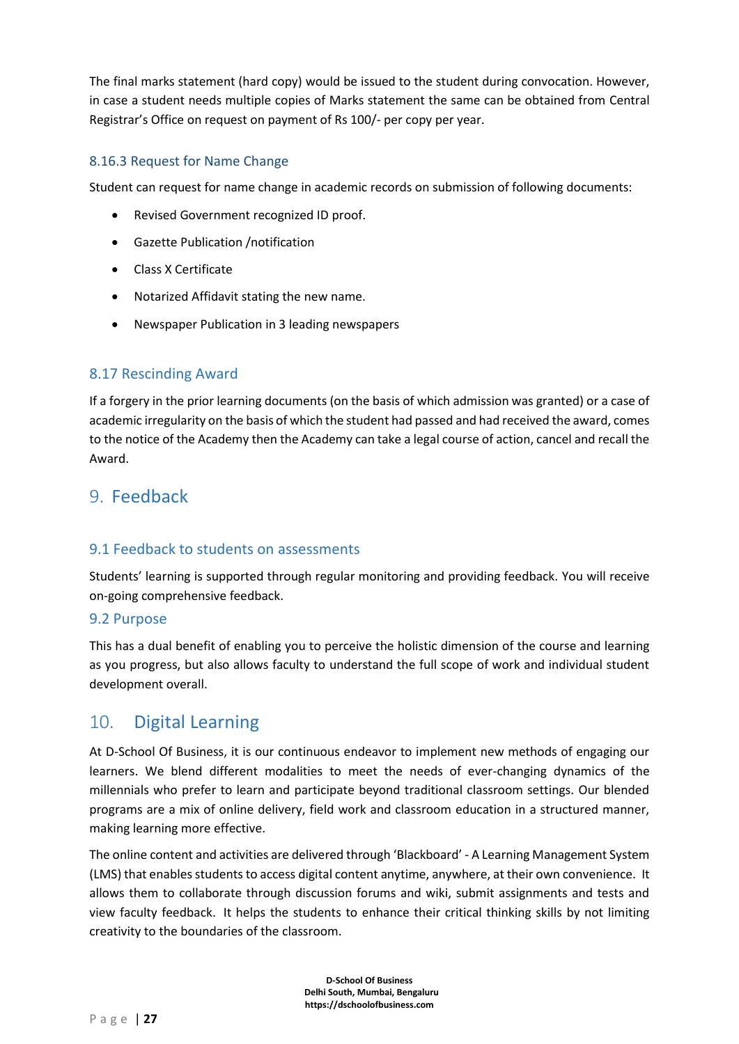The final marks statement (hard copy) would be issued to the student during convocation. However, in case a student needs multiple copies of Marks statement the same can be obtained from Central Registrar's Office on request on payment of Rs 100/- per copy per year.

### <span id="page-26-0"></span>8.16.3 Request for Name Change

Student can request for name change in academic records on submission of following documents:

- Revised Government recognized ID proof.
- Gazette Publication /notification
- Class X Certificate
- Notarized Affidavit stating the new name.
- Newspaper Publication in 3 leading newspapers

#### <span id="page-26-1"></span>8.17 Rescinding Award

If a forgery in the prior learning documents (on the basis of which admission was granted) or a case of academic irregularity on the basis of which the student had passed and had received the award, comes to the notice of the Academy then the Academy can take a legal course of action, cancel and recall the Award.

## <span id="page-26-2"></span>9. Feedback

#### <span id="page-26-3"></span>9.1 Feedback to students on assessments

Students' learning is supported through regular monitoring and providing feedback. You will receive on-going comprehensive feedback.

#### <span id="page-26-4"></span>9.2 Purpose

This has a dual benefit of enabling you to perceive the holistic dimension of the course and learning as you progress, but also allows faculty to understand the full scope of work and individual student development overall.

## <span id="page-26-5"></span>10. Digital Learning

At D-School Of Business, it is our continuous endeavor to implement new methods of engaging our learners. We blend different modalities to meet the needs of ever-changing dynamics of the millennials who prefer to learn and participate beyond traditional classroom settings. Our blended programs are a mix of online delivery, field work and classroom education in a structured manner, making learning more effective.

The online content and activities are delivered through 'Blackboard' - A Learning Management System (LMS) that enables students to access digital content anytime, anywhere, at their own convenience. It allows them to collaborate through discussion forums and wiki, submit assignments and tests and view faculty feedback. It helps the students to enhance their critical thinking skills by not limiting creativity to the boundaries of the classroom.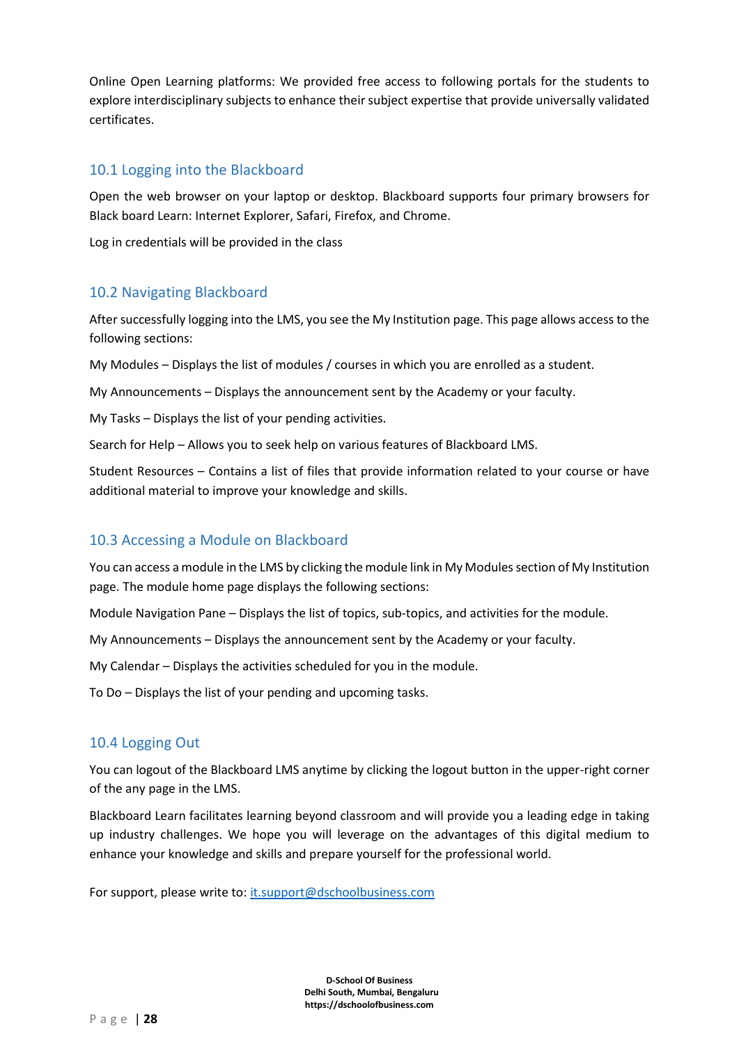Online Open Learning platforms: We provided free access to following portals for the students to explore interdisciplinary subjects to enhance their subject expertise that provide universally validated certificates.

### <span id="page-27-0"></span>10.1 Logging into the Blackboard

Open the web browser on your laptop or desktop. Blackboard supports four primary browsers for Black board Learn: Internet Explorer, Safari, Firefox, and Chrome.

Log in credentials will be provided in the class

## <span id="page-27-1"></span>10.2 Navigating Blackboard

After successfully logging into the LMS, you see the My Institution page. This page allows access to the following sections:

My Modules – Displays the list of modules / courses in which you are enrolled as a student.

My Announcements – Displays the announcement sent by the Academy or your faculty.

My Tasks – Displays the list of your pending activities.

Search for Help – Allows you to seek help on various features of Blackboard LMS.

Student Resources – Contains a list of files that provide information related to your course or have additional material to improve your knowledge and skills.

## <span id="page-27-2"></span>10.3 Accessing a Module on Blackboard

You can access a module in the LMS by clicking the module link in My Modules section of My Institution page. The module home page displays the following sections:

Module Navigation Pane – Displays the list of topics, sub-topics, and activities for the module.

My Announcements – Displays the announcement sent by the Academy or your faculty.

My Calendar – Displays the activities scheduled for you in the module.

To Do – Displays the list of your pending and upcoming tasks.

## <span id="page-27-3"></span>10.4 Logging Out

You can logout of the Blackboard LMS anytime by clicking the logout button in the upper-right corner of the any page in the LMS.

Blackboard Learn facilitates learning beyond classroom and will provide you a leading edge in taking up industry challenges. We hope you will leverage on the advantages of this digital medium to enhance your knowledge and skills and prepare yourself for the professional world.

For support, please write to[: it.support@dschoolbusiness.com](mailto:it.support@dschoolbusiness.com)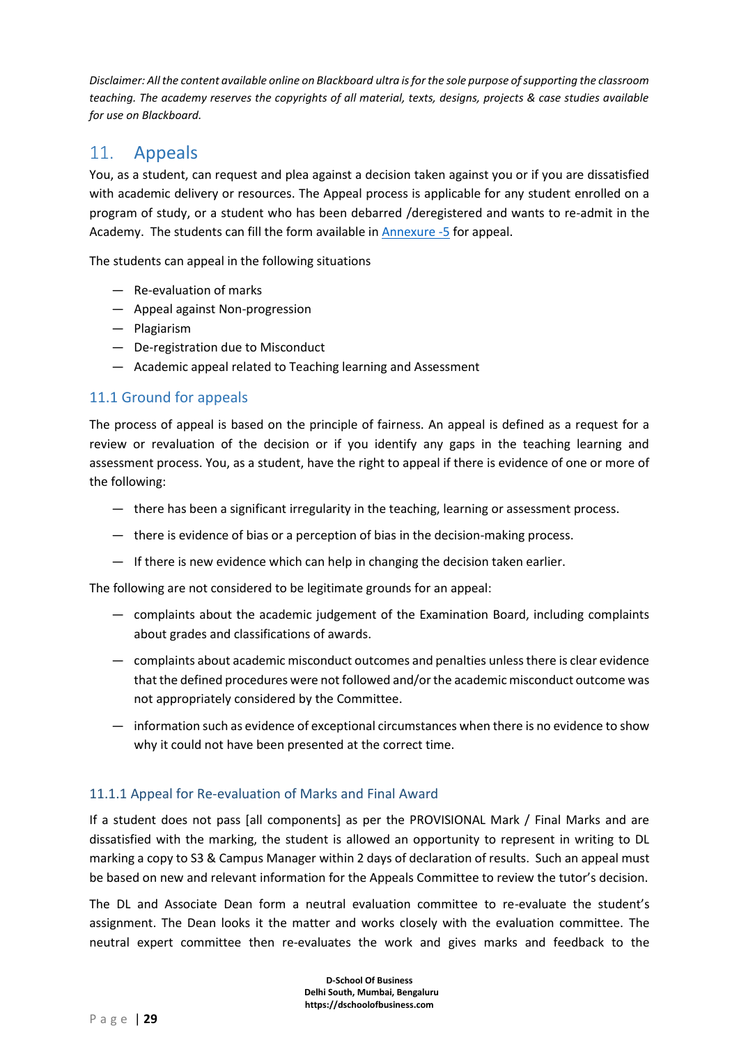*Disclaimer: All the content available online on Blackboard ultra is for the sole purpose of supporting the classroom teaching. The academy reserves the copyrights of all material, texts, designs, projects & case studies available for use on Blackboard.* 

## <span id="page-28-0"></span>11. Appeals

You, as a student, can request and plea against a decision taken against you or if you are dissatisfied with academic delivery or resources. The Appeal process is applicable for any student enrolled on a program of study, or a student who has been debarred /deregistered and wants to re-admit in the Academy. The students can fill the form available i[n Annexure -5](#page-73-0) for appeal.

The students can appeal in the following situations

- ― Re-evaluation of marks
- ― Appeal against Non-progression
- ― Plagiarism
- ― De-registration due to Misconduct
- ― Academic appeal related to Teaching learning and Assessment

## <span id="page-28-1"></span>11.1 Ground for appeals

The process of appeal is based on the principle of fairness. An appeal is defined as a request for a review or revaluation of the decision or if you identify any gaps in the teaching learning and assessment process. You, as a student, have the right to appeal if there is evidence of one or more of the following:

- ― there has been a significant irregularity in the teaching, learning or assessment process.
- ― there is evidence of bias or a perception of bias in the decision-making process.
- ― If there is new evidence which can help in changing the decision taken earlier.

The following are not considered to be legitimate grounds for an appeal:

- ― complaints about the academic judgement of the Examination Board, including complaints about grades and classifications of awards.
- ― complaints about academic misconduct outcomes and penalties unless there is clear evidence that the defined procedures were not followed and/or the academic misconduct outcome was not appropriately considered by the Committee.
- ― information such as evidence of exceptional circumstances when there is no evidence to show why it could not have been presented at the correct time.

#### <span id="page-28-2"></span>11.1.1 Appeal for Re-evaluation of Marks and Final Award

If a student does not pass [all components] as per the PROVISIONAL Mark / Final Marks and are dissatisfied with the marking, the student is allowed an opportunity to represent in writing to DL marking a copy to S3 & Campus Manager within 2 days of declaration of results. Such an appeal must be based on new and relevant information for the Appeals Committee to review the tutor's decision.

The DL and Associate Dean form a neutral evaluation committee to re-evaluate the student's assignment. The Dean looks it the matter and works closely with the evaluation committee. The neutral expert committee then re-evaluates the work and gives marks and feedback to the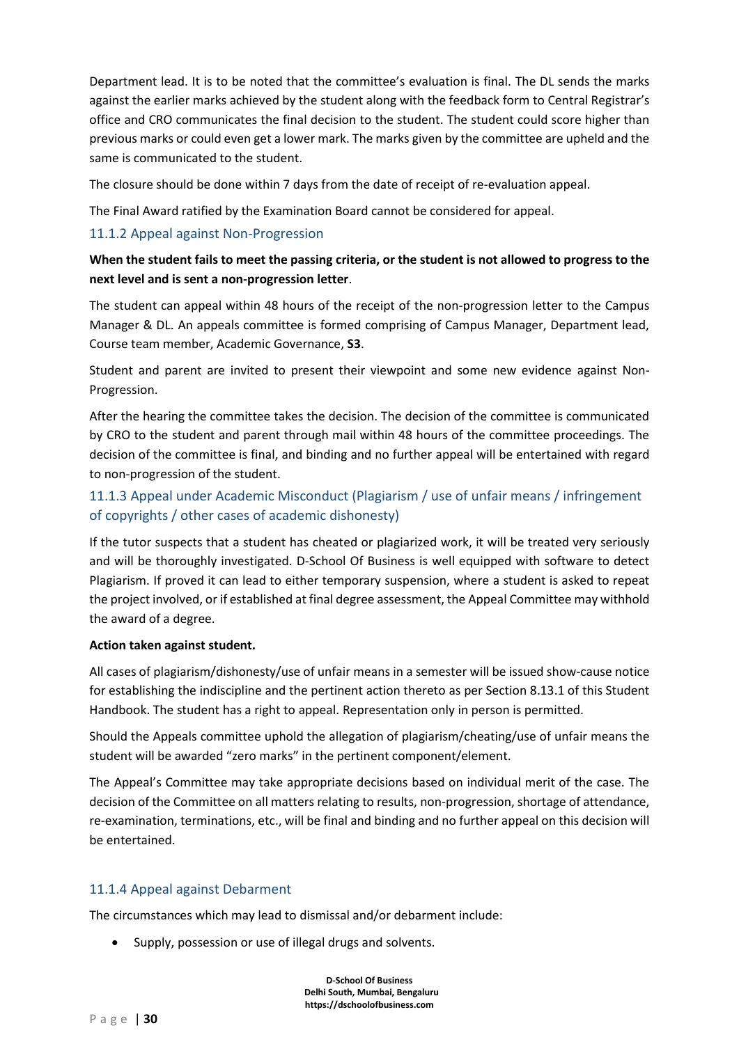Department lead. It is to be noted that the committee's evaluation is final. The DL sends the marks against the earlier marks achieved by the student along with the feedback form to Central Registrar's office and CRO communicates the final decision to the student. The student could score higher than previous marks or could even get a lower mark. The marks given by the committee are upheld and the same is communicated to the student.

The closure should be done within 7 days from the date of receipt of re-evaluation appeal.

The Final Award ratified by the Examination Board cannot be considered for appeal.

#### <span id="page-29-0"></span>11.1.2 Appeal against Non-Progression

### **When the student fails to meet the passing criteria, or the student is not allowed to progress to the next level and is sent a non-progression letter**.

The student can appeal within 48 hours of the receipt of the non-progression letter to the Campus Manager & DL. An appeals committee is formed comprising of Campus Manager, Department lead, Course team member, Academic Governance, **S3**.

Student and parent are invited to present their viewpoint and some new evidence against Non-Progression.

After the hearing the committee takes the decision. The decision of the committee is communicated by CRO to the student and parent through mail within 48 hours of the committee proceedings. The decision of the committee is final, and binding and no further appeal will be entertained with regard to non-progression of the student.

## <span id="page-29-1"></span>11.1.3 Appeal under Academic Misconduct (Plagiarism / use of unfair means / infringement of copyrights / other cases of academic dishonesty)

If the tutor suspects that a student has cheated or plagiarized work, it will be treated very seriously and will be thoroughly investigated. D-School Of Business is well equipped with software to detect Plagiarism. If proved it can lead to either temporary suspension, where a student is asked to repeat the project involved, or if established at final degree assessment, the Appeal Committee may withhold the award of a degree.

#### **Action taken against student.**

All cases of plagiarism/dishonesty/use of unfair means in a semester will be issued show-cause notice for establishing the indiscipline and the pertinent action thereto as per Section 8.13.1 of this Student Handbook. The student has a right to appeal. Representation only in person is permitted.

Should the Appeals committee uphold the allegation of plagiarism/cheating/use of unfair means the student will be awarded "zero marks" in the pertinent component/element.

The Appeal's Committee may take appropriate decisions based on individual merit of the case. The decision of the Committee on all matters relating to results, non-progression, shortage of attendance, re-examination, terminations, etc., will be final and binding and no further appeal on this decision will be entertained.

#### <span id="page-29-2"></span>11.1.4 Appeal against Debarment

The circumstances which may lead to dismissal and/or debarment include:

• Supply, possession or use of illegal drugs and solvents.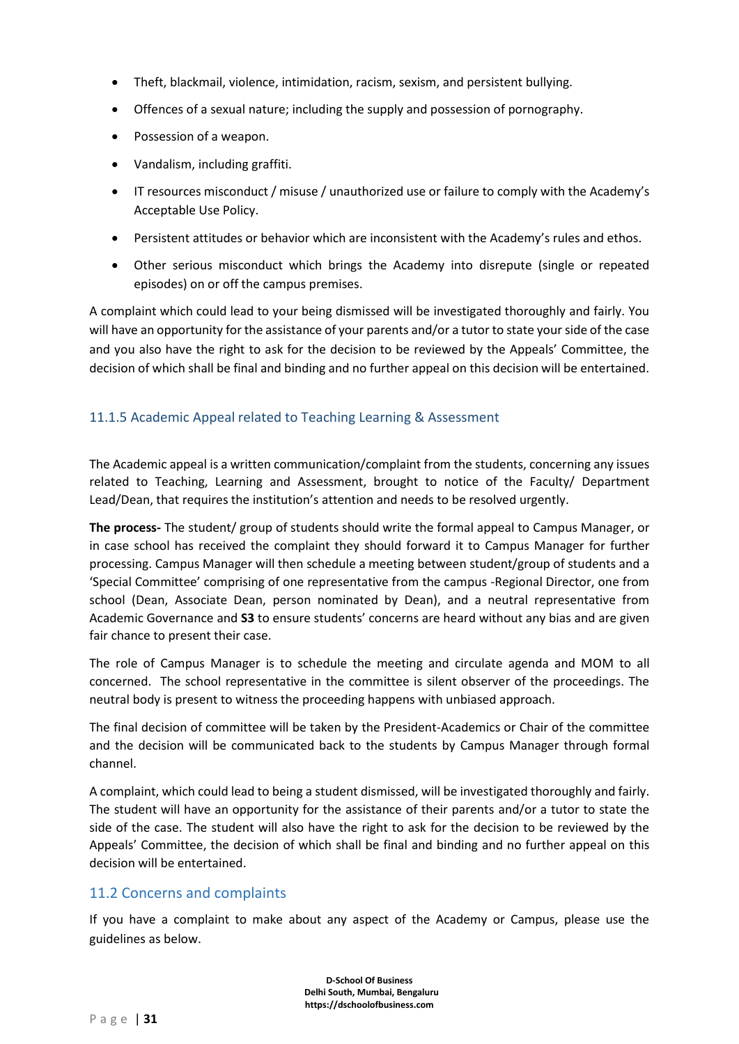- Theft, blackmail, violence, intimidation, racism, sexism, and persistent bullying.
- Offences of a sexual nature; including the supply and possession of pornography.
- Possession of a weapon.
- Vandalism, including graffiti.
- IT resources misconduct / misuse / unauthorized use or failure to comply with the Academy's Acceptable Use Policy.
- Persistent attitudes or behavior which are inconsistent with the Academy's rules and ethos.
- Other serious misconduct which brings the Academy into disrepute (single or repeated episodes) on or off the campus premises.

A complaint which could lead to your being dismissed will be investigated thoroughly and fairly. You will have an opportunity for the assistance of your parents and/or a tutor to state your side of the case and you also have the right to ask for the decision to be reviewed by the Appeals' Committee, the decision of which shall be final and binding and no further appeal on this decision will be entertained.

#### <span id="page-30-0"></span>11.1.5 Academic Appeal related to Teaching Learning & Assessment

The Academic appeal is a written communication/complaint from the students, concerning any issues related to Teaching, Learning and Assessment, brought to notice of the Faculty/ Department Lead/Dean, that requires the institution's attention and needs to be resolved urgently.

**The process-** The student/ group of students should write the formal appeal to Campus Manager, or in case school has received the complaint they should forward it to Campus Manager for further processing. Campus Manager will then schedule a meeting between student/group of students and a 'Special Committee' comprising of one representative from the campus -Regional Director, one from school (Dean, Associate Dean, person nominated by Dean), and a neutral representative from Academic Governance and **S3** to ensure students' concerns are heard without any bias and are given fair chance to present their case.

The role of Campus Manager is to schedule the meeting and circulate agenda and MOM to all concerned. The school representative in the committee is silent observer of the proceedings. The neutral body is present to witness the proceeding happens with unbiased approach.

The final decision of committee will be taken by the President-Academics or Chair of the committee and the decision will be communicated back to the students by Campus Manager through formal channel.

A complaint, which could lead to being a student dismissed, will be investigated thoroughly and fairly. The student will have an opportunity for the assistance of their parents and/or a tutor to state the side of the case. The student will also have the right to ask for the decision to be reviewed by the Appeals' Committee, the decision of which shall be final and binding and no further appeal on this decision will be entertained.

#### <span id="page-30-1"></span>11.2 Concerns and complaints

If you have a complaint to make about any aspect of the Academy or Campus, please use the guidelines as below.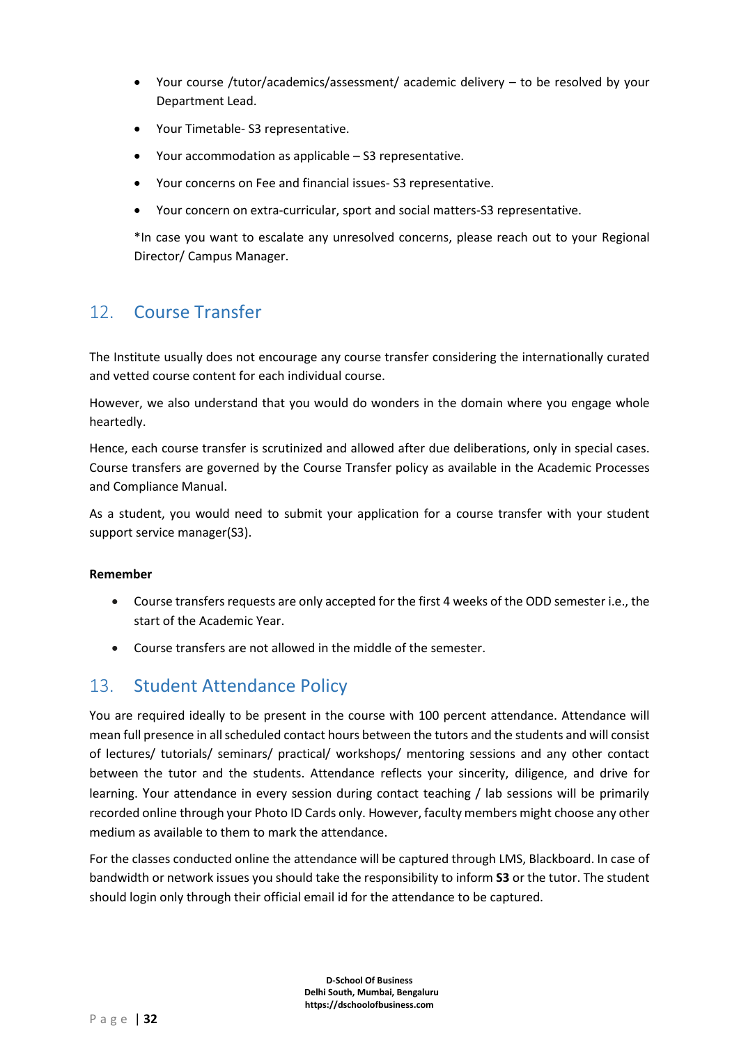- Your course /tutor/academics/assessment/ academic delivery to be resolved by your Department Lead.
- Your Timetable- S3 representative.
- Your accommodation as applicable S3 representative.
- Your concerns on Fee and financial issues- S3 representative.
- Your concern on extra-curricular, sport and social matters-S3 representative.

\*In case you want to escalate any unresolved concerns, please reach out to your Regional Director/ Campus Manager.

## <span id="page-31-0"></span>12. Course Transfer

The Institute usually does not encourage any course transfer considering the internationally curated and vetted course content for each individual course.

However, we also understand that you would do wonders in the domain where you engage whole heartedly.

Hence, each course transfer is scrutinized and allowed after due deliberations, only in special cases. Course transfers are governed by the Course Transfer policy as available in the Academic Processes and Compliance Manual.

As a student, you would need to submit your application for a course transfer with your student support service manager(S3).

#### **Remember**

- Course transfers requests are only accepted for the first 4 weeks of the ODD semester i.e., the start of the Academic Year.
- Course transfers are not allowed in the middle of the semester.

## <span id="page-31-1"></span>13. Student Attendance Policy

You are required ideally to be present in the course with 100 percent attendance. Attendance will mean full presence in all scheduled contact hours between the tutors and the students and will consist of lectures/ tutorials/ seminars/ practical/ workshops/ mentoring sessions and any other contact between the tutor and the students. Attendance reflects your sincerity, diligence, and drive for learning. Your attendance in every session during contact teaching / lab sessions will be primarily recorded online through your Photo ID Cards only. However, faculty members might choose any other medium as available to them to mark the attendance.

For the classes conducted online the attendance will be captured through LMS, Blackboard. In case of bandwidth or network issues you should take the responsibility to inform **S3** or the tutor. The student should login only through their official email id for the attendance to be captured.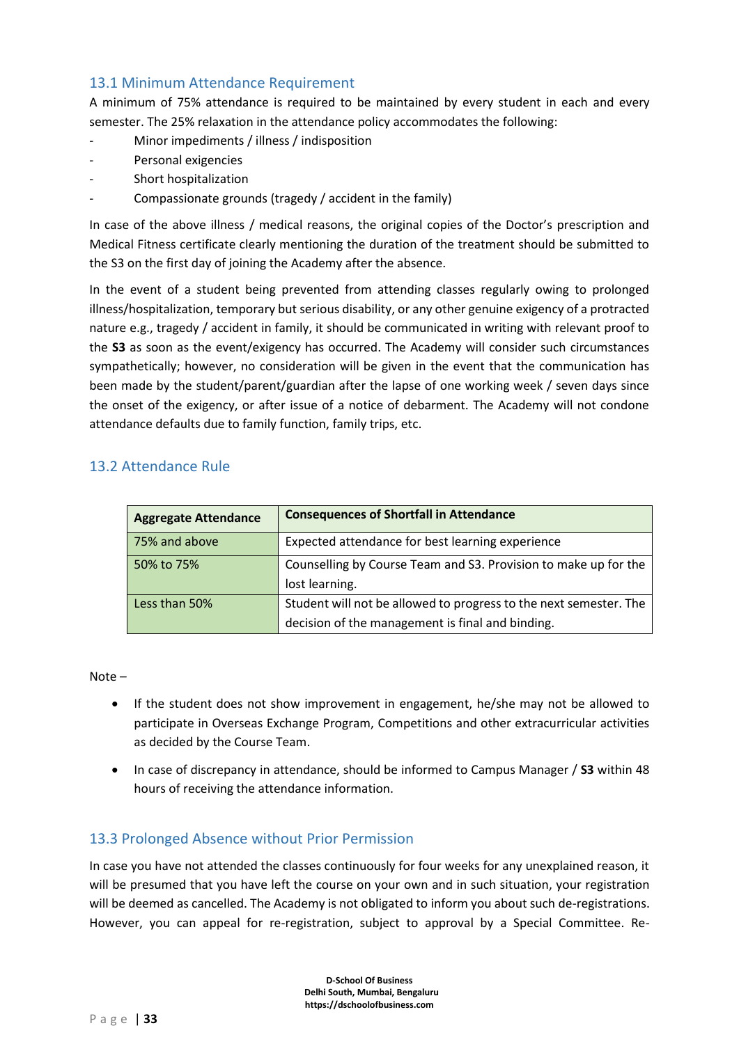## <span id="page-32-0"></span>13.1 Minimum Attendance Requirement

A minimum of 75% attendance is required to be maintained by every student in each and every semester. The 25% relaxation in the attendance policy accommodates the following:

- Minor impediments / illness / indisposition
- Personal exigencies
- Short hospitalization
- Compassionate grounds (tragedy / accident in the family)

In case of the above illness / medical reasons, the original copies of the Doctor's prescription and Medical Fitness certificate clearly mentioning the duration of the treatment should be submitted to the S3 on the first day of joining the Academy after the absence.

In the event of a student being prevented from attending classes regularly owing to prolonged illness/hospitalization, temporary but serious disability, or any other genuine exigency of a protracted nature e.g., tragedy / accident in family, it should be communicated in writing with relevant proof to the **S3** as soon as the event/exigency has occurred. The Academy will consider such circumstances sympathetically; however, no consideration will be given in the event that the communication has been made by the student/parent/guardian after the lapse of one working week / seven days since the onset of the exigency, or after issue of a notice of debarment. The Academy will not condone attendance defaults due to family function, family trips, etc.

## <span id="page-32-1"></span>13.2 Attendance Rule

| <b>Aggregate Attendance</b> | <b>Consequences of Shortfall in Attendance</b>                    |
|-----------------------------|-------------------------------------------------------------------|
| 75% and above               | Expected attendance for best learning experience                  |
| 50% to 75%                  | Counselling by Course Team and S3. Provision to make up for the   |
|                             | lost learning.                                                    |
| Less than 50%               | Student will not be allowed to progress to the next semester. The |
|                             | decision of the management is final and binding.                  |

Note –

- If the student does not show improvement in engagement, he/she may not be allowed to participate in Overseas Exchange Program, Competitions and other extracurricular activities as decided by the Course Team.
- In case of discrepancy in attendance, should be informed to Campus Manager / **S3** within 48 hours of receiving the attendance information.

## <span id="page-32-2"></span>13.3 Prolonged Absence without Prior Permission

In case you have not attended the classes continuously for four weeks for any unexplained reason, it will be presumed that you have left the course on your own and in such situation, your registration will be deemed as cancelled. The Academy is not obligated to inform you about such de-registrations. However, you can appeal for re-registration, subject to approval by a Special Committee. Re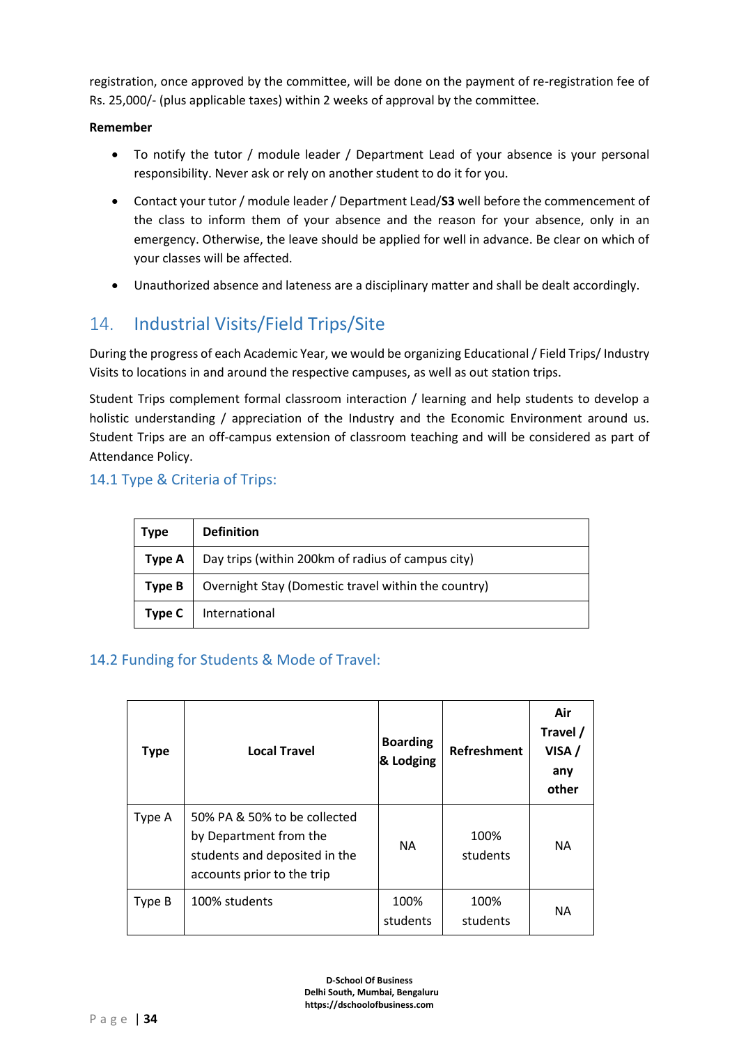registration, once approved by the committee, will be done on the payment of re-registration fee of Rs. 25,000/- (plus applicable taxes) within 2 weeks of approval by the committee.

#### **Remember**

- To notify the tutor / module leader / Department Lead of your absence is your personal responsibility. Never ask or rely on another student to do it for you.
- Contact your tutor / module leader / Department Lead/**S3** well before the commencement of the class to inform them of your absence and the reason for your absence, only in an emergency. Otherwise, the leave should be applied for well in advance. Be clear on which of your classes will be affected.
- Unauthorized absence and lateness are a disciplinary matter and shall be dealt accordingly.

# <span id="page-33-0"></span>14. Industrial Visits/Field Trips/Site

During the progress of each Academic Year, we would be organizing Educational / Field Trips/ Industry Visits to locations in and around the respective campuses, as well as out station trips.

Student Trips complement formal classroom interaction / learning and help students to develop a holistic understanding / appreciation of the Industry and the Economic Environment around us. Student Trips are an off-campus extension of classroom teaching and will be considered as part of Attendance Policy.

## <span id="page-33-1"></span>14.1 Type & Criteria of Trips:

| <b>Type</b> | <b>Definition</b>                                   |
|-------------|-----------------------------------------------------|
| Type A      | Day trips (within 200km of radius of campus city)   |
| Type B      | Overnight Stay (Domestic travel within the country) |
| Type C      | International                                       |

## <span id="page-33-2"></span>14.2 Funding for Students & Mode of Travel:

| <b>Type</b> | <b>Local Travel</b>                                                                                                   | <b>Boarding</b><br>& Lodging | <b>Refreshment</b> | Air<br>Travel /<br>VISA/<br>any<br>other |
|-------------|-----------------------------------------------------------------------------------------------------------------------|------------------------------|--------------------|------------------------------------------|
| Type A      | 50% PA & 50% to be collected<br>by Department from the<br>students and deposited in the<br>accounts prior to the trip | <b>NA</b>                    | 100%<br>students   | <b>NA</b>                                |
| Type B      | 100% students                                                                                                         | 100%<br>students             | 100%<br>students   | <b>NA</b>                                |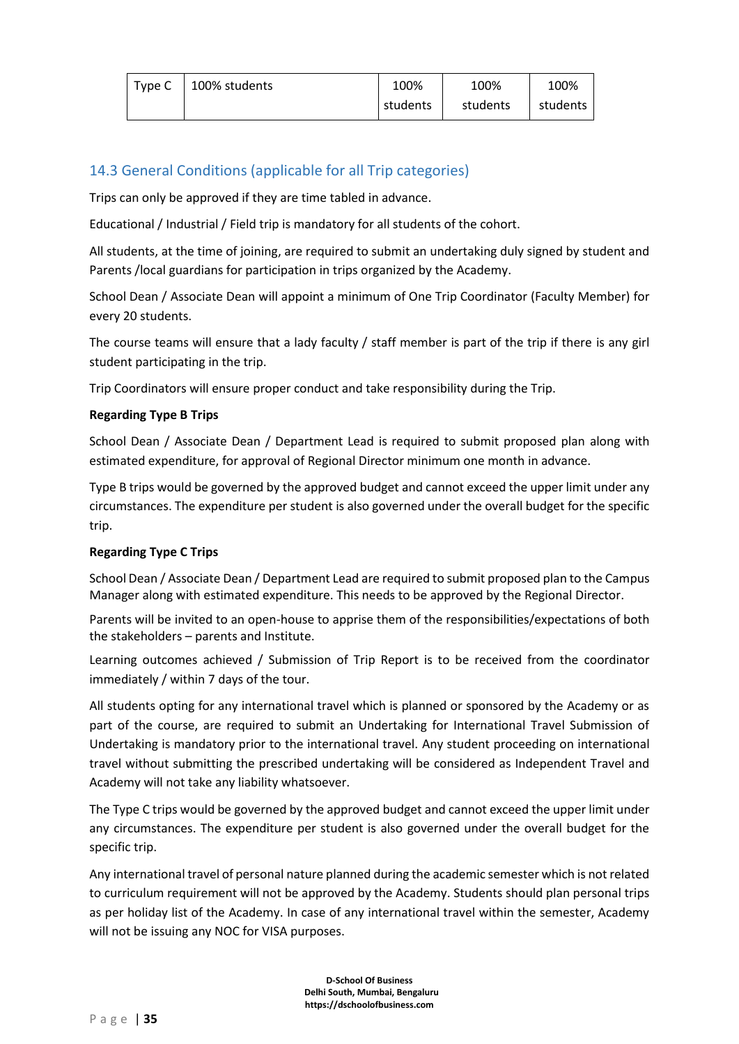| Type C | 100% students | 100%     | 100%     | 100%     |
|--------|---------------|----------|----------|----------|
|        |               | students | students | students |

## <span id="page-34-0"></span>14.3 General Conditions (applicable for all Trip categories)

Trips can only be approved if they are time tabled in advance.

Educational / Industrial / Field trip is mandatory for all students of the cohort.

All students, at the time of joining, are required to submit an undertaking duly signed by student and Parents /local guardians for participation in trips organized by the Academy.

School Dean / Associate Dean will appoint a minimum of One Trip Coordinator (Faculty Member) for every 20 students.

The course teams will ensure that a lady faculty / staff member is part of the trip if there is any girl student participating in the trip.

Trip Coordinators will ensure proper conduct and take responsibility during the Trip.

#### **Regarding Type B Trips**

School Dean / Associate Dean / Department Lead is required to submit proposed plan along with estimated expenditure, for approval of Regional Director minimum one month in advance.

Type B trips would be governed by the approved budget and cannot exceed the upper limit under any circumstances. The expenditure per student is also governed under the overall budget for the specific trip.

#### **Regarding Type C Trips**

School Dean / Associate Dean / Department Lead are required to submit proposed plan to the Campus Manager along with estimated expenditure. This needs to be approved by the Regional Director.

Parents will be invited to an open-house to apprise them of the responsibilities/expectations of both the stakeholders – parents and Institute.

Learning outcomes achieved / Submission of Trip Report is to be received from the coordinator immediately / within 7 days of the tour.

All students opting for any international travel which is planned or sponsored by the Academy or as part of the course, are required to submit an Undertaking for International Travel Submission of Undertaking is mandatory prior to the international travel. Any student proceeding on international travel without submitting the prescribed undertaking will be considered as Independent Travel and Academy will not take any liability whatsoever.

The Type C trips would be governed by the approved budget and cannot exceed the upper limit under any circumstances. The expenditure per student is also governed under the overall budget for the specific trip.

Any international travel of personal nature planned during the academic semester which is not related to curriculum requirement will not be approved by the Academy. Students should plan personal trips as per holiday list of the Academy. In case of any international travel within the semester, Academy will not be issuing any NOC for VISA purposes.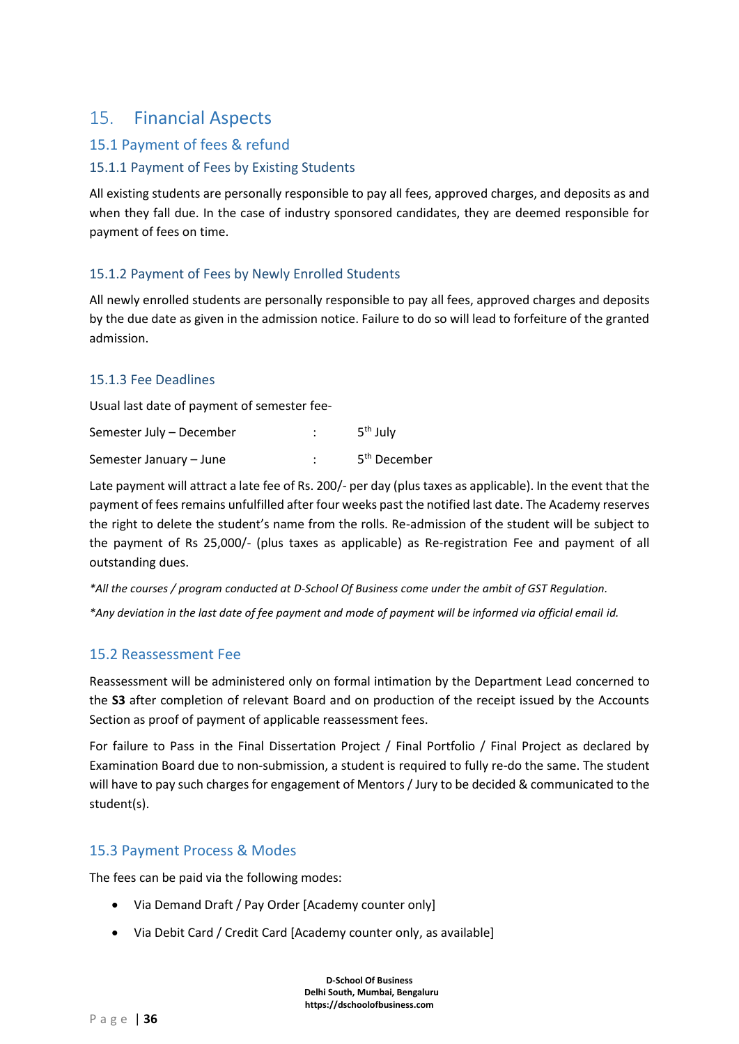## <span id="page-35-0"></span>15. Financial Aspects

## <span id="page-35-1"></span>15.1 Payment of fees & refund

#### <span id="page-35-2"></span>15.1.1 Payment of Fees by Existing Students

All existing students are personally responsible to pay all fees, approved charges, and deposits as and when they fall due. In the case of industry sponsored candidates, they are deemed responsible for payment of fees on time.

#### <span id="page-35-3"></span>15.1.2 Payment of Fees by Newly Enrolled Students

All newly enrolled students are personally responsible to pay all fees, approved charges and deposits by the due date as given in the admission notice. Failure to do so will lead to forfeiture of the granted admission.

#### <span id="page-35-4"></span>15.1.3 Fee Deadlines

Usual last date of payment of semester fee-

| Semester July - December | 5 <sup>th</sup> July     |
|--------------------------|--------------------------|
| Semester January – June  | 5 <sup>th</sup> December |

Late payment will attract a late fee of Rs. 200/- per day (plus taxes as applicable). In the event that the payment of fees remains unfulfilled after four weeks past the notified last date. The Academy reserves the right to delete the student's name from the rolls. Re-admission of the student will be subject to the payment of Rs 25,000/- (plus taxes as applicable) as Re-registration Fee and payment of all outstanding dues.

*\*All the courses / program conducted at D-School Of Business come under the ambit of GST Regulation.*

*\*Any deviation in the last date of fee payment and mode of payment will be informed via official email id.*

## <span id="page-35-5"></span>15.2 Reassessment Fee

Reassessment will be administered only on formal intimation by the Department Lead concerned to the **S3** after completion of relevant Board and on production of the receipt issued by the Accounts Section as proof of payment of applicable reassessment fees.

For failure to Pass in the Final Dissertation Project / Final Portfolio / Final Project as declared by Examination Board due to non-submission, a student is required to fully re-do the same. The student will have to pay such charges for engagement of Mentors / Jury to be decided & communicated to the student(s).

## <span id="page-35-6"></span>15.3 Payment Process & Modes

The fees can be paid via the following modes:

- Via Demand Draft / Pay Order [Academy counter only]
- Via Debit Card / Credit Card [Academy counter only, as available]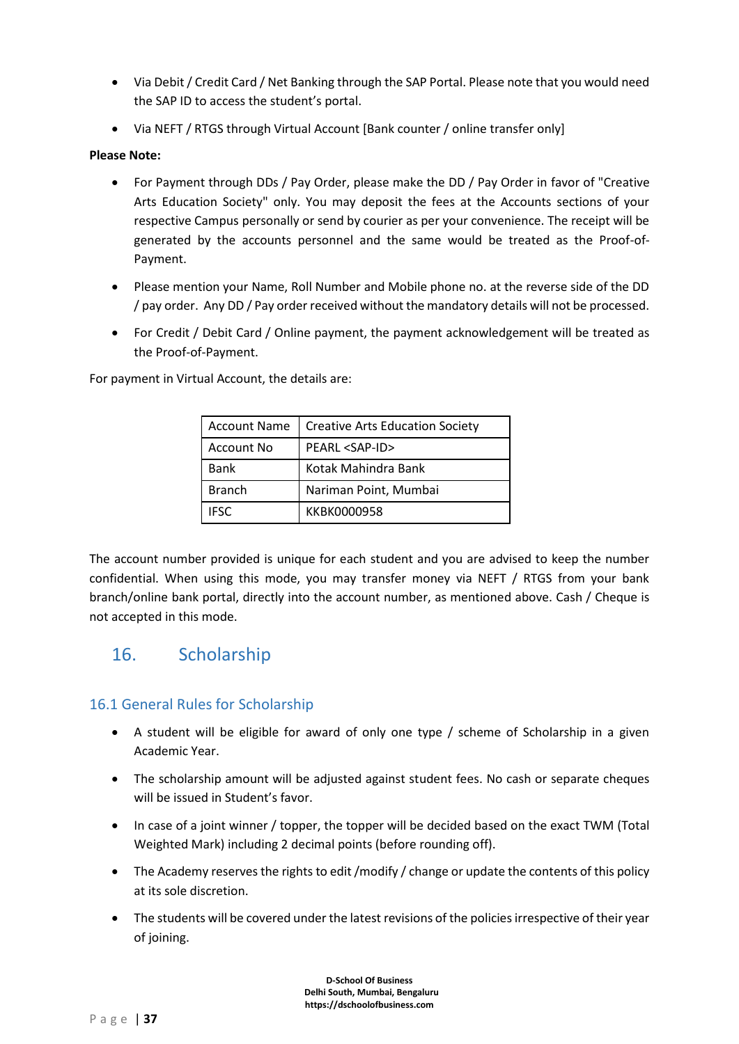- Via Debit / Credit Card / Net Banking through the SAP Portal. Please note that you would need the SAP ID to access the student's portal.
- Via NEFT / RTGS through Virtual Account [Bank counter / online transfer only]

#### **Please Note:**

- For Payment through DDs / Pay Order, please make the DD / Pay Order in favor of "Creative Arts Education Society" only. You may deposit the fees at the Accounts sections of your respective Campus personally or send by courier as per your convenience. The receipt will be generated by the accounts personnel and the same would be treated as the Proof-of-Payment.
- Please mention your Name, Roll Number and Mobile phone no. at the reverse side of the DD / pay order. Any DD / Pay order received without the mandatory details will not be processed.
- For Credit / Debit Card / Online payment, the payment acknowledgement will be treated as the Proof-of-Payment.

For payment in Virtual Account, the details are:

| <b>Account Name</b> | <b>Creative Arts Education Society</b> |
|---------------------|----------------------------------------|
| Account No          | PEARL <sap-id></sap-id>                |
| <b>Bank</b>         | Kotak Mahindra Bank                    |
| <b>Branch</b>       | Nariman Point, Mumbai                  |
| <b>IESC</b>         | KKBK0000958                            |

The account number provided is unique for each student and you are advised to keep the number confidential. When using this mode, you may transfer money via NEFT / RTGS from your bank branch/online bank portal, directly into the account number, as mentioned above. Cash / Cheque is not accepted in this mode.

# 16. Scholarship

# 16.1 General Rules for Scholarship

- A student will be eligible for award of only one type / scheme of Scholarship in a given Academic Year.
- The scholarship amount will be adjusted against student fees. No cash or separate cheques will be issued in Student's favor.
- In case of a joint winner / topper, the topper will be decided based on the exact TWM (Total Weighted Mark) including 2 decimal points (before rounding off).
- The Academy reserves the rights to edit /modify / change or update the contents of this policy at its sole discretion.
- The students will be covered under the latest revisions of the policies irrespective of their year of joining.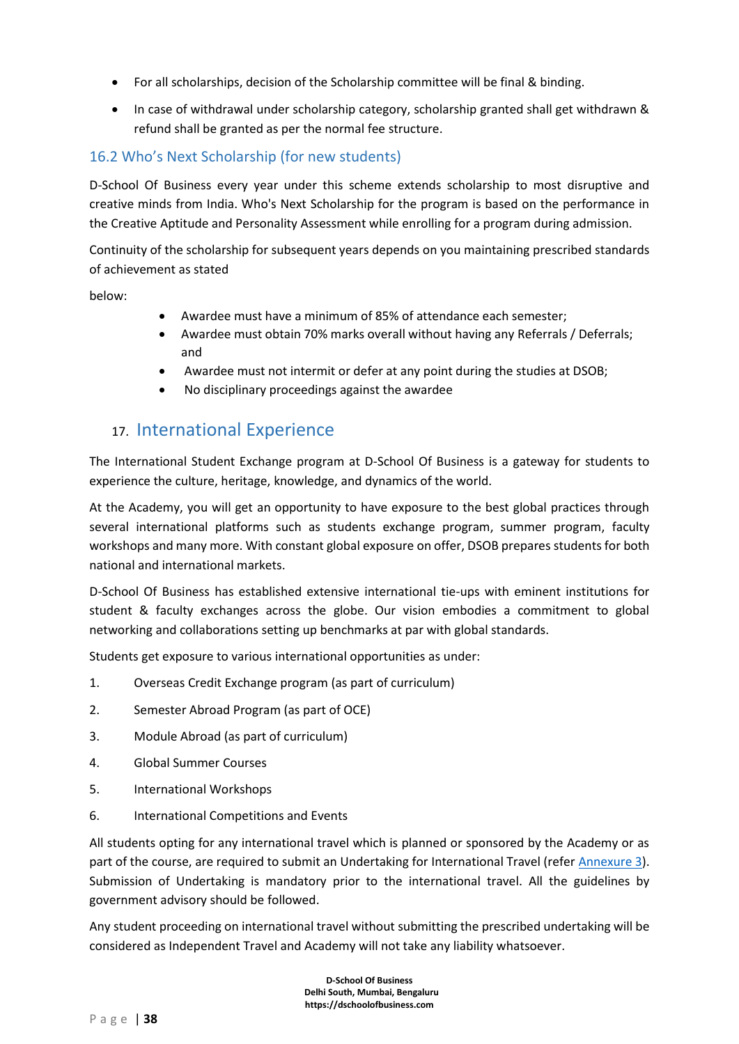- For all scholarships, decision of the Scholarship committee will be final & binding.
- In case of withdrawal under scholarship category, scholarship granted shall get withdrawn & refund shall be granted as per the normal fee structure.

# 16.2 Who's Next Scholarship (for new students)

D-School Of Business every year under this scheme extends scholarship to most disruptive and creative minds from India. Who's Next Scholarship for the program is based on the performance in the Creative Aptitude and Personality Assessment while enrolling for a program during admission.

Continuity of the scholarship for subsequent years depends on you maintaining prescribed standards of achievement as stated

below:

- Awardee must have a minimum of 85% of attendance each semester;
- Awardee must obtain 70% marks overall without having any Referrals / Deferrals; and
- Awardee must not intermit or defer at any point during the studies at DSOB;
- No disciplinary proceedings against the awardee

# 17. International Experience

The International Student Exchange program at D-School Of Business is a gateway for students to experience the culture, heritage, knowledge, and dynamics of the world.

At the Academy, you will get an opportunity to have exposure to the best global practices through several international platforms such as students exchange program, summer program, faculty workshops and many more. With constant global exposure on offer, DSOB prepares students for both national and international markets.

D-School Of Business has established extensive international tie-ups with eminent institutions for student & faculty exchanges across the globe. Our vision embodies a commitment to global networking and collaborations setting up benchmarks at par with global standards.

Students get exposure to various international opportunities as under:

- 1. Overseas Credit Exchange program (as part of curriculum)
- 2. Semester Abroad Program (as part of OCE)
- 3. Module Abroad (as part of curriculum)
- 4. Global Summer Courses
- 5. International Workshops
- 6. International Competitions and Events

All students opting for any international travel which is planned or sponsored by the Academy or as part of the course, are required to submit an Undertaking for International Travel (refer [Annexure](#page-71-0) 3). Submission of Undertaking is mandatory prior to the international travel. All the guidelines by government advisory should be followed.

Any student proceeding on international travel without submitting the prescribed undertaking will be considered as Independent Travel and Academy will not take any liability whatsoever.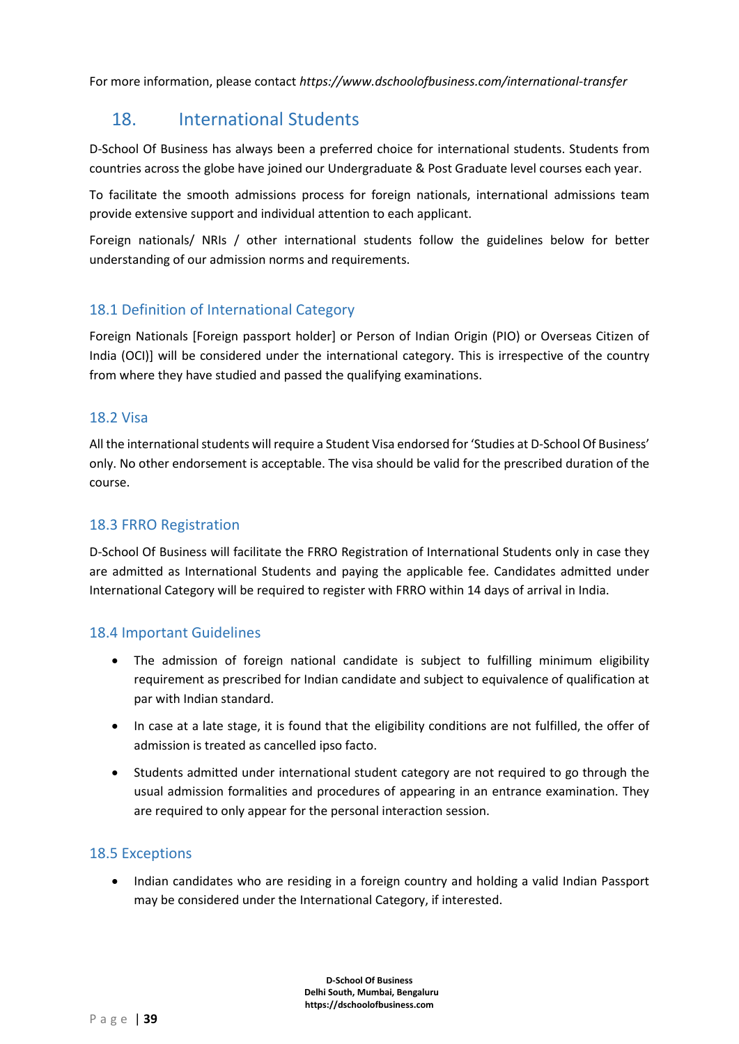For more information, please contact *https://www.dschoolofbusiness.com/international-transfer*

# 18. International Students

D-School Of Business has always been a preferred choice for international students. Students from countries across the globe have joined our Undergraduate & Post Graduate level courses each year.

To facilitate the smooth admissions process for foreign nationals, international admissions team provide extensive support and individual attention to each applicant.

Foreign nationals/ NRIs / other international students follow the guidelines below for better understanding of our admission norms and requirements.

# 18.1 Definition of International Category

Foreign Nationals [Foreign passport holder] or Person of Indian Origin (PIO) or Overseas Citizen of India (OCI)] will be considered under the international category. This is irrespective of the country from where they have studied and passed the qualifying examinations.

# 18.2 Visa

All the international students will require a Student Visa endorsed for 'Studies at D-School Of Business' only. No other endorsement is acceptable. The visa should be valid for the prescribed duration of the course.

# 18.3 FRRO Registration

D-School Of Business will facilitate the FRRO Registration of International Students only in case they are admitted as International Students and paying the applicable fee. Candidates admitted under International Category will be required to register with FRRO within 14 days of arrival in India.

# 18.4 Important Guidelines

- The admission of foreign national candidate is subject to fulfilling minimum eligibility requirement as prescribed for Indian candidate and subject to equivalence of qualification at par with Indian standard.
- In case at a late stage, it is found that the eligibility conditions are not fulfilled, the offer of admission is treated as cancelled ipso facto.
- Students admitted under international student category are not required to go through the usual admission formalities and procedures of appearing in an entrance examination. They are required to only appear for the personal interaction session.

# 18.5 Exceptions

• Indian candidates who are residing in a foreign country and holding a valid Indian Passport may be considered under the International Category, if interested.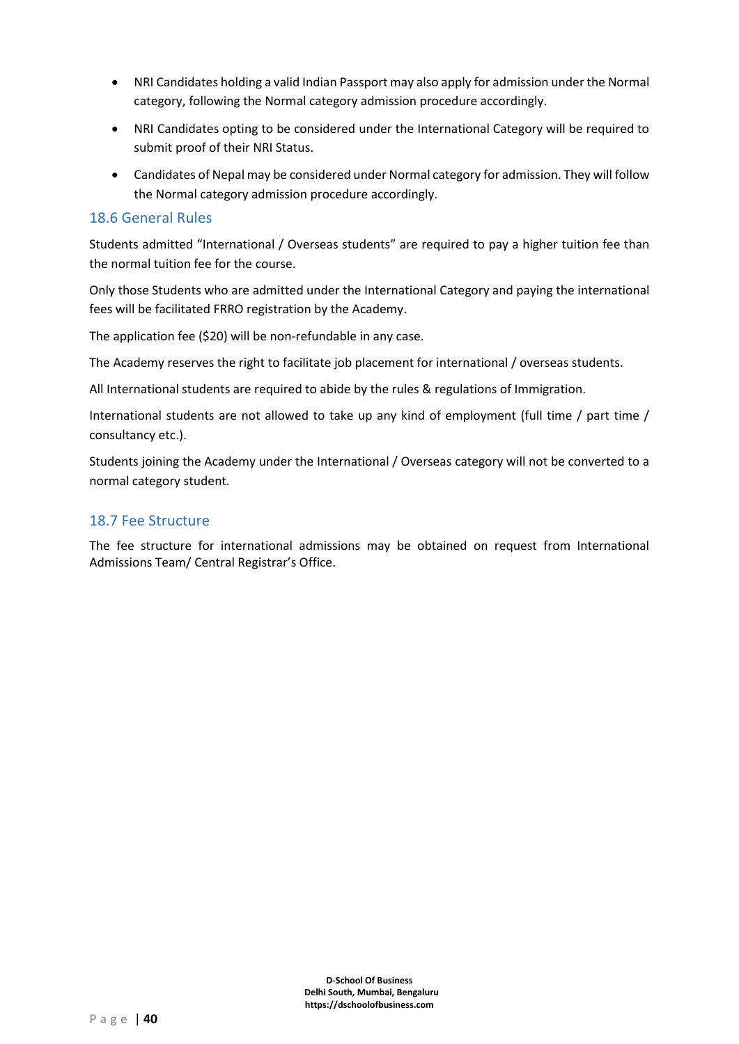- NRI Candidates holding a valid Indian Passport may also apply for admission under the Normal category, following the Normal category admission procedure accordingly.
- NRI Candidates opting to be considered under the International Category will be required to submit proof of their NRI Status.
- Candidates of Nepal may be considered under Normal category for admission. They will follow the Normal category admission procedure accordingly.

### 18.6 General Rules

Students admitted "International / Overseas students" are required to pay a higher tuition fee than the normal tuition fee for the course.

Only those Students who are admitted under the International Category and paying the international fees will be facilitated FRRO registration by the Academy.

The application fee (\$20) will be non-refundable in any case.

The Academy reserves the right to facilitate job placement for international / overseas students.

All International students are required to abide by the rules & regulations of Immigration.

International students are not allowed to take up any kind of employment (full time / part time / consultancy etc.).

Students joining the Academy under the International / Overseas category will not be converted to a normal category student.

### 18.7 Fee Structure

The fee structure for international admissions may be obtained on request from International Admissions Team/ Central Registrar's Office.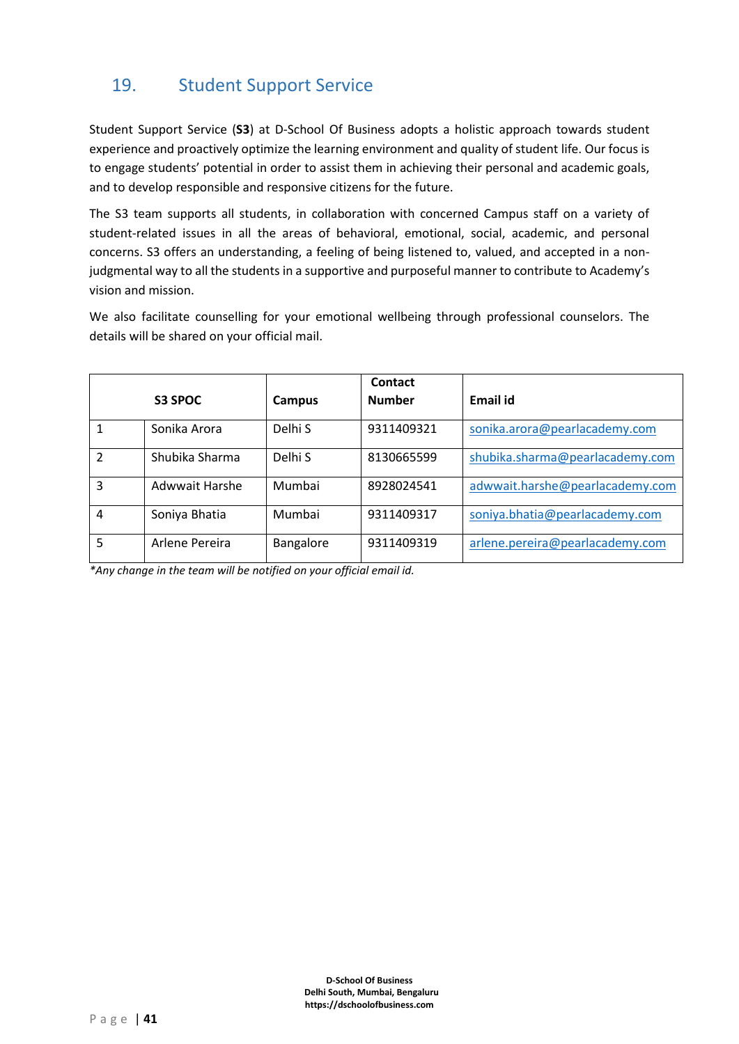# 19. Student Support Service

Student Support Service (**S3**) at D-School Of Business adopts a holistic approach towards student experience and proactively optimize the learning environment and quality of student life. Our focus is to engage students' potential in order to assist them in achieving their personal and academic goals, and to develop responsible and responsive citizens for the future.

The S3 team supports all students, in collaboration with concerned Campus staff on a variety of student-related issues in all the areas of behavioral, emotional, social, academic, and personal concerns. S3 offers an understanding, a feeling of being listened to, valued, and accepted in a nonjudgmental way to all the students in a supportive and purposeful manner to contribute to Academy's vision and mission.

We also facilitate counselling for your emotional wellbeing through professional counselors. The details will be shared on your official mail.

|   |                |           | Contact       |                                 |
|---|----------------|-----------|---------------|---------------------------------|
|   | S3 SPOC        | Campus    | <b>Number</b> | Email id                        |
|   | Sonika Arora   | Delhi S   | 9311409321    | sonika.arora@pearlacademy.com   |
| C | Shubika Sharma | Delhi S   | 8130665599    | shubika.sharma@pearlacademy.com |
| 3 | Adwwait Harshe | Mumbai    | 8928024541    | adwwait.harshe@pearlacademy.com |
| 4 | Soniya Bhatia  | Mumbai    | 9311409317    | soniya.bhatia@pearlacademy.com  |
| 5 | Arlene Pereira | Bangalore | 9311409319    | arlene.pereira@pearlacademy.com |

*\*Any change in the team will be notified on your official email id.*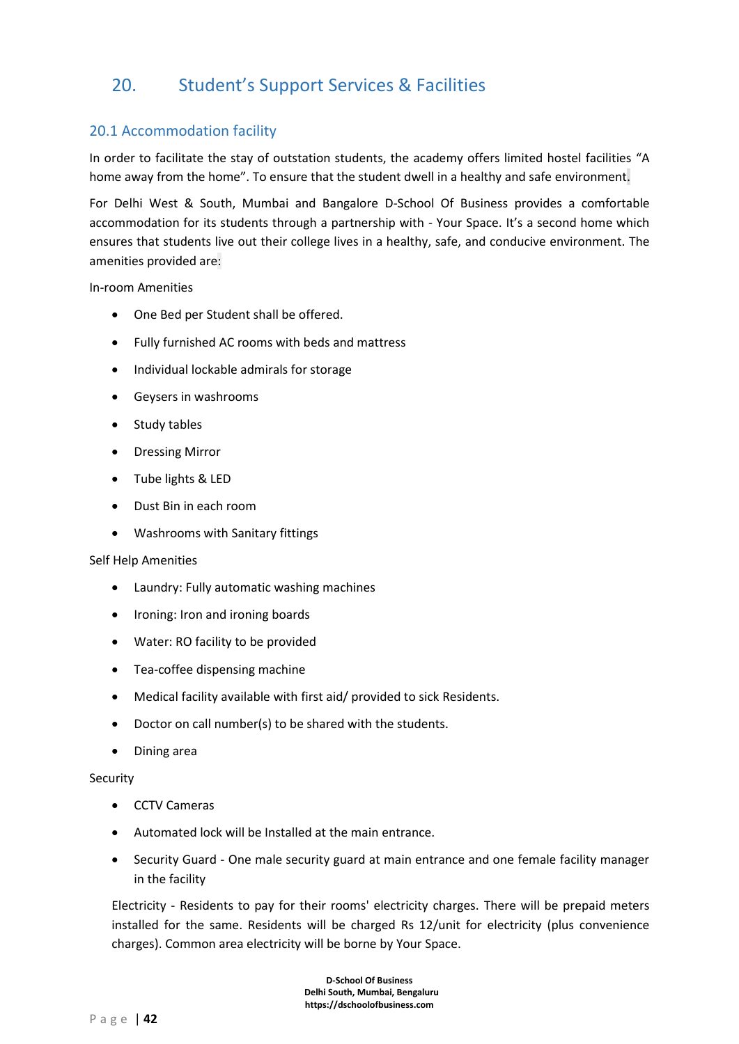# 20. Student's Support Services & Facilities

# 20.1 Accommodation facility

In order to facilitate the stay of outstation students, the academy offers limited hostel facilities "A home away from the home". To ensure that the student dwell in a healthy and safe environment.

For Delhi West & South, Mumbai and Bangalore D-School Of Business provides a comfortable accommodation for its students through a partnership with - Your Space. It's a second home which ensures that students live out their college lives in a healthy, safe, and conducive environment. The amenities provided are:

In-room Amenities

- One Bed per Student shall be offered.
- Fully furnished AC rooms with beds and mattress
- Individual lockable admirals for storage
- Geysers in washrooms
- Study tables
- Dressing Mirror
- Tube lights & LED
- Dust Bin in each room
- Washrooms with Sanitary fittings

#### Self Help Amenities

- Laundry: Fully automatic washing machines
- Ironing: Iron and ironing boards
- Water: RO facility to be provided
- Tea-coffee dispensing machine
- Medical facility available with first aid/ provided to sick Residents.
- Doctor on call number(s) to be shared with the students.
- Dining area

#### Security

- CCTV Cameras
- Automated lock will be Installed at the main entrance.
- Security Guard One male security guard at main entrance and one female facility manager in the facility

Electricity - Residents to pay for their rooms' electricity charges. There will be prepaid meters installed for the same. Residents will be charged Rs 12/unit for electricity (plus convenience charges). Common area electricity will be borne by Your Space.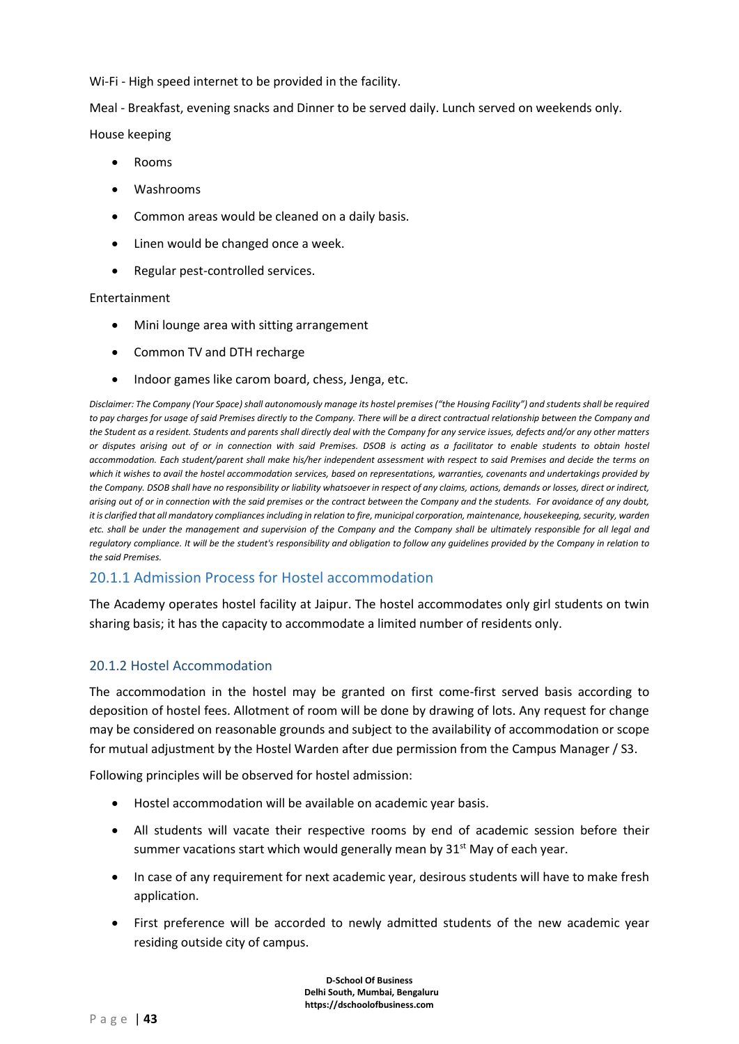Wi-Fi - High speed internet to be provided in the facility.

Meal - Breakfast, evening snacks and Dinner to be served daily. Lunch served on weekends only.

House keeping

- Rooms
- Washrooms
- Common areas would be cleaned on a daily basis.
- Linen would be changed once a week.
- Regular pest-controlled services.

#### Entertainment

- Mini lounge area with sitting arrangement
- Common TV and DTH recharge
- Indoor games like carom board, chess, Jenga, etc.

*Disclaimer: The Company (Your Space) shall autonomously manage its hostel premises ("the Housing Facility") and students shall be required to pay charges for usage of said Premises directly to the Company. There will be a direct contractual relationship between the Company and the Student as a resident. Students and parents shall directly deal with the Company for any service issues, defects and/or any other matters or disputes arising out of or in connection with said Premises. DSOB is acting as a facilitator to enable students to obtain hostel accommodation. Each student/parent shall make his/her independent assessment with respect to said Premises and decide the terms on which it wishes to avail the hostel accommodation services, based on representations, warranties, covenants and undertakings provided by the Company. DSOB shall have no responsibility or liability whatsoever in respect of any claims, actions, demands or losses, direct or indirect, arising out of or in connection with the said premises or the contract between the Company and the students. For avoidance of any doubt, it is clarified that all mandatory compliances including in relation to fire, municipal corporation, maintenance, housekeeping, security, warden etc. shall be under the management and supervision of the Company and the Company shall be ultimately responsible for all legal and regulatory compliance. It will be the student's responsibility and obligation to follow any guidelines provided by the Company in relation to the said Premises.*

# 20.1.1 Admission Process for Hostel accommodation

The Academy operates hostel facility at Jaipur. The hostel accommodates only girl students on twin sharing basis; it has the capacity to accommodate a limited number of residents only.

#### 20.1.2 Hostel Accommodation

The accommodation in the hostel may be granted on first come-first served basis according to deposition of hostel fees. Allotment of room will be done by drawing of lots. Any request for change may be considered on reasonable grounds and subject to the availability of accommodation or scope for mutual adjustment by the Hostel Warden after due permission from the Campus Manager / S3.

Following principles will be observed for hostel admission:

- Hostel accommodation will be available on academic year basis.
- All students will vacate their respective rooms by end of academic session before their summer vacations start which would generally mean by  $31^{st}$  May of each year.
- In case of any requirement for next academic year, desirous students will have to make fresh application.
- First preference will be accorded to newly admitted students of the new academic year residing outside city of campus.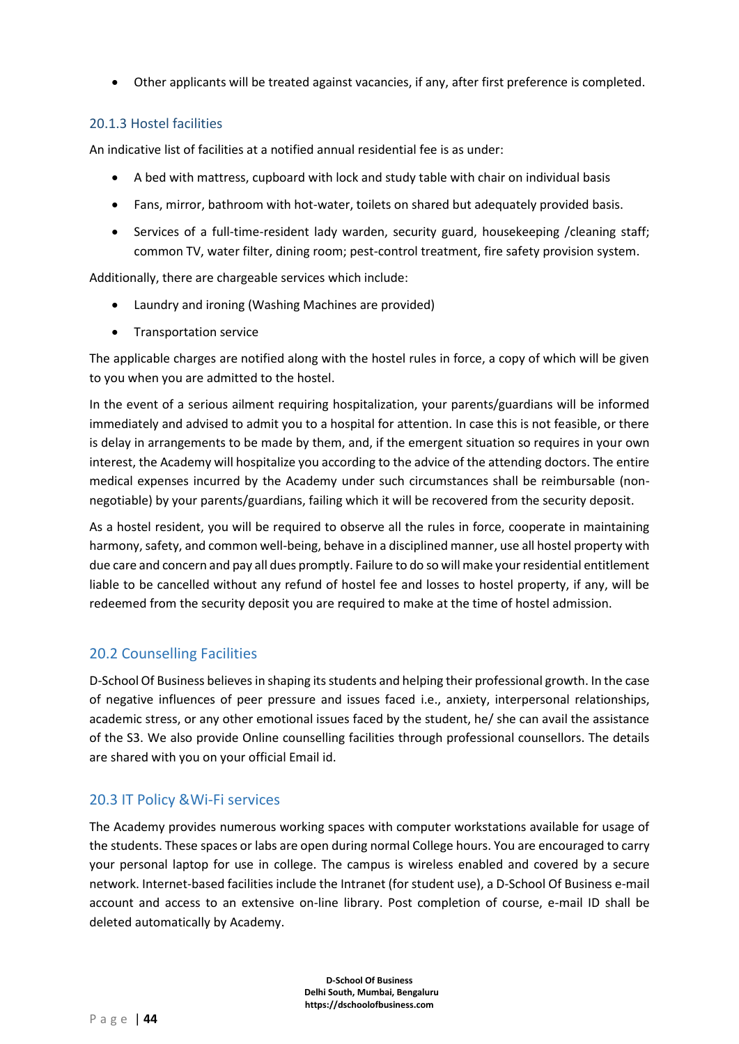• Other applicants will be treated against vacancies, if any, after first preference is completed.

### 20.1.3 Hostel facilities

An indicative list of facilities at a notified annual residential fee is as under:

- A bed with mattress, cupboard with lock and study table with chair on individual basis
- Fans, mirror, bathroom with hot-water, toilets on shared but adequately provided basis.
- Services of a full-time-resident lady warden, security guard, housekeeping /cleaning staff; common TV, water filter, dining room; pest-control treatment, fire safety provision system.

Additionally, there are chargeable services which include:

- Laundry and ironing (Washing Machines are provided)
- Transportation service

The applicable charges are notified along with the hostel rules in force, a copy of which will be given to you when you are admitted to the hostel.

In the event of a serious ailment requiring hospitalization, your parents/guardians will be informed immediately and advised to admit you to a hospital for attention. In case this is not feasible, or there is delay in arrangements to be made by them, and, if the emergent situation so requires in your own interest, the Academy will hospitalize you according to the advice of the attending doctors. The entire medical expenses incurred by the Academy under such circumstances shall be reimbursable (nonnegotiable) by your parents/guardians, failing which it will be recovered from the security deposit.

As a hostel resident, you will be required to observe all the rules in force, cooperate in maintaining harmony, safety, and common well-being, behave in a disciplined manner, use all hostel property with due care and concern and pay all dues promptly. Failure to do so will make your residential entitlement liable to be cancelled without any refund of hostel fee and losses to hostel property, if any, will be redeemed from the security deposit you are required to make at the time of hostel admission.

# 20.2 Counselling Facilities

D-School Of Business believes in shaping its students and helping their professional growth. In the case of negative influences of peer pressure and issues faced i.e., anxiety, interpersonal relationships, academic stress, or any other emotional issues faced by the student, he/ she can avail the assistance of the S3. We also provide Online counselling facilities through professional counsellors. The details are shared with you on your official Email id.

# 20.3 IT Policy &Wi-Fi services

The Academy provides numerous working spaces with computer workstations available for usage of the students. These spaces or labs are open during normal College hours. You are encouraged to carry your personal laptop for use in college. The campus is wireless enabled and covered by a secure network. Internet-based facilities include the Intranet (for student use), a D-School Of Business e-mail account and access to an extensive on-line library. Post completion of course, e-mail ID shall be deleted automatically by Academy.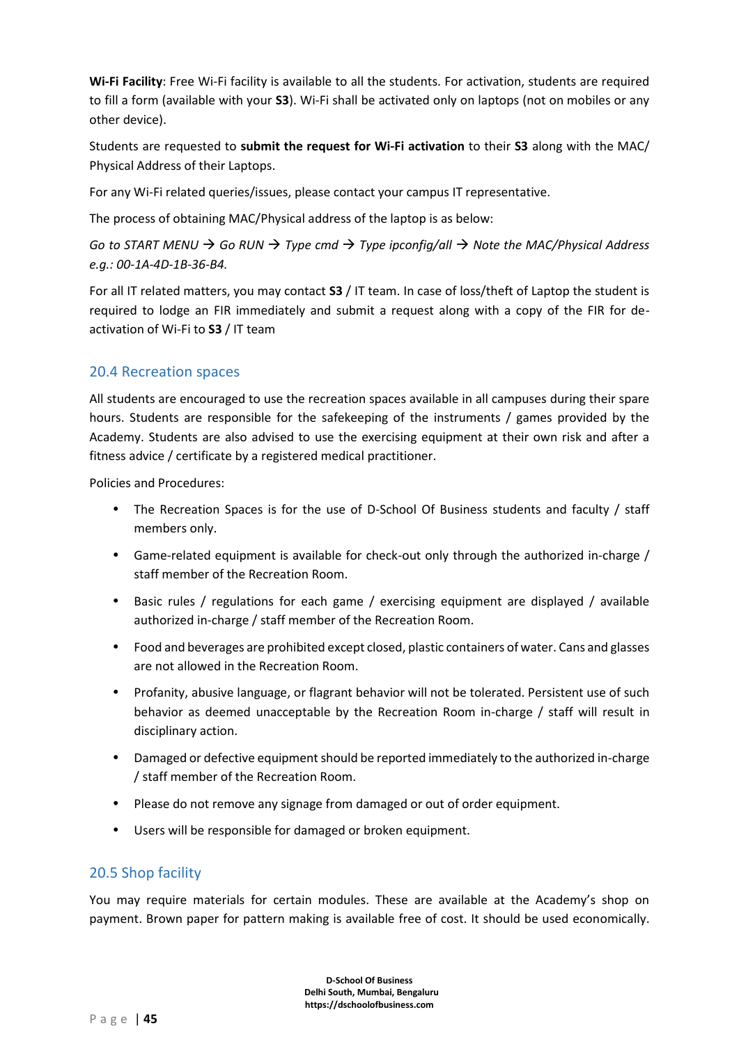**Wi-Fi Facility**: Free Wi-Fi facility is available to all the students. For activation, students are required to fill a form (available with your **S3**). Wi-Fi shall be activated only on laptops (not on mobiles or any other device).

Students are requested to **submit the request for Wi-Fi activation** to their **S3** along with the MAC/ Physical Address of their Laptops.

For any Wi-Fi related queries/issues, please contact your campus IT representative.

The process of obtaining MAC/Physical address of the laptop is as below:

*Go to START MENU* → *Go RUN* → *Type cmd* → *Type ipconfig/all* → *Note the MAC/Physical Address e.g.: 00-1A-4D-1B-36-B4.*

For all IT related matters, you may contact **S3** / IT team. In case of loss/theft of Laptop the student is required to lodge an FIR immediately and submit a request along with a copy of the FIR for deactivation of Wi-Fi to **S3** / IT team

# 20.4 Recreation spaces

All students are encouraged to use the recreation spaces available in all campuses during their spare hours. Students are responsible for the safekeeping of the instruments / games provided by the Academy. Students are also advised to use the exercising equipment at their own risk and after a fitness advice / certificate by a registered medical practitioner.

Policies and Procedures:

- The Recreation Spaces is for the use of D-School Of Business students and faculty / staff members only.
- Game-related equipment is available for check-out only through the authorized in-charge / staff member of the Recreation Room.
- Basic rules / regulations for each game / exercising equipment are displayed / available authorized in-charge / staff member of the Recreation Room.
- Food and beverages are prohibited except closed, plastic containers of water. Cans and glasses are not allowed in the Recreation Room.
- Profanity, abusive language, or flagrant behavior will not be tolerated. Persistent use of such behavior as deemed unacceptable by the Recreation Room in-charge / staff will result in disciplinary action.
- Damaged or defective equipment should be reported immediately to the authorized in-charge / staff member of the Recreation Room.
- Please do not remove any signage from damaged or out of order equipment.
- Users will be responsible for damaged or broken equipment.

# 20.5 Shop facility

You may require materials for certain modules. These are available at the Academy's shop on payment. Brown paper for pattern making is available free of cost. It should be used economically.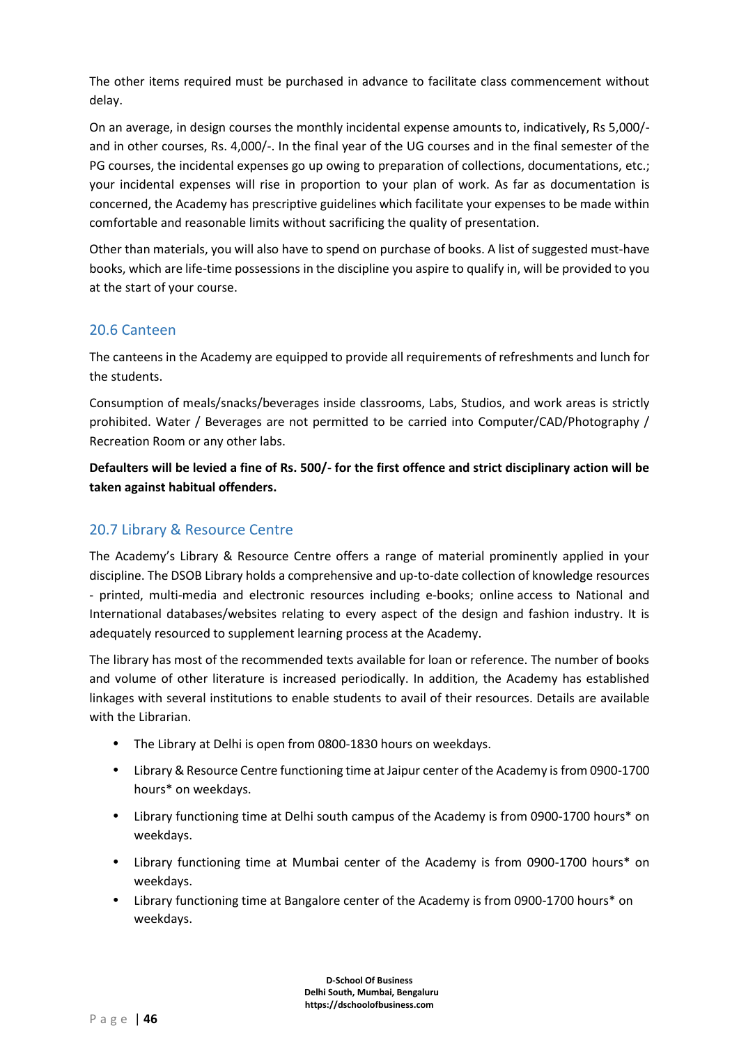The other items required must be purchased in advance to facilitate class commencement without delay.

On an average, in design courses the monthly incidental expense amounts to, indicatively, Rs 5,000/ and in other courses, Rs. 4,000/-. In the final year of the UG courses and in the final semester of the PG courses, the incidental expenses go up owing to preparation of collections, documentations, etc.; your incidental expenses will rise in proportion to your plan of work. As far as documentation is concerned, the Academy has prescriptive guidelines which facilitate your expenses to be made within comfortable and reasonable limits without sacrificing the quality of presentation.

Other than materials, you will also have to spend on purchase of books. A list of suggested must-have books, which are life-time possessions in the discipline you aspire to qualify in, will be provided to you at the start of your course.

# 20.6 Canteen

The canteens in the Academy are equipped to provide all requirements of refreshments and lunch for the students.

Consumption of meals/snacks/beverages inside classrooms, Labs, Studios, and work areas is strictly prohibited. Water / Beverages are not permitted to be carried into Computer/CAD/Photography / Recreation Room or any other labs.

**Defaulters will be levied a fine of Rs. 500/- for the first offence and strict disciplinary action will be taken against habitual offenders.**

# 20.7 Library & Resource Centre

The Academy's Library & Resource Centre offers a range of material prominently applied in your discipline. The DSOB Library holds a comprehensive and up-to-date collection of knowledge resources - printed, multi-media and electronic resources including e-books; online access to National and International databases/websites relating to every aspect of the design and fashion industry. It is adequately resourced to supplement learning process at the Academy.

The library has most of the recommended texts available for loan or reference. The number of books and volume of other literature is increased periodically. In addition, the Academy has established linkages with several institutions to enable students to avail of their resources. Details are available with the Librarian.

- The Library at Delhi is open from 0800-1830 hours on weekdays.
- Library & Resource Centre functioning time at Jaipur center of the Academy is from 0900-1700 hours\* on weekdays.
- Library functioning time at Delhi south campus of the Academy is from 0900-1700 hours\* on weekdays.
- Library functioning time at Mumbai center of the Academy is from 0900-1700 hours\* on weekdays.
- Library functioning time at Bangalore center of the Academy is from 0900-1700 hours\* on weekdays.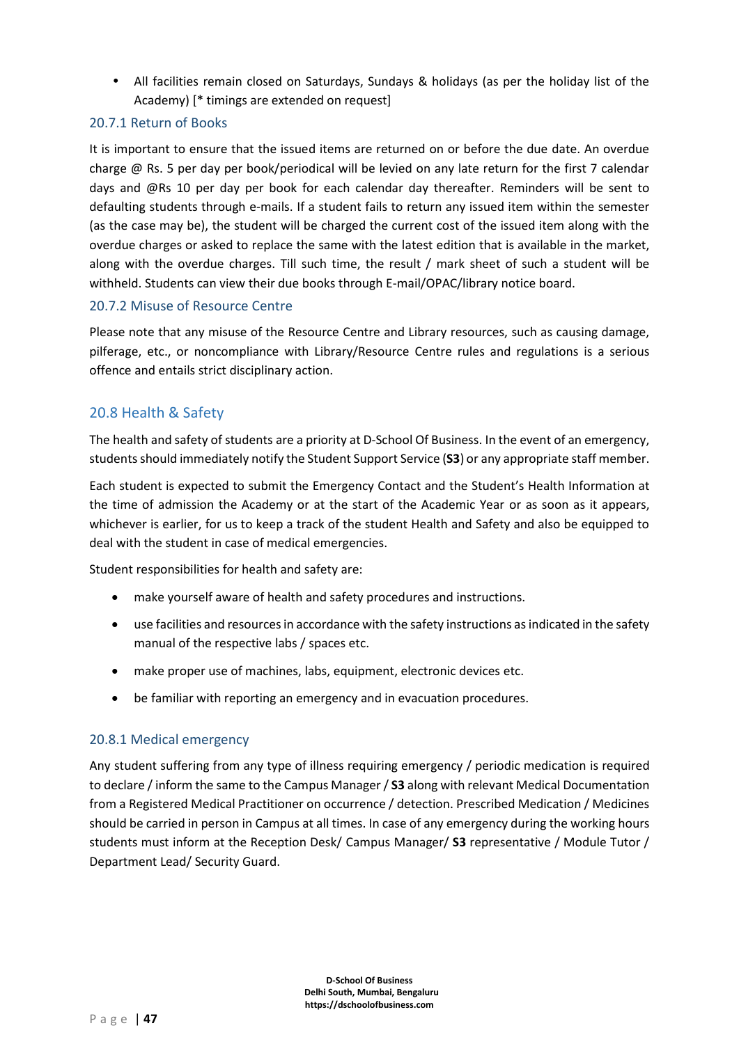• All facilities remain closed on Saturdays, Sundays & holidays (as per the holiday list of the Academy) [\* timings are extended on request]

### 20.7.1 Return of Books

It is important to ensure that the issued items are returned on or before the due date. An overdue charge @ Rs. 5 per day per book/periodical will be levied on any late return for the first 7 calendar days and @Rs 10 per day per book for each calendar day thereafter. Reminders will be sent to defaulting students through e-mails. If a student fails to return any issued item within the semester (as the case may be), the student will be charged the current cost of the issued item along with the overdue charges or asked to replace the same with the latest edition that is available in the market, along with the overdue charges. Till such time, the result / mark sheet of such a student will be withheld. Students can view their due books through E-mail/OPAC/library notice board.

#### 20.7.2 Misuse of Resource Centre

Please note that any misuse of the Resource Centre and Library resources, such as causing damage, pilferage, etc., or noncompliance with Library/Resource Centre rules and regulations is a serious offence and entails strict disciplinary action.

# 20.8 Health & Safety

The health and safety of students are a priority at D-School Of Business. In the event of an emergency, students should immediately notify the Student Support Service (**S3**) or any appropriate staff member.

Each student is expected to submit the Emergency Contact and the Student's Health Information at the time of admission the Academy or at the start of the Academic Year or as soon as it appears, whichever is earlier, for us to keep a track of the student Health and Safety and also be equipped to deal with the student in case of medical emergencies.

Student responsibilities for health and safety are:

- make yourself aware of health and safety procedures and instructions.
- use facilities and resources in accordance with the safety instructions as indicated in the safety manual of the respective labs / spaces etc.
- make proper use of machines, labs, equipment, electronic devices etc.
- be familiar with reporting an emergency and in evacuation procedures.

#### 20.8.1 Medical emergency

Any student suffering from any type of illness requiring emergency / periodic medication is required to declare / inform the same to the Campus Manager/ **S3** along with relevant Medical Documentation from a Registered Medical Practitioner on occurrence / detection. Prescribed Medication / Medicines should be carried in person in Campus at all times. In case of any emergency during the working hours students must inform at the Reception Desk/ Campus Manager/ **S3** representative / Module Tutor / Department Lead/ Security Guard.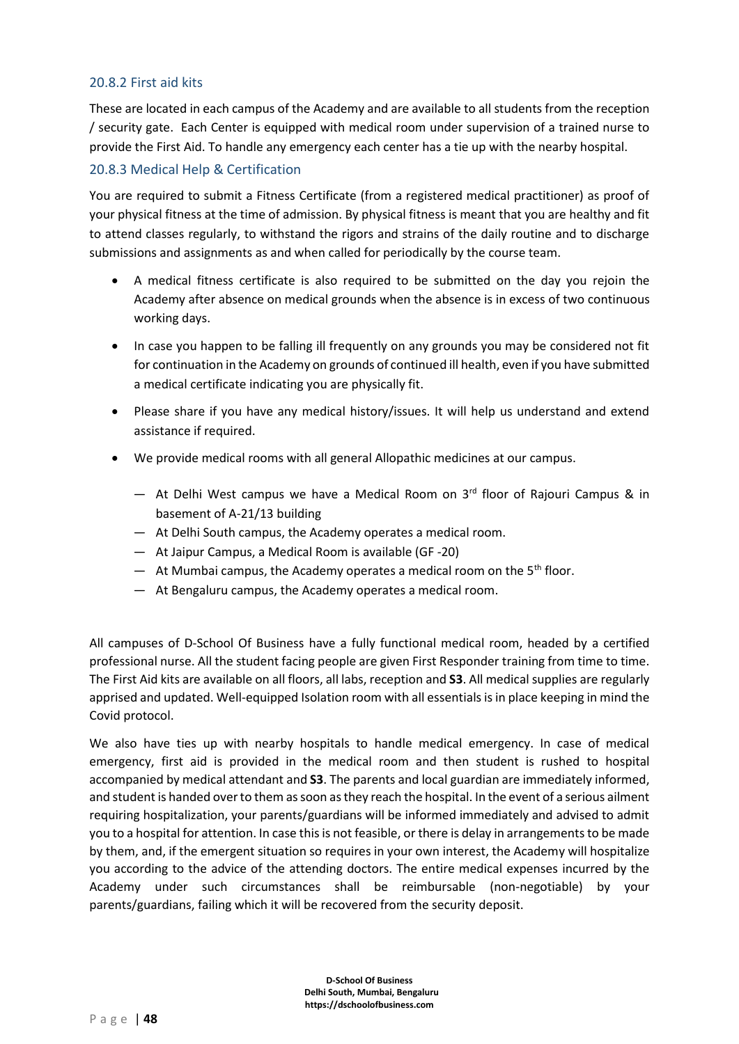#### 20.8.2 First aid kits

These are located in each campus of the Academy and are available to all students from the reception / security gate. Each Center is equipped with medical room under supervision of a trained nurse to provide the First Aid. To handle any emergency each center has a tie up with the nearby hospital.

#### 20.8.3 Medical Help & Certification

You are required to submit a Fitness Certificate (from a registered medical practitioner) as proof of your physical fitness at the time of admission. By physical fitness is meant that you are healthy and fit to attend classes regularly, to withstand the rigors and strains of the daily routine and to discharge submissions and assignments as and when called for periodically by the course team.

- A medical fitness certificate is also required to be submitted on the day you rejoin the Academy after absence on medical grounds when the absence is in excess of two continuous working days.
- In case you happen to be falling ill frequently on any grounds you may be considered not fit for continuation in the Academy on grounds of continued ill health, even if you have submitted a medical certificate indicating you are physically fit.
- Please share if you have any medical history/issues. It will help us understand and extend assistance if required.
- We provide medical rooms with all general Allopathic medicines at our campus.
	- At Delhi West campus we have a Medical Room on  $3<sup>rd</sup>$  floor of Rajouri Campus & in basement of A-21/13 building
	- ― At Delhi South campus, the Academy operates a medical room.
	- ― At Jaipur Campus, a Medical Room is available (GF -20)
	- At Mumbai campus, the Academy operates a medical room on the  $5<sup>th</sup>$  floor.
	- ― At Bengaluru campus, the Academy operates a medical room.

All campuses of D-School Of Business have a fully functional medical room, headed by a certified professional nurse. All the student facing people are given First Responder training from time to time. The First Aid kits are available on all floors, all labs, reception and **S3**. All medical supplies are regularly apprised and updated. Well-equipped Isolation room with all essentials is in place keeping in mind the Covid protocol.

We also have ties up with nearby hospitals to handle medical emergency. In case of medical emergency, first aid is provided in the medical room and then student is rushed to hospital accompanied by medical attendant and **S3**. The parents and local guardian are immediately informed, and student is handed over to them as soon as they reach the hospital. In the event of a serious ailment requiring hospitalization, your parents/guardians will be informed immediately and advised to admit you to a hospital for attention. In case this is not feasible, or there is delay in arrangements to be made by them, and, if the emergent situation so requires in your own interest, the Academy will hospitalize you according to the advice of the attending doctors. The entire medical expenses incurred by the Academy under such circumstances shall be reimbursable (non-negotiable) by your parents/guardians, failing which it will be recovered from the security deposit.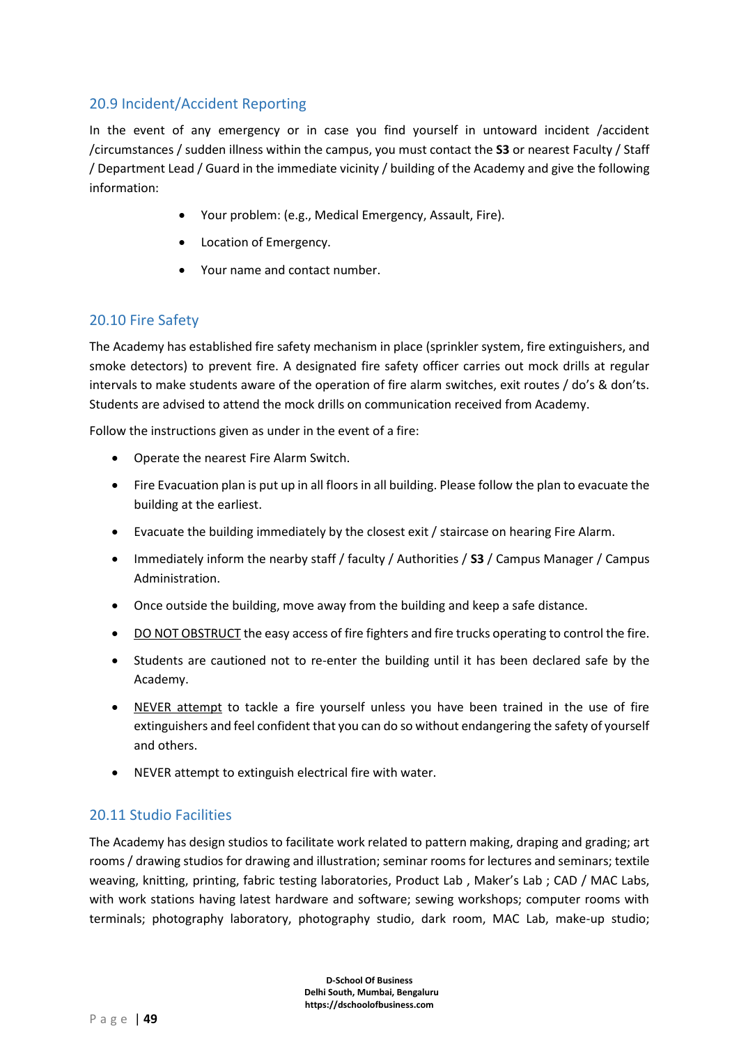# 20.9 Incident/Accident Reporting

In the event of any emergency or in case you find yourself in untoward incident /accident /circumstances / sudden illness within the campus, you must contact the **S3** or nearest Faculty / Staff / Department Lead / Guard in the immediate vicinity / building of the Academy and give the following information:

- Your problem: (e.g., Medical Emergency, Assault, Fire).
- Location of Emergency.
- Your name and contact number.

# 20.10 Fire Safety

The Academy has established fire safety mechanism in place (sprinkler system, fire extinguishers, and smoke detectors) to prevent fire. A designated fire safety officer carries out mock drills at regular intervals to make students aware of the operation of fire alarm switches, exit routes / do's & don'ts. Students are advised to attend the mock drills on communication received from Academy.

Follow the instructions given as under in the event of a fire:

- Operate the nearest Fire Alarm Switch.
- Fire Evacuation plan is put up in all floors in all building. Please follow the plan to evacuate the building at the earliest.
- Evacuate the building immediately by the closest exit / staircase on hearing Fire Alarm.
- Immediately inform the nearby staff / faculty / Authorities / **S3** / Campus Manager / Campus Administration.
- Once outside the building, move away from the building and keep a safe distance.
- DO NOT OBSTRUCT the easy access of fire fighters and fire trucks operating to control the fire.
- Students are cautioned not to re-enter the building until it has been declared safe by the Academy.
- NEVER attempt to tackle a fire yourself unless you have been trained in the use of fire extinguishers and feel confident that you can do so without endangering the safety of yourself and others.
- NEVER attempt to extinguish electrical fire with water.

#### 20.11 Studio Facilities

The Academy has design studios to facilitate work related to pattern making, draping and grading; art rooms / drawing studios for drawing and illustration; seminar rooms for lectures and seminars; textile weaving, knitting, printing, fabric testing laboratories, Product Lab, Maker's Lab; CAD / MAC Labs, with work stations having latest hardware and software; sewing workshops; computer rooms with terminals; photography laboratory, photography studio, dark room, MAC Lab, make-up studio;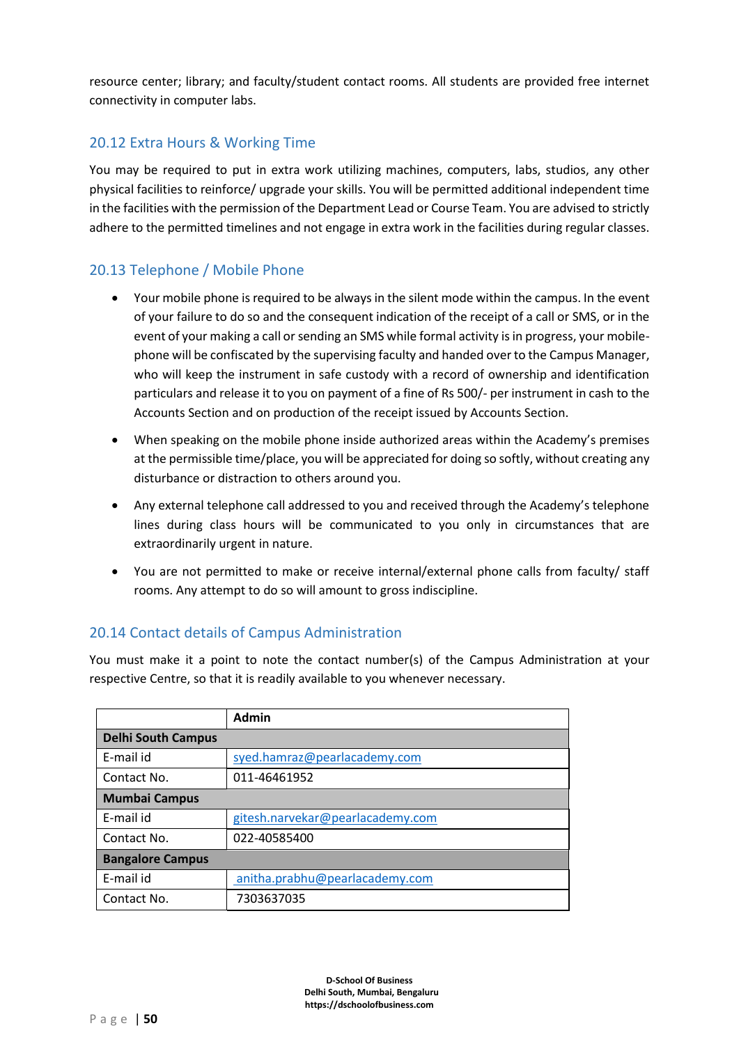resource center; library; and faculty/student contact rooms. All students are provided free internet connectivity in computer labs.

# 20.12 Extra Hours & Working Time

You may be required to put in extra work utilizing machines, computers, labs, studios, any other physical facilities to reinforce/ upgrade your skills. You will be permitted additional independent time in the facilities with the permission of the Department Lead or Course Team. You are advised to strictly adhere to the permitted timelines and not engage in extra work in the facilities during regular classes.

# 20.13 Telephone / Mobile Phone

- Your mobile phone is required to be always in the silent mode within the campus. In the event of your failure to do so and the consequent indication of the receipt of a call or SMS, or in the event of your making a call or sending an SMS while formal activity is in progress, your mobilephone will be confiscated by the supervising faculty and handed over to the Campus Manager, who will keep the instrument in safe custody with a record of ownership and identification particulars and release it to you on payment of a fine of Rs 500/- per instrument in cash to the Accounts Section and on production of the receipt issued by Accounts Section.
- When speaking on the mobile phone inside authorized areas within the Academy's premises at the permissible time/place, you will be appreciated for doing so softly, without creating any disturbance or distraction to others around you.
- Any external telephone call addressed to you and received through the Academy's telephone lines during class hours will be communicated to you only in circumstances that are extraordinarily urgent in nature.
- You are not permitted to make or receive internal/external phone calls from faculty/ staff rooms. Any attempt to do so will amount to gross indiscipline.

# 20.14 Contact details of Campus Administration

You must make it a point to note the contact number(s) of the Campus Administration at your respective Centre, so that it is readily available to you whenever necessary.

|                           | <b>Admin</b>                     |  |  |  |
|---------------------------|----------------------------------|--|--|--|
| <b>Delhi South Campus</b> |                                  |  |  |  |
| E-mail id                 | syed.hamraz@pearlacademy.com     |  |  |  |
| Contact No.               | 011-46461952                     |  |  |  |
| <b>Mumbai Campus</b>      |                                  |  |  |  |
| E-mail id                 | gitesh.narvekar@pearlacademy.com |  |  |  |
| Contact No.               | 022-40585400                     |  |  |  |
| <b>Bangalore Campus</b>   |                                  |  |  |  |
| E-mail id                 | anitha.prabhu@pearlacademy.com   |  |  |  |
| Contact No.               | 7303637035                       |  |  |  |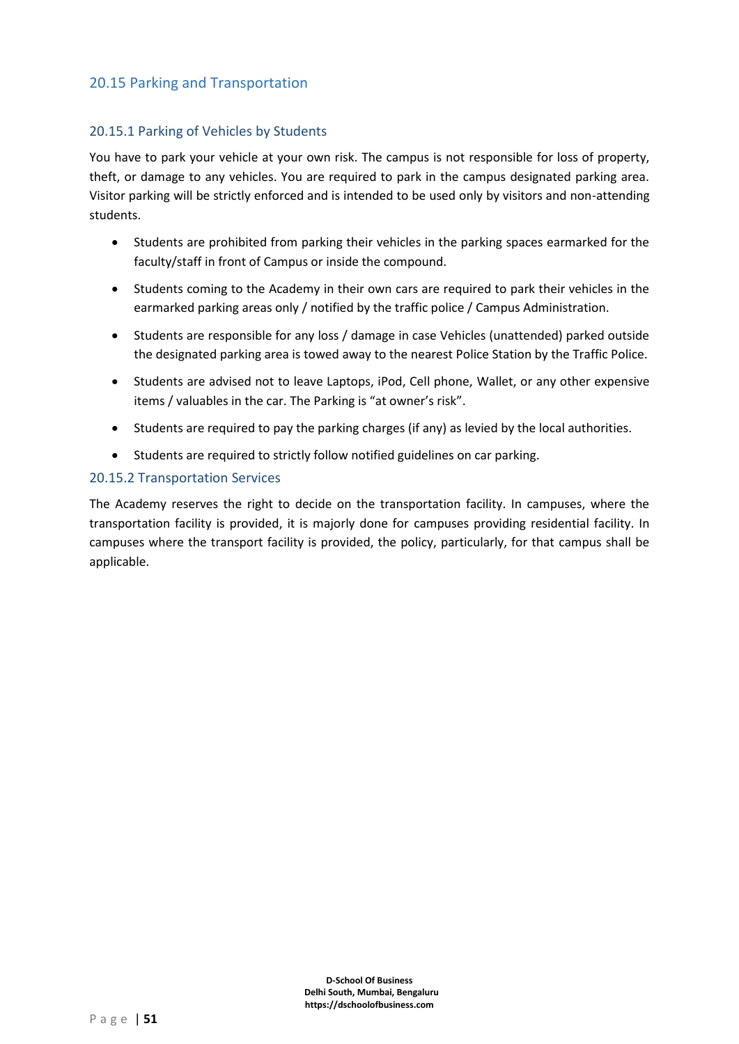# 20.15 Parking and Transportation

### 20.15.1 Parking of Vehicles by Students

You have to park your vehicle at your own risk. The campus is not responsible for loss of property, theft, or damage to any vehicles. You are required to park in the campus designated parking area. Visitor parking will be strictly enforced and is intended to be used only by visitors and non-attending students.

- Students are prohibited from parking their vehicles in the parking spaces earmarked for the faculty/staff in front of Campus or inside the compound.
- Students coming to the Academy in their own cars are required to park their vehicles in the earmarked parking areas only / notified by the traffic police / Campus Administration.
- Students are responsible for any loss / damage in case Vehicles (unattended) parked outside the designated parking area is towed away to the nearest Police Station by the Traffic Police.
- Students are advised not to leave Laptops, iPod, Cell phone, Wallet, or any other expensive items / valuables in the car. The Parking is "at owner's risk".
- Students are required to pay the parking charges (if any) as levied by the local authorities.
- Students are required to strictly follow notified guidelines on car parking.

#### 20.15.2 Transportation Services

The Academy reserves the right to decide on the transportation facility. In campuses, where the transportation facility is provided, it is majorly done for campuses providing residential facility. In campuses where the transport facility is provided, the policy, particularly, for that campus shall be applicable.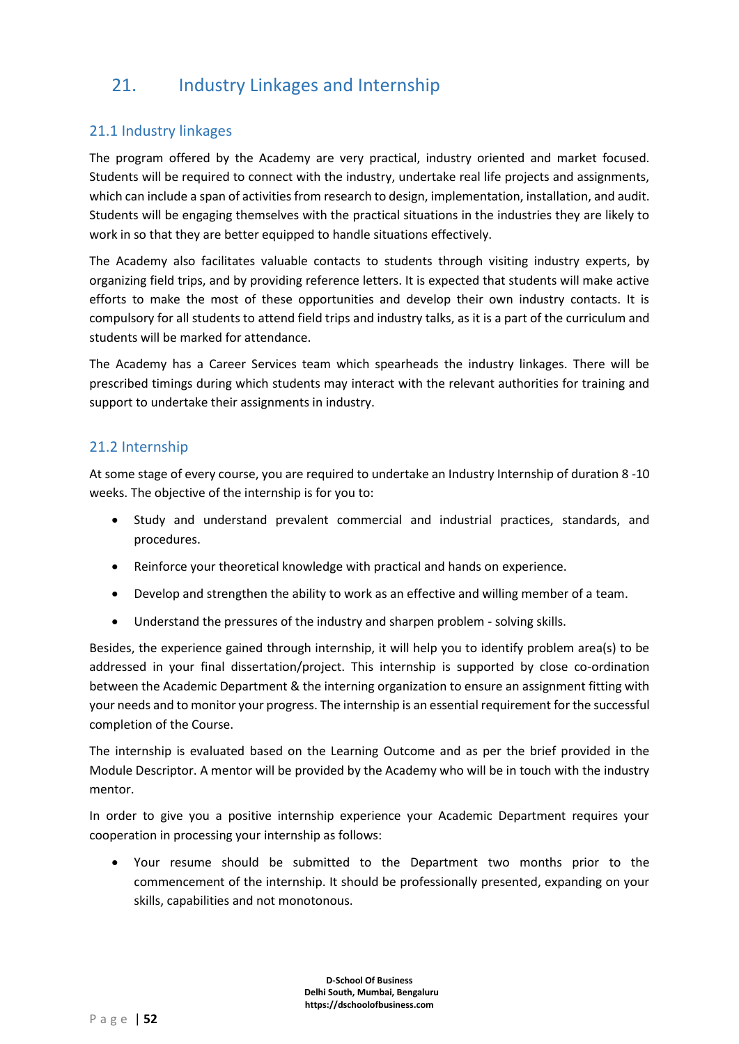# 21. Industry Linkages and Internship

# 21.1 Industry linkages

The program offered by the Academy are very practical, industry oriented and market focused. Students will be required to connect with the industry, undertake real life projects and assignments, which can include a span of activities from research to design, implementation, installation, and audit. Students will be engaging themselves with the practical situations in the industries they are likely to work in so that they are better equipped to handle situations effectively.

The Academy also facilitates valuable contacts to students through visiting industry experts, by organizing field trips, and by providing reference letters. It is expected that students will make active efforts to make the most of these opportunities and develop their own industry contacts. It is compulsory for all students to attend field trips and industry talks, as it is a part of the curriculum and students will be marked for attendance.

The Academy has a Career Services team which spearheads the industry linkages. There will be prescribed timings during which students may interact with the relevant authorities for training and support to undertake their assignments in industry.

# 21.2 Internship

At some stage of every course, you are required to undertake an Industry Internship of duration 8 -10 weeks. The objective of the internship is for you to:

- Study and understand prevalent commercial and industrial practices, standards, and procedures.
- Reinforce your theoretical knowledge with practical and hands on experience.
- Develop and strengthen the ability to work as an effective and willing member of a team.
- Understand the pressures of the industry and sharpen problem solving skills.

Besides, the experience gained through internship, it will help you to identify problem area(s) to be addressed in your final dissertation/project. This internship is supported by close co-ordination between the Academic Department & the interning organization to ensure an assignment fitting with your needs and to monitor your progress. The internship is an essential requirement for the successful completion of the Course.

The internship is evaluated based on the Learning Outcome and as per the brief provided in the Module Descriptor. A mentor will be provided by the Academy who will be in touch with the industry mentor.

In order to give you a positive internship experience your Academic Department requires your cooperation in processing your internship as follows:

• Your resume should be submitted to the Department two months prior to the commencement of the internship. It should be professionally presented, expanding on your skills, capabilities and not monotonous.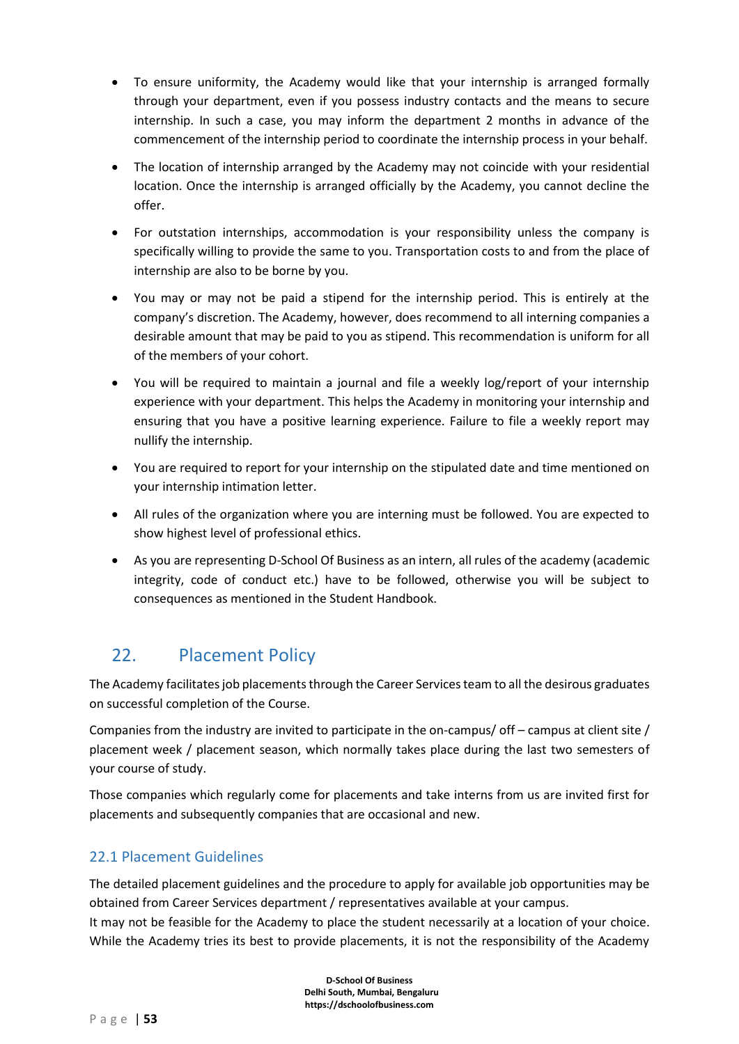- To ensure uniformity, the Academy would like that your internship is arranged formally through your department, even if you possess industry contacts and the means to secure internship. In such a case, you may inform the department 2 months in advance of the commencement of the internship period to coordinate the internship process in your behalf.
- The location of internship arranged by the Academy may not coincide with your residential location. Once the internship is arranged officially by the Academy, you cannot decline the offer.
- For outstation internships, accommodation is your responsibility unless the company is specifically willing to provide the same to you. Transportation costs to and from the place of internship are also to be borne by you.
- You may or may not be paid a stipend for the internship period. This is entirely at the company's discretion. The Academy, however, does recommend to all interning companies a desirable amount that may be paid to you as stipend. This recommendation is uniform for all of the members of your cohort.
- You will be required to maintain a journal and file a weekly log/report of your internship experience with your department. This helps the Academy in monitoring your internship and ensuring that you have a positive learning experience. Failure to file a weekly report may nullify the internship.
- You are required to report for your internship on the stipulated date and time mentioned on your internship intimation letter.
- All rules of the organization where you are interning must be followed. You are expected to show highest level of professional ethics.
- As you are representing D-School Of Business as an intern, all rules of the academy (academic integrity, code of conduct etc.) have to be followed, otherwise you will be subject to consequences as mentioned in the Student Handbook.

# 22. Placement Policy

The Academy facilitates job placements through the Career Services team to all the desirous graduates on successful completion of the Course.

Companies from the industry are invited to participate in the on-campus/ off – campus at client site / placement week / placement season, which normally takes place during the last two semesters of your course of study.

Those companies which regularly come for placements and take interns from us are invited first for placements and subsequently companies that are occasional and new.

# 22.1 Placement Guidelines

The detailed placement guidelines and the procedure to apply for available job opportunities may be obtained from Career Services department / representatives available at your campus.

It may not be feasible for the Academy to place the student necessarily at a location of your choice. While the Academy tries its best to provide placements, it is not the responsibility of the Academy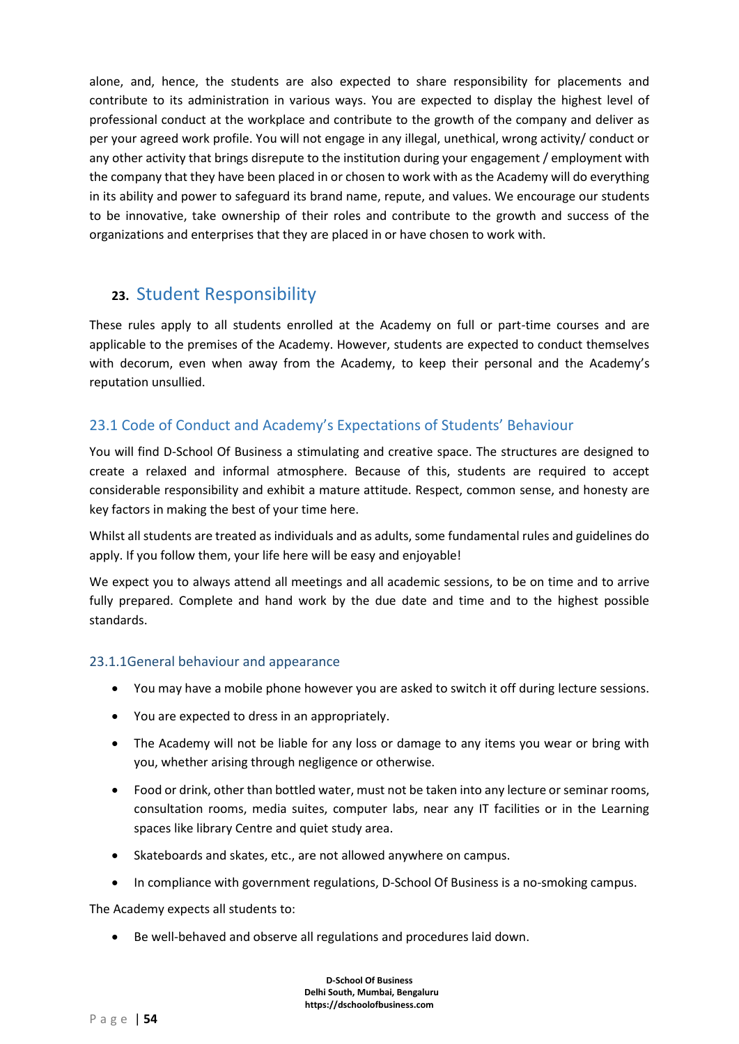alone, and, hence, the students are also expected to share responsibility for placements and contribute to its administration in various ways. You are expected to display the highest level of professional conduct at the workplace and contribute to the growth of the company and deliver as per your agreed work profile. You will not engage in any illegal, unethical, wrong activity/ conduct or any other activity that brings disrepute to the institution during your engagement / employment with the company that they have been placed in or chosen to work with as the Academy will do everything in its ability and power to safeguard its brand name, repute, and values. We encourage our students to be innovative, take ownership of their roles and contribute to the growth and success of the organizations and enterprises that they are placed in or have chosen to work with.

# **23.** Student Responsibility

These rules apply to all students enrolled at the Academy on full or part-time courses and are applicable to the premises of the Academy. However, students are expected to conduct themselves with decorum, even when away from the Academy, to keep their personal and the Academy's reputation unsullied.

# 23.1 Code of Conduct and Academy's Expectations of Students' Behaviour

You will find D-School Of Business a stimulating and creative space. The structures are designed to create a relaxed and informal atmosphere. Because of this, students are required to accept considerable responsibility and exhibit a mature attitude. Respect, common sense, and honesty are key factors in making the best of your time here.

Whilst all students are treated as individuals and as adults, some fundamental rules and guidelines do apply. If you follow them, your life here will be easy and enjoyable!

We expect you to always attend all meetings and all academic sessions, to be on time and to arrive fully prepared. Complete and hand work by the due date and time and to the highest possible standards.

# 23.1.1General behaviour and appearance

- You may have a mobile phone however you are asked to switch it off during lecture sessions.
- You are expected to dress in an appropriately.
- The Academy will not be liable for any loss or damage to any items you wear or bring with you, whether arising through negligence or otherwise.
- Food or drink, other than bottled water, must not be taken into any lecture or seminar rooms, consultation rooms, media suites, computer labs, near any IT facilities or in the Learning spaces like library Centre and quiet study area.
- Skateboards and skates, etc., are not allowed anywhere on campus.
- In compliance with government regulations, D-School Of Business is a no-smoking campus.

The Academy expects all students to:

• Be well-behaved and observe all regulations and procedures laid down.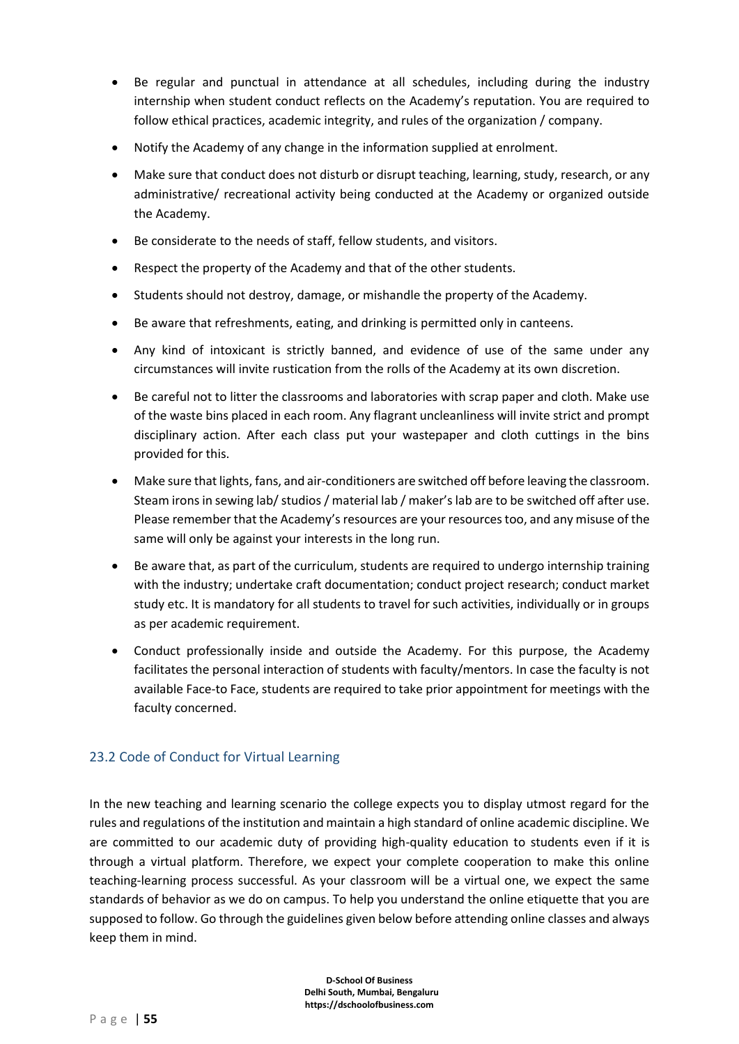- Be regular and punctual in attendance at all schedules, including during the industry internship when student conduct reflects on the Academy's reputation. You are required to follow ethical practices, academic integrity, and rules of the organization / company.
- Notify the Academy of any change in the information supplied at enrolment.
- Make sure that conduct does not disturb or disrupt teaching, learning, study, research, or any administrative/ recreational activity being conducted at the Academy or organized outside the Academy.
- Be considerate to the needs of staff, fellow students, and visitors.
- Respect the property of the Academy and that of the other students.
- Students should not destroy, damage, or mishandle the property of the Academy.
- Be aware that refreshments, eating, and drinking is permitted only in canteens.
- Any kind of intoxicant is strictly banned, and evidence of use of the same under any circumstances will invite rustication from the rolls of the Academy at its own discretion.
- Be careful not to litter the classrooms and laboratories with scrap paper and cloth. Make use of the waste bins placed in each room. Any flagrant uncleanliness will invite strict and prompt disciplinary action. After each class put your wastepaper and cloth cuttings in the bins provided for this.
- Make sure that lights, fans, and air-conditioners are switched off before leaving the classroom. Steam irons in sewing lab/ studios / material lab / maker's lab are to be switched off after use. Please remember that the Academy's resources are your resources too, and any misuse of the same will only be against your interests in the long run.
- Be aware that, as part of the curriculum, students are required to undergo internship training with the industry; undertake craft documentation; conduct project research; conduct market study etc. It is mandatory for all students to travel for such activities, individually or in groups as per academic requirement.
- Conduct professionally inside and outside the Academy. For this purpose, the Academy facilitates the personal interaction of students with faculty/mentors. In case the faculty is not available Face-to Face, students are required to take prior appointment for meetings with the faculty concerned.

# 23.2 Code of Conduct for Virtual Learning

In the new teaching and learning scenario the college expects you to display utmost regard for the rules and regulations of the institution and maintain a high standard of online academic discipline. We are committed to our academic duty of providing high-quality education to students even if it is through a virtual platform. Therefore, we expect your complete cooperation to make this online teaching-learning process successful. As your classroom will be a virtual one, we expect the same standards of behavior as we do on campus. To help you understand the online etiquette that you are supposed to follow. Go through the guidelines given below before attending online classes and always keep them in mind.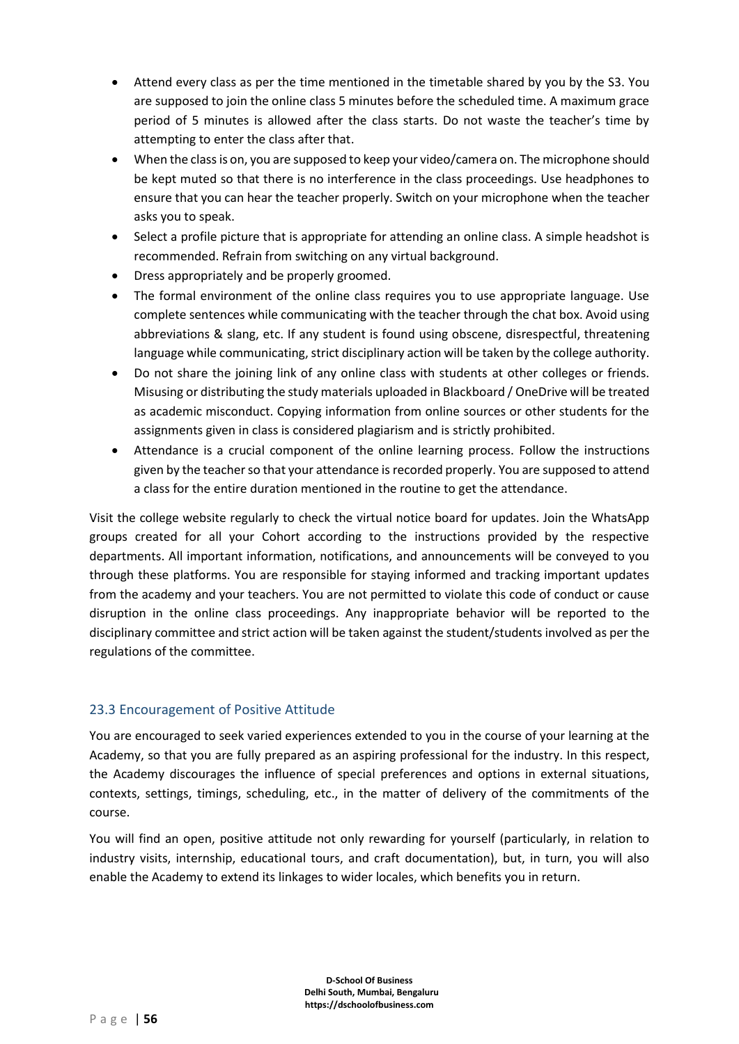- Attend every class as per the time mentioned in the timetable shared by you by the S3. You are supposed to join the online class 5 minutes before the scheduled time. A maximum grace period of 5 minutes is allowed after the class starts. Do not waste the teacher's time by attempting to enter the class after that.
- When the class is on, you are supposed to keep your video/camera on. The microphone should be kept muted so that there is no interference in the class proceedings. Use headphones to ensure that you can hear the teacher properly. Switch on your microphone when the teacher asks you to speak.
- Select a profile picture that is appropriate for attending an online class. A simple headshot is recommended. Refrain from switching on any virtual background.
- Dress appropriately and be properly groomed.
- The formal environment of the online class requires you to use appropriate language. Use complete sentences while communicating with the teacher through the chat box. Avoid using abbreviations & slang, etc. If any student is found using obscene, disrespectful, threatening language while communicating, strict disciplinary action will be taken by the college authority.
- Do not share the joining link of any online class with students at other colleges or friends. Misusing or distributing the study materials uploaded in Blackboard / OneDrive will be treated as academic misconduct. Copying information from online sources or other students for the assignments given in class is considered plagiarism and is strictly prohibited.
- Attendance is a crucial component of the online learning process. Follow the instructions given by the teacher so that your attendance is recorded properly. You are supposed to attend a class for the entire duration mentioned in the routine to get the attendance.

Visit the college website regularly to check the virtual notice board for updates. Join the WhatsApp groups created for all your Cohort according to the instructions provided by the respective departments. All important information, notifications, and announcements will be conveyed to you through these platforms. You are responsible for staying informed and tracking important updates from the academy and your teachers. You are not permitted to violate this code of conduct or cause disruption in the online class proceedings. Any inappropriate behavior will be reported to the disciplinary committee and strict action will be taken against the student/students involved as per the regulations of the committee.

# 23.3 Encouragement of Positive Attitude

You are encouraged to seek varied experiences extended to you in the course of your learning at the Academy, so that you are fully prepared as an aspiring professional for the industry. In this respect, the Academy discourages the influence of special preferences and options in external situations, contexts, settings, timings, scheduling, etc., in the matter of delivery of the commitments of the course.

You will find an open, positive attitude not only rewarding for yourself (particularly, in relation to industry visits, internship, educational tours, and craft documentation), but, in turn, you will also enable the Academy to extend its linkages to wider locales, which benefits you in return.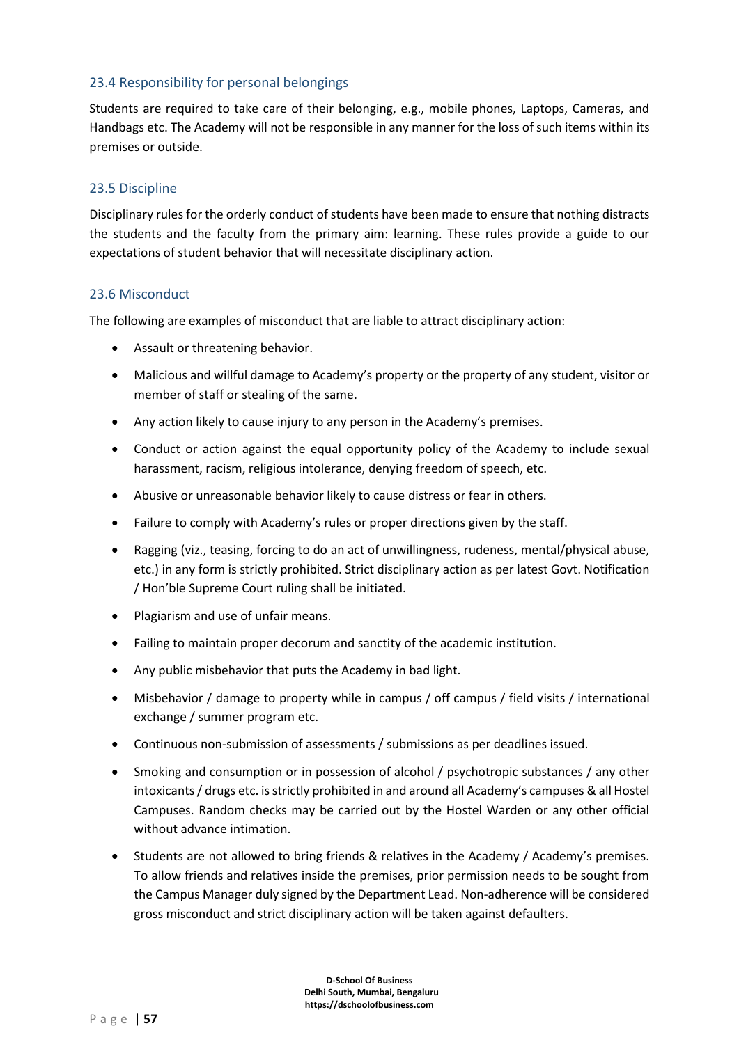#### 23.4 Responsibility for personal belongings

Students are required to take care of their belonging, e.g., mobile phones, Laptops, Cameras, and Handbags etc. The Academy will not be responsible in any manner for the loss of such items within its premises or outside.

#### 23.5 Discipline

Disciplinary rules for the orderly conduct of students have been made to ensure that nothing distracts the students and the faculty from the primary aim: learning. These rules provide a guide to our expectations of student behavior that will necessitate disciplinary action.

#### 23.6 Misconduct

The following are examples of misconduct that are liable to attract disciplinary action:

- Assault or threatening behavior.
- Malicious and willful damage to Academy's property or the property of any student, visitor or member of staff or stealing of the same.
- Any action likely to cause injury to any person in the Academy's premises.
- Conduct or action against the equal opportunity policy of the Academy to include sexual harassment, racism, religious intolerance, denying freedom of speech, etc.
- Abusive or unreasonable behavior likely to cause distress or fear in others.
- Failure to comply with Academy's rules or proper directions given by the staff.
- Ragging (viz., teasing, forcing to do an act of unwillingness, rudeness, mental/physical abuse, etc.) in any form is strictly prohibited. Strict disciplinary action as per latest Govt. Notification / Hon'ble Supreme Court ruling shall be initiated.
- Plagiarism and use of unfair means.
- Failing to maintain proper decorum and sanctity of the academic institution.
- Any public misbehavior that puts the Academy in bad light.
- Misbehavior / damage to property while in campus / off campus / field visits / international exchange / summer program etc.
- Continuous non-submission of assessments / submissions as per deadlines issued.
- Smoking and consumption or in possession of alcohol / psychotropic substances / any other intoxicants / drugs etc. is strictly prohibited in and around all Academy's campuses & all Hostel Campuses. Random checks may be carried out by the Hostel Warden or any other official without advance intimation.
- Students are not allowed to bring friends & relatives in the Academy / Academy's premises. To allow friends and relatives inside the premises, prior permission needs to be sought from the Campus Manager duly signed by the Department Lead. Non-adherence will be considered gross misconduct and strict disciplinary action will be taken against defaulters.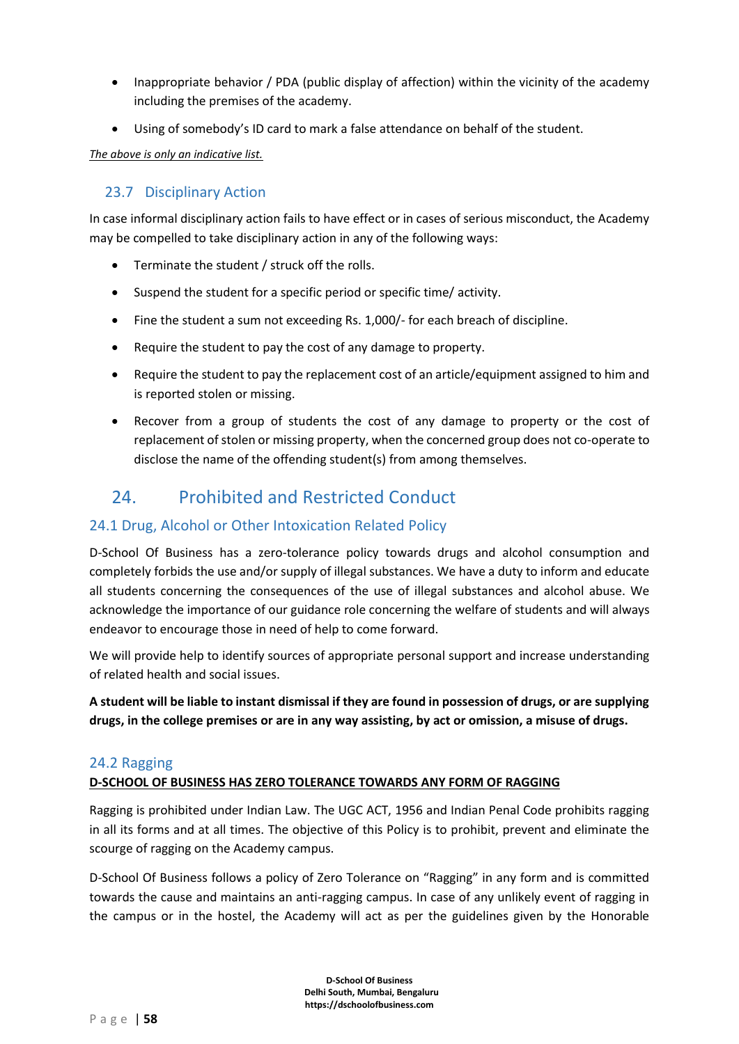- Inappropriate behavior / PDA (public display of affection) within the vicinity of the academy including the premises of the academy.
- Using of somebody's ID card to mark a false attendance on behalf of the student.

*The above is only an indicative list.*

### 23.7 Disciplinary Action

In case informal disciplinary action fails to have effect or in cases of serious misconduct, the Academy may be compelled to take disciplinary action in any of the following ways:

- Terminate the student / struck off the rolls.
- Suspend the student for a specific period or specific time/ activity.
- Fine the student a sum not exceeding Rs. 1,000/- for each breach of discipline.
- Require the student to pay the cost of any damage to property.
- Require the student to pay the replacement cost of an article/equipment assigned to him and is reported stolen or missing.
- Recover from a group of students the cost of any damage to property or the cost of replacement of stolen or missing property, when the concerned group does not co-operate to disclose the name of the offending student(s) from among themselves.

# 24 Prohibited and Restricted Conduct

# 24.1 Drug, Alcohol or Other Intoxication Related Policy

D-School Of Business has a zero-tolerance policy towards drugs and alcohol consumption and completely forbids the use and/or supply of illegal substances. We have a duty to inform and educate all students concerning the consequences of the use of illegal substances and alcohol abuse. We acknowledge the importance of our guidance role concerning the welfare of students and will always endeavor to encourage those in need of help to come forward.

We will provide help to identify sources of appropriate personal support and increase understanding of related health and social issues.

**A student will be liable to instant dismissal if they are found in possession of drugs, or are supplying drugs, in the college premises or are in any way assisting, by act or omission, a misuse of drugs.** 

#### 24.2 Ragging

#### **D-SCHOOL OF BUSINESS HAS ZERO TOLERANCE TOWARDS ANY FORM OF RAGGING**

Ragging is prohibited under Indian Law. The UGC ACT, 1956 and Indian Penal Code prohibits ragging in all its forms and at all times. The objective of this Policy is to prohibit, prevent and eliminate the scourge of ragging on the Academy campus.

D-School Of Business follows a policy of Zero Tolerance on "Ragging" in any form and is committed towards the cause and maintains an anti-ragging campus. In case of any unlikely event of ragging in the campus or in the hostel, the Academy will act as per the guidelines given by the Honorable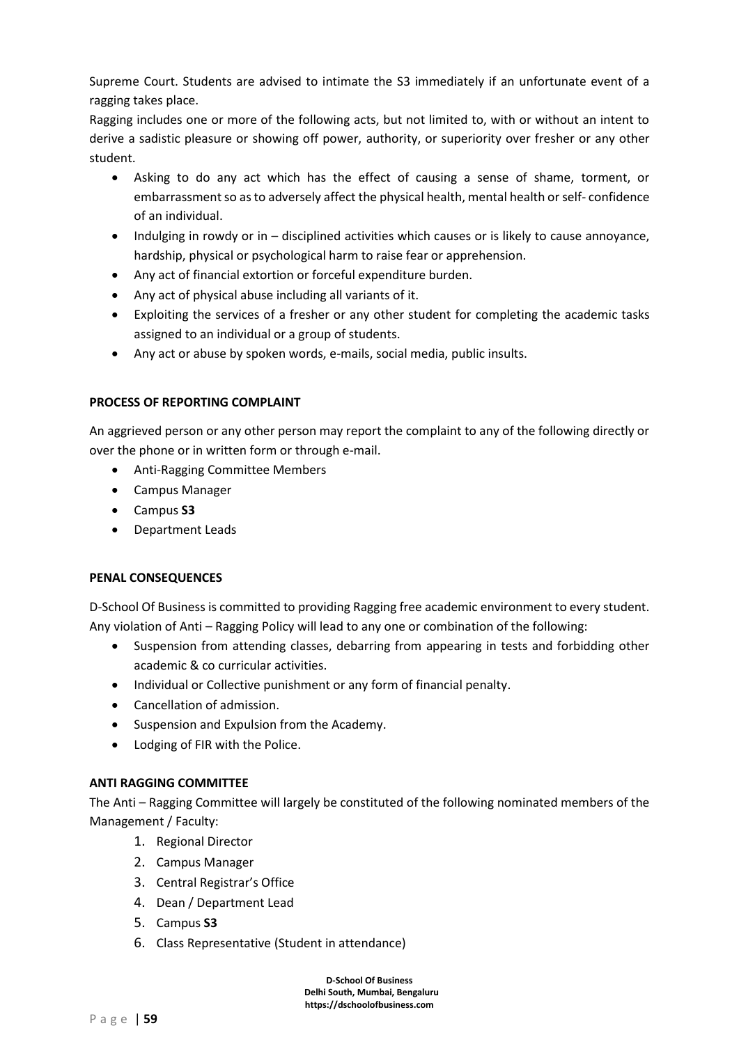Supreme Court. Students are advised to intimate the S3 immediately if an unfortunate event of a ragging takes place.

Ragging includes one or more of the following acts, but not limited to, with or without an intent to derive a sadistic pleasure or showing off power, authority, or superiority over fresher or any other student.

- Asking to do any act which has the effect of causing a sense of shame, torment, or embarrassment so as to adversely affect the physical health, mental health or self- confidence of an individual.
- Indulging in rowdy or in disciplined activities which causes or is likely to cause annoyance, hardship, physical or psychological harm to raise fear or apprehension.
- Any act of financial extortion or forceful expenditure burden.
- Any act of physical abuse including all variants of it.
- Exploiting the services of a fresher or any other student for completing the academic tasks assigned to an individual or a group of students.
- Any act or abuse by spoken words, e-mails, social media, public insults.

#### **PROCESS OF REPORTING COMPLAINT**

An aggrieved person or any other person may report the complaint to any of the following directly or over the phone or in written form or through e-mail.

- Anti-Ragging Committee Members
- Campus Manager
- Campus **S3**
- Department Leads

#### **PENAL CONSEQUENCES**

D-School Of Business is committed to providing Ragging free academic environment to every student. Any violation of Anti – Ragging Policy will lead to any one or combination of the following:

- Suspension from attending classes, debarring from appearing in tests and forbidding other academic & co curricular activities.
- Individual or Collective punishment or any form of financial penalty.
- Cancellation of admission.
- Suspension and Expulsion from the Academy.
- Lodging of FIR with the Police.

#### **ANTI RAGGING COMMITTEE**

The Anti – Ragging Committee will largely be constituted of the following nominated members of the Management / Faculty:

- 1. Regional Director
- 2. Campus Manager
- 3. Central Registrar's Office
- 4. Dean / Department Lead
- 5. Campus **S3**
- 6. Class Representative (Student in attendance)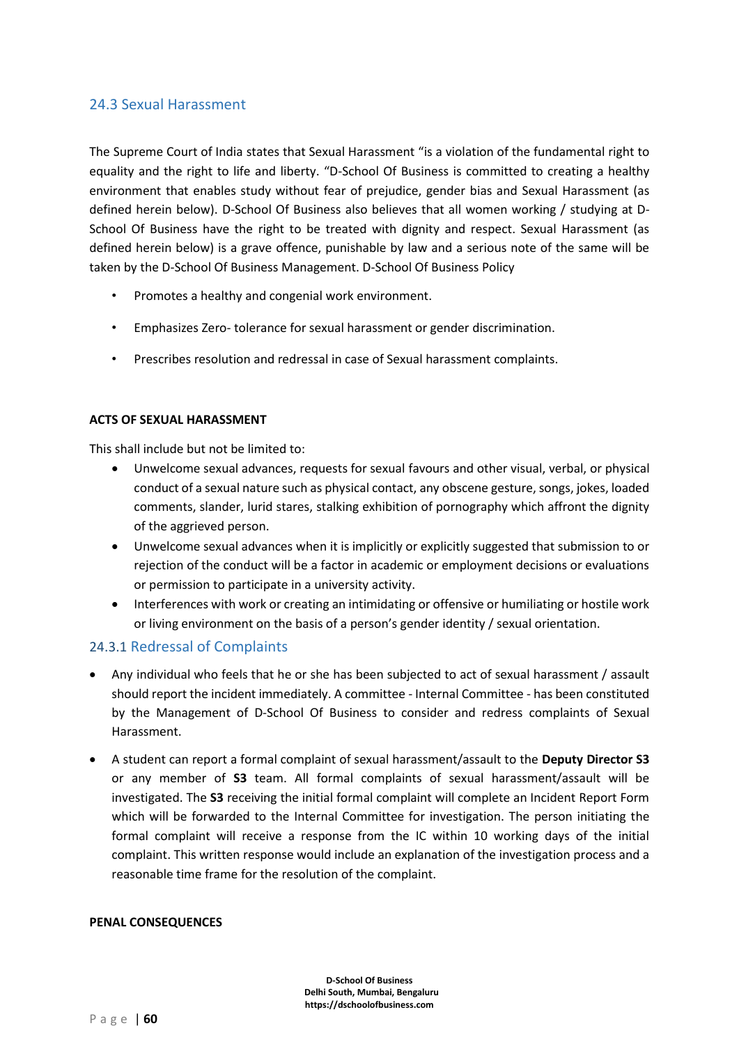# 24.3 Sexual Harassment

The Supreme Court of India states that Sexual Harassment "is a violation of the fundamental right to equality and the right to life and liberty. "D-School Of Business is committed to creating a healthy environment that enables study without fear of prejudice, gender bias and Sexual Harassment (as defined herein below). D-School Of Business also believes that all women working / studying at D-School Of Business have the right to be treated with dignity and respect. Sexual Harassment (as defined herein below) is a grave offence, punishable by law and a serious note of the same will be taken by the D-School Of Business Management. D-School Of Business Policy

- Promotes a healthy and congenial work environment.
- Emphasizes Zero- tolerance for sexual harassment or gender discrimination.
- Prescribes resolution and redressal in case of Sexual harassment complaints.

#### **ACTS OF SEXUAL HARASSMENT**

This shall include but not be limited to:

- Unwelcome sexual advances, requests for sexual favours and other visual, verbal, or physical conduct of a sexual nature such as physical contact, any obscene gesture, songs, jokes, loaded comments, slander, lurid stares, stalking exhibition of pornography which affront the dignity of the aggrieved person.
- Unwelcome sexual advances when it is implicitly or explicitly suggested that submission to or rejection of the conduct will be a factor in academic or employment decisions or evaluations or permission to participate in a university activity.
- Interferences with work or creating an intimidating or offensive or humiliating or hostile work or living environment on the basis of a person's gender identity / sexual orientation.

#### 24.3.1 Redressal of Complaints

- Any individual who feels that he or she has been subjected to act of sexual harassment / assault should report the incident immediately. A committee - Internal Committee - has been constituted by the Management of D-School Of Business to consider and redress complaints of Sexual Harassment.
- A student can report a formal complaint of sexual harassment/assault to the **Deputy Director S3** or any member of **S3** team. All formal complaints of sexual harassment/assault will be investigated. The **S3** receiving the initial formal complaint will complete an Incident Report Form which will be forwarded to the Internal Committee for investigation. The person initiating the formal complaint will receive a response from the IC within 10 working days of the initial complaint. This written response would include an explanation of the investigation process and a reasonable time frame for the resolution of the complaint.

#### **PENAL CONSEQUENCES**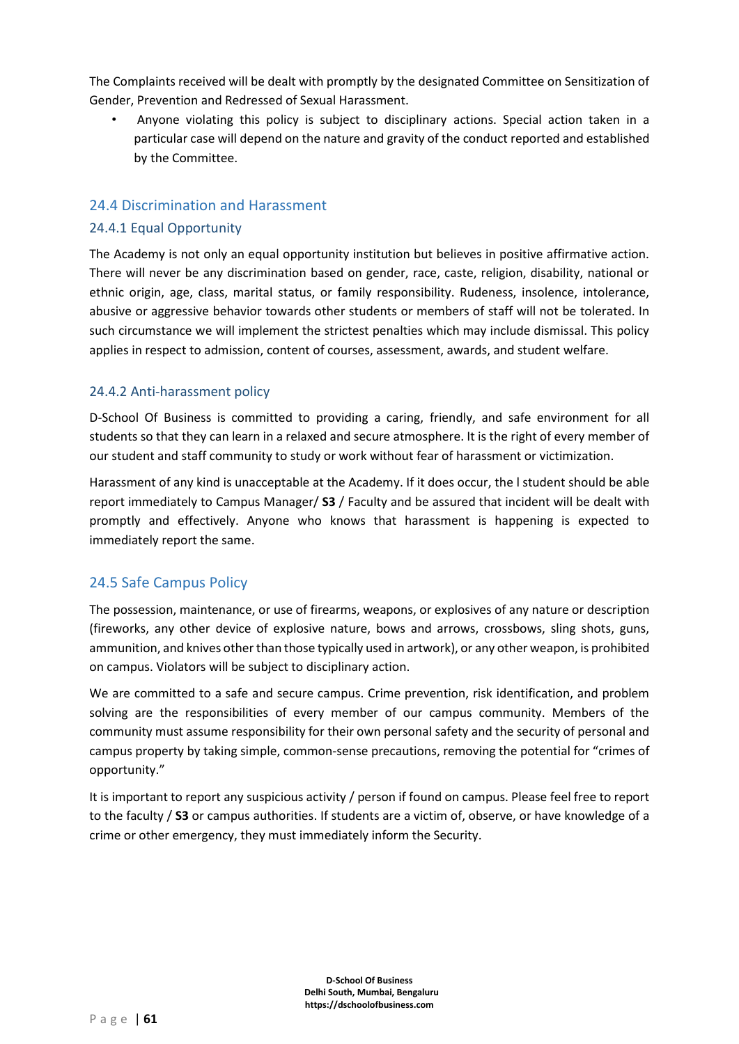The Complaints received will be dealt with promptly by the designated Committee on Sensitization of Gender, Prevention and Redressed of Sexual Harassment.

• Anyone violating this policy is subject to disciplinary actions. Special action taken in a particular case will depend on the nature and gravity of the conduct reported and established by the Committee.

### 24.4 Discrimination and Harassment

#### 24.4.1 Equal Opportunity

The Academy is not only an equal opportunity institution but believes in positive affirmative action. There will never be any discrimination based on gender, race, caste, religion, disability, national or ethnic origin, age, class, marital status, or family responsibility. Rudeness, insolence, intolerance, abusive or aggressive behavior towards other students or members of staff will not be tolerated. In such circumstance we will implement the strictest penalties which may include dismissal. This policy applies in respect to admission, content of courses, assessment, awards, and student welfare.

#### 24.4.2 Anti-harassment policy

D-School Of Business is committed to providing a caring, friendly, and safe environment for all students so that they can learn in a relaxed and secure atmosphere. It is the right of every member of our student and staff community to study or work without fear of harassment or victimization.

Harassment of any kind is unacceptable at the Academy. If it does occur, the l student should be able report immediately to Campus Manager/ **S3** / Faculty and be assured that incident will be dealt with promptly and effectively. Anyone who knows that harassment is happening is expected to immediately report the same.

# 24.5 Safe Campus Policy

The possession, maintenance, or use of firearms, weapons, or explosives of any nature or description (fireworks, any other device of explosive nature, bows and arrows, crossbows, sling shots, guns, ammunition, and knives other than those typically used in artwork), or any other weapon, is prohibited on campus. Violators will be subject to disciplinary action.

We are committed to a safe and secure campus. Crime prevention, risk identification, and problem solving are the responsibilities of every member of our campus community. Members of the community must assume responsibility for their own personal safety and the security of personal and campus property by taking simple, common-sense precautions, removing the potential for "crimes of opportunity."

It is important to report any suspicious activity / person if found on campus. Please feel free to report to the faculty / **S3** or campus authorities. If students are a victim of, observe, or have knowledge of a crime or other emergency, they must immediately inform the Security.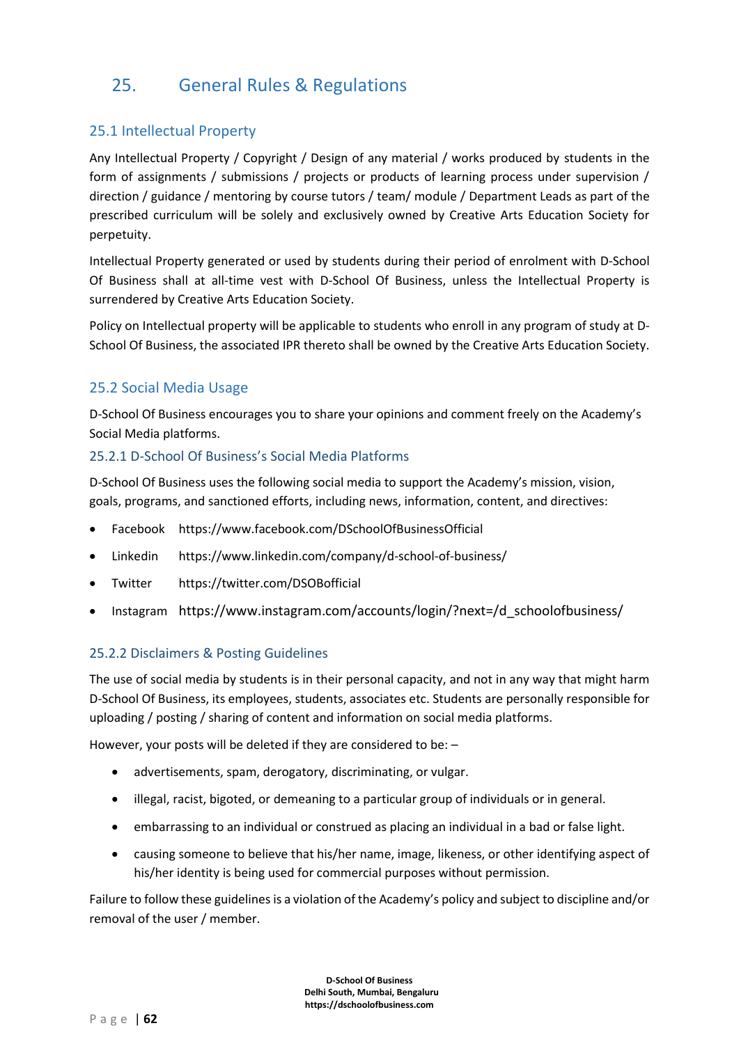# 25. General Rules & Regulations

# 25.1 Intellectual Property

Any Intellectual Property / Copyright / Design of any material / works produced by students in the form of assignments / submissions / projects or products of learning process under supervision / direction / guidance / mentoring by course tutors / team/ module / Department Leads as part of the prescribed curriculum will be solely and exclusively owned by Creative Arts Education Society for perpetuity.

Intellectual Property generated or used by students during their period of enrolment with D-School Of Business shall at all-time vest with D-School Of Business, unless the Intellectual Property is surrendered by Creative Arts Education Society.

Policy on Intellectual property will be applicable to students who enroll in any program of study at D-School Of Business, the associated IPR thereto shall be owned by the Creative Arts Education Society.

# 25.2 Social Media Usage

D-School Of Business encourages you to share your opinions and comment freely on the Academy's Social Media platforms.

#### 25.2.1 D-School Of Business's Social Media Platforms

D-School Of Business uses the following social media to support the Academy's mission, vision, goals, programs, and sanctioned efforts, including news, information, content, and directives:

- Facebook https://www.facebook.com/DSchoolOfBusinessOfficial
- Linkedin https://www.linkedin.com/company/d-school-of-business/
- Twitter https://twitter.com/DSOBofficial
- Instagram https://www.instagram.com/accounts/login/?next=/d schoolofbusiness/

#### 25.2.2 Disclaimers & Posting Guidelines

The use of social media by students is in their personal capacity, and not in any way that might harm D-School Of Business, its employees, students, associates etc. Students are personally responsible for uploading / posting / sharing of content and information on social media platforms.

However, your posts will be deleted if they are considered to be: –

- advertisements, spam, derogatory, discriminating, or vulgar.
- illegal, racist, bigoted, or demeaning to a particular group of individuals or in general.
- embarrassing to an individual or construed as placing an individual in a bad or false light.
- causing someone to believe that his/her name, image, likeness, or other identifying aspect of his/her identity is being used for commercial purposes without permission.

Failure to follow these guidelines is a violation of the Academy's policy and subject to discipline and/or removal of the user / member.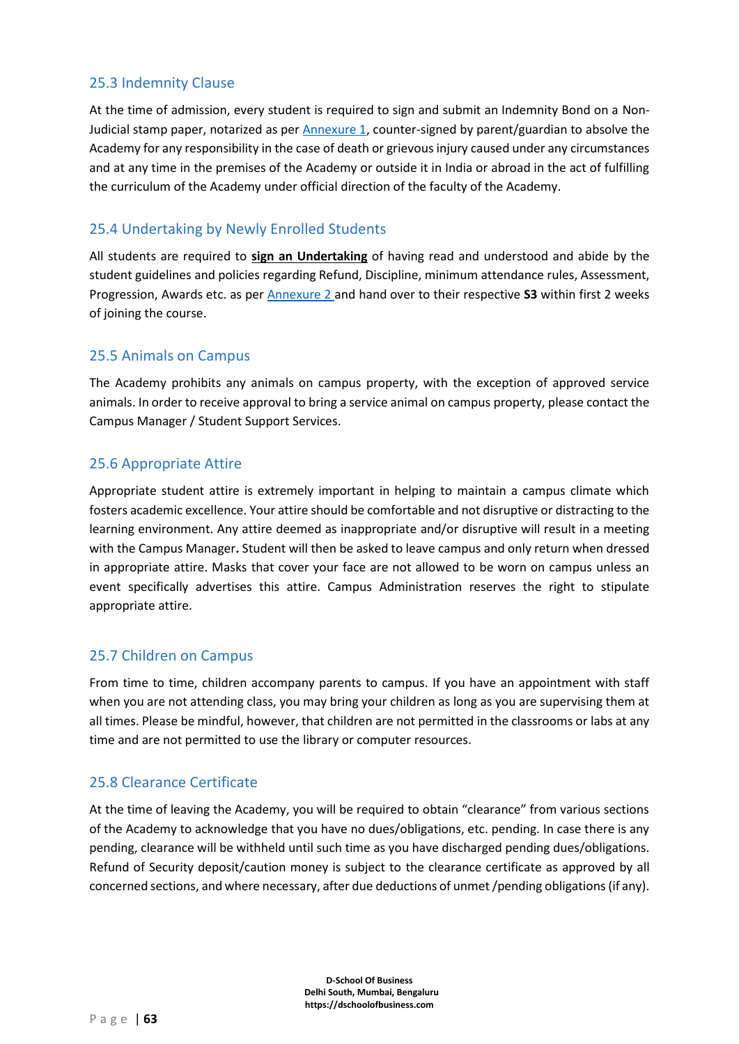# 25.3 Indemnity Clause

At the time of admission, every student is required to sign and submit an Indemnity Bond on a Non-Judicial stamp paper, notarized as pe[r Annexure 1,](#page-67-0) counter-signed by parent/guardian to absolve the Academy for any responsibility in the case of death or grievous injury caused under any circumstances and at any time in the premises of the Academy or outside it in India or abroad in the act of fulfilling the curriculum of the Academy under official direction of the faculty of the Academy.

# 25.4 Undertaking by Newly Enrolled Students

All students are required to **sign an Undertaking** of having read and understood and abide by the student guidelines and policies regarding Refund, Discipline, minimum attendance rules, Assessment, Progression, Awards etc. as per [Annexure 2](#page-68-0) and hand over to their respective **S3** within first 2 weeks of joining the course.

# 25.5 Animals on Campus

The Academy prohibits any animals on campus property, with the exception of approved service animals. In order to receive approval to bring a service animal on campus property, please contact the Campus Manager / Student Support Services.

# 25.6 Appropriate Attire

Appropriate student attire is extremely important in helping to maintain a campus climate which fosters academic excellence. Your attire should be comfortable and not disruptive or distracting to the learning environment. Any attire deemed as inappropriate and/or disruptive will result in a meeting with the Campus Manager**.** Student will then be asked to leave campus and only return when dressed in appropriate attire. Masks that cover your face are not allowed to be worn on campus unless an event specifically advertises this attire. Campus Administration reserves the right to stipulate appropriate attire.

# 25.7 Children on Campus

From time to time, children accompany parents to campus. If you have an appointment with staff when you are not attending class, you may bring your children as long as you are supervising them at all times. Please be mindful, however, that children are not permitted in the classrooms or labs at any time and are not permitted to use the library or computer resources.

# 25.8 Clearance Certificate

At the time of leaving the Academy, you will be required to obtain "clearance" from various sections of the Academy to acknowledge that you have no dues/obligations, etc. pending. In case there is any pending, clearance will be withheld until such time as you have discharged pending dues/obligations. Refund of Security deposit/caution money is subject to the clearance certificate as approved by all concerned sections, and where necessary, after due deductions of unmet /pending obligations (if any).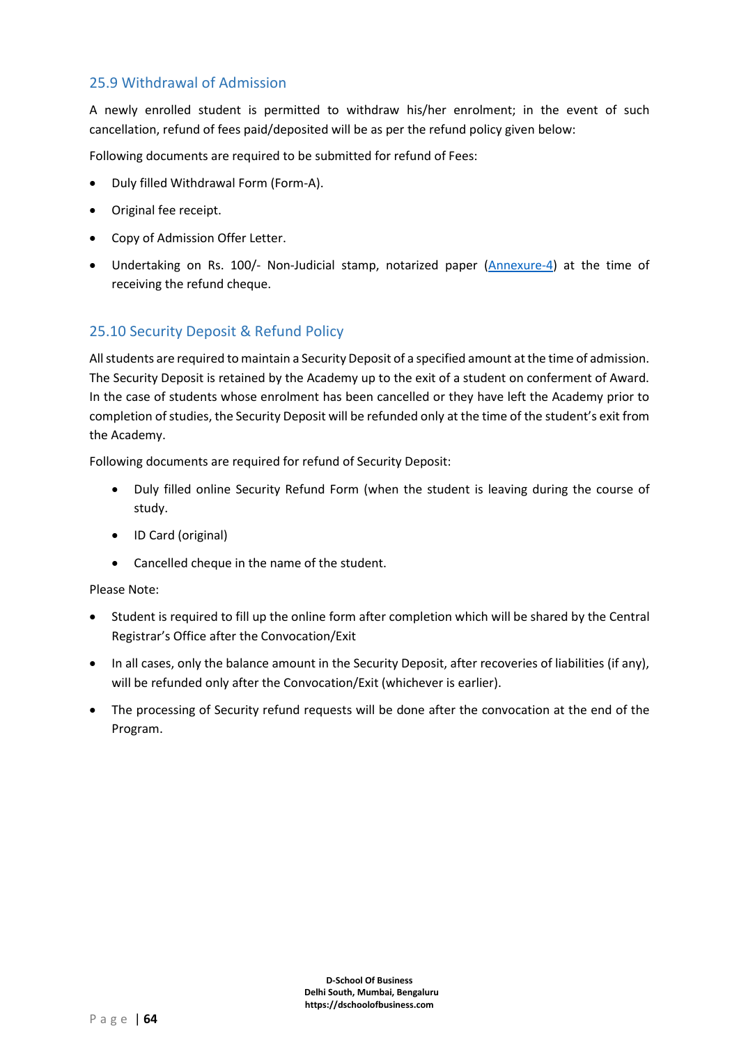# 25.9 Withdrawal of Admission

A newly enrolled student is permitted to withdraw his/her enrolment; in the event of such cancellation, refund of fees paid/deposited will be as per the refund policy given below:

Following documents are required to be submitted for refund of Fees:

- Duly filled Withdrawal Form (Form-A).
- Original fee receipt.
- Copy of Admission Offer Letter.
- Undertaking on Rs. 100/- Non-Judicial stamp, notarized paper [\(Annexure-4\)](#page-72-0) at the time of receiving the refund cheque.

# 25.10 Security Deposit & Refund Policy

All students are required to maintain a Security Deposit of a specified amount at the time of admission. The Security Deposit is retained by the Academy up to the exit of a student on conferment of Award. In the case of students whose enrolment has been cancelled or they have left the Academy prior to completion of studies, the Security Deposit will be refunded only at the time of the student's exit from the Academy.

Following documents are required for refund of Security Deposit:

- Duly filled online Security Refund Form (when the student is leaving during the course of study.
- ID Card (original)
- Cancelled cheque in the name of the student.

Please Note:

- Student is required to fill up the online form after completion which will be shared by the Central Registrar's Office after the Convocation/Exit
- In all cases, only the balance amount in the Security Deposit, after recoveries of liabilities (if any), will be refunded only after the Convocation/Exit (whichever is earlier).
- The processing of Security refund requests will be done after the convocation at the end of the Program.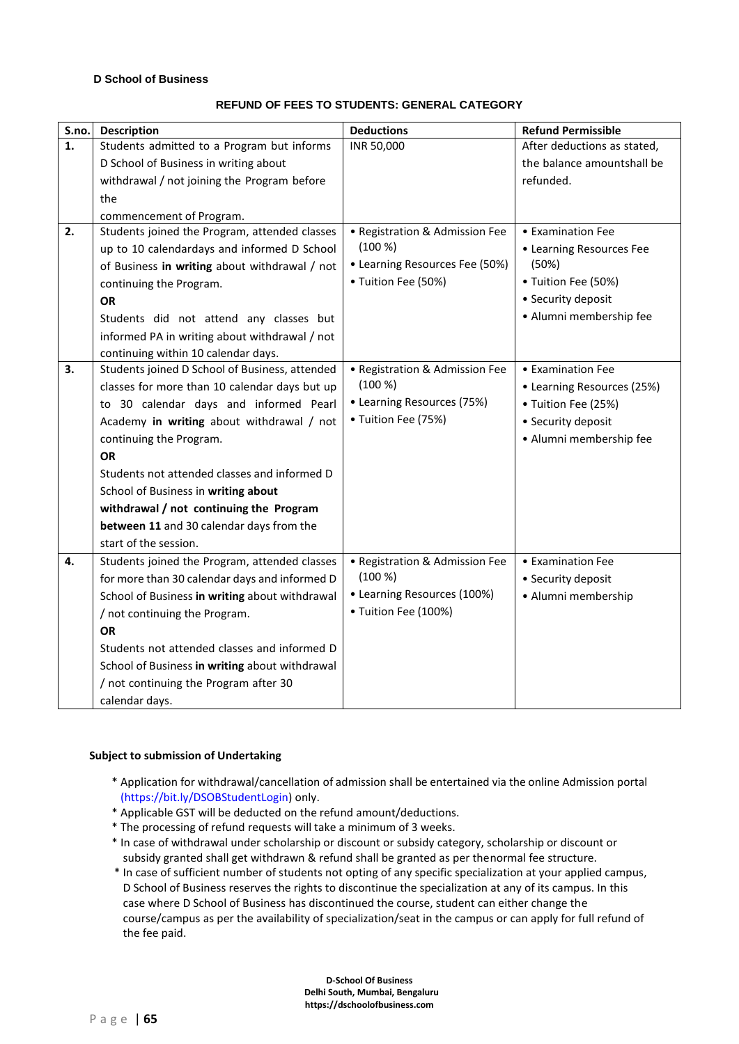#### **D School of Business**

#### **REFUND OF FEES TO STUDENTS: GENERAL CATEGORY**

| S.no.          | <b>Description</b>                             | <b>Deductions</b>              | <b>Refund Permissible</b>   |
|----------------|------------------------------------------------|--------------------------------|-----------------------------|
| $\mathbf{1}$ . | Students admitted to a Program but informs     | INR 50,000                     | After deductions as stated, |
|                | D School of Business in writing about          |                                | the balance amountshall be  |
|                | withdrawal / not joining the Program before    |                                | refunded.                   |
|                | the                                            |                                |                             |
|                | commencement of Program.                       |                                |                             |
| 2.             | Students joined the Program, attended classes  | • Registration & Admission Fee | • Examination Fee           |
|                | up to 10 calendardays and informed D School    | (100 %)                        | • Learning Resources Fee    |
|                | of Business in writing about withdrawal / not  | • Learning Resources Fee (50%) | (50%)                       |
|                | continuing the Program.                        | • Tuition Fee (50%)            | • Tuition Fee (50%)         |
|                | <b>OR</b>                                      |                                | • Security deposit          |
|                | Students did not attend any classes but        |                                | · Alumni membership fee     |
|                | informed PA in writing about withdrawal / not  |                                |                             |
|                | continuing within 10 calendar days.            |                                |                             |
| 3.             | Students joined D School of Business, attended | • Registration & Admission Fee | • Examination Fee           |
|                | classes for more than 10 calendar days but up  | (100 %)                        | • Learning Resources (25%)  |
|                | to 30 calendar days and informed Pearl         | • Learning Resources (75%)     | • Tuition Fee (25%)         |
|                | Academy in writing about withdrawal / not      | • Tuition Fee (75%)            | • Security deposit          |
|                | continuing the Program.                        |                                | · Alumni membership fee     |
|                | <b>OR</b>                                      |                                |                             |
|                | Students not attended classes and informed D   |                                |                             |
|                | School of Business in writing about            |                                |                             |
|                | withdrawal / not continuing the Program        |                                |                             |
|                | between 11 and 30 calendar days from the       |                                |                             |
|                | start of the session.                          |                                |                             |
| 4.             | Students joined the Program, attended classes  | • Registration & Admission Fee | • Examination Fee           |
|                | for more than 30 calendar days and informed D  | (100 %)                        | • Security deposit          |
|                | School of Business in writing about withdrawal | • Learning Resources (100%)    | · Alumni membership         |
|                | / not continuing the Program.                  | • Tuition Fee (100%)           |                             |
|                | <b>OR</b>                                      |                                |                             |
|                | Students not attended classes and informed D   |                                |                             |
|                | School of Business in writing about withdrawal |                                |                             |
|                | / not continuing the Program after 30          |                                |                             |
|                | calendar days.                                 |                                |                             |

#### **Subject to submission of Undertaking**

- \* Application for withdrawal/cancellation of admission shall be entertained via the online Admission portal (https://bit.ly/DSOBStudentLogin) only.
- \* Applicable GST will be deducted on the refund amount/deductions.
- \* The processing of refund requests will take a minimum of 3 weeks.
- \* In case of withdrawal under scholarship or discount or subsidy category, scholarship or discount or subsidy granted shall get withdrawn & refund shall be granted as per thenormal fee structure.
- \* In case of sufficient number of students not opting of any specific specialization at your applied campus, D School of Business reserves the rights to discontinue the specialization at any of its campus. In this case where D School of Business has discontinued the course, student can either change the course/campus as per the availability of specialization/seat in the campus or can apply for full refund of the fee paid.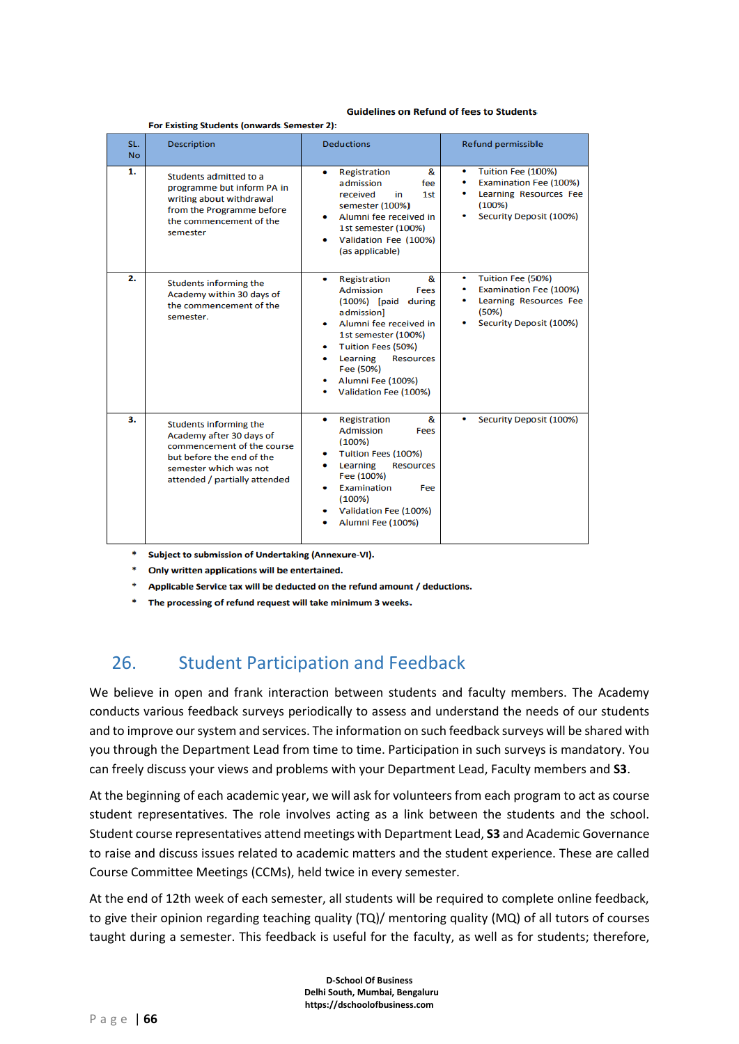#### **Guidelines on Refund of fees to Students**

For Existing Students (onwards Semester 2):  $SL$ **Deductions** Refund permissible **Description**  $No$  $\overline{1}$ Tuition Fee (100%) Registration 8  $\bullet$ Students admitted to a admission fee Examination Fee (100%) programme but inform PA in received in  $1st$  $\bullet$ Learning Resources Fee writing about withdrawal semester (100%)  $(100%)$ from the Programme before Security Deposit (100%) Alumni fee received in the commencement of the 1st semester (100%) semester Validation Fee (100%) (as applicable)  $\overline{2}$ . Registration Tuition Fee (50%)  $\overline{\mathbf{g}}$ Students informing the **Examination Fee (100%) Admission** Fees Academy within 30 days of (100%) [paid during Learning Resources Fee the commencement of the admission]  $(50%)$ semester. Security Deposit (100%) Alumni fee received in 1st semester (100%) **Tuition Fees (50%)** Learning **Resources** Fee (50%) Alumni Fee (100%) Validation Fee (100%)  $\overline{\mathbf{a}}$ **Registration**  $\boldsymbol{\mathsf{R}}$ Security Deposit (100%)  $\bullet$ **Students informing the** Fees Admission Academy after 30 days of  $(100%)$ commencement of the course Tuition Fees (100%) but before the end of the Learning **Resources** semester which was not Fee (100%) attended / partially attended **Examination** Fee  $(100%$ Validation Fee (100%) Alumni Fee (100%)

Subject to submission of Undertaking (Annexure-VI).

Only written applications will be entertained.

Applicable Service tax will be deducted on the refund amount / deductions.

The processing of refund request will take minimum 3 weeks.

# 26. Student Participation and Feedback

We believe in open and frank interaction between students and faculty members. The Academy conducts various feedback surveys periodically to assess and understand the needs of our students and to improve our system and services. The information on such feedback surveys will be shared with you through the Department Lead from time to time. Participation in such surveys is mandatory. You can freely discuss your views and problems with your Department Lead, Faculty members and **S3**.

At the beginning of each academic year, we will ask for volunteers from each program to act as course student representatives. The role involves acting as a link between the students and the school. Student course representatives attend meetings with Department Lead, **S3** and Academic Governance to raise and discuss issues related to academic matters and the student experience. These are called Course Committee Meetings (CCMs), held twice in every semester.

At the end of 12th week of each semester, all students will be required to complete online feedback, to give their opinion regarding teaching quality (TQ)/ mentoring quality (MQ) of all tutors of courses taught during a semester. This feedback is useful for the faculty, as well as for students; therefore,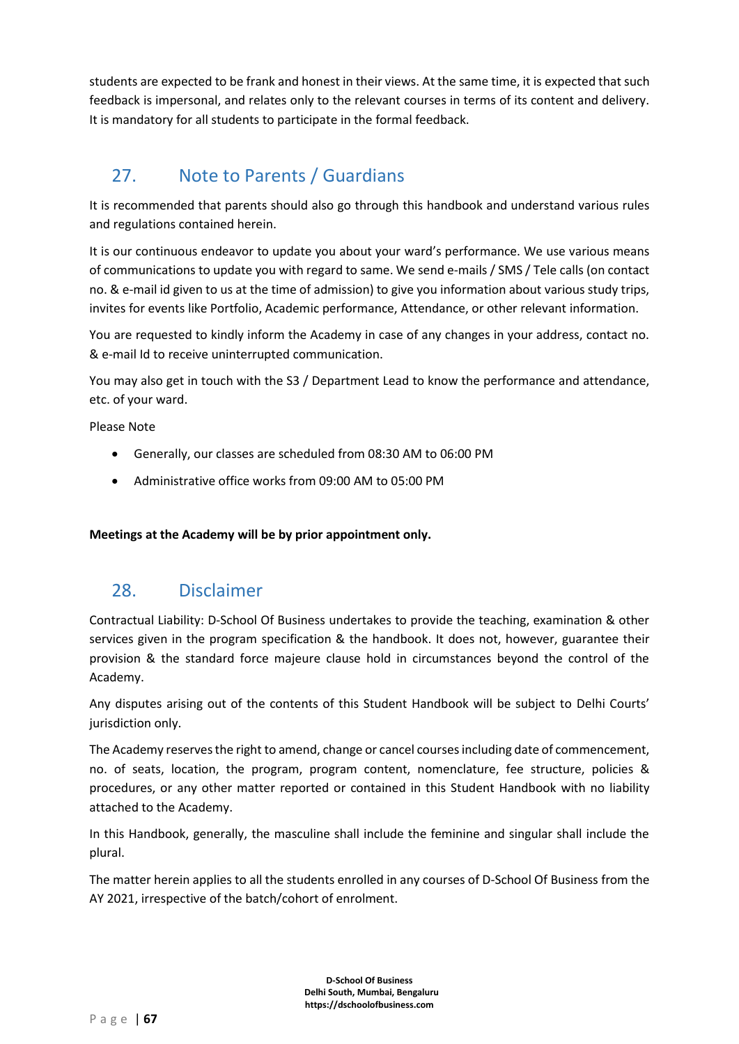students are expected to be frank and honest in their views. At the same time, it is expected that such feedback is impersonal, and relates only to the relevant courses in terms of its content and delivery. It is mandatory for all students to participate in the formal feedback.

# 27. Note to Parents / Guardians

It is recommended that parents should also go through this handbook and understand various rules and regulations contained herein.

It is our continuous endeavor to update you about your ward's performance. We use various means of communications to update you with regard to same. We send e-mails / SMS / Tele calls (on contact no. & e-mail id given to us at the time of admission) to give you information about various study trips, invites for events like Portfolio, Academic performance, Attendance, or other relevant information.

You are requested to kindly inform the Academy in case of any changes in your address, contact no. & e-mail Id to receive uninterrupted communication.

You may also get in touch with the S3 / Department Lead to know the performance and attendance, etc. of your ward.

Please Note

- Generally, our classes are scheduled from 08:30 AM to 06:00 PM
- Administrative office works from 09:00 AM to 05:00 PM

**Meetings at the Academy will be by prior appointment only.**

# 28. Disclaimer

Contractual Liability: D-School Of Business undertakes to provide the teaching, examination & other services given in the program specification & the handbook. It does not, however, guarantee their provision & the standard force majeure clause hold in circumstances beyond the control of the Academy.

Any disputes arising out of the contents of this Student Handbook will be subject to Delhi Courts' jurisdiction only.

The Academy reserves the right to amend, change or cancel courses including date of commencement, no. of seats, location, the program, program content, nomenclature, fee structure, policies & procedures, or any other matter reported or contained in this Student Handbook with no liability attached to the Academy.

In this Handbook, generally, the masculine shall include the feminine and singular shall include the plural.

The matter herein applies to all the students enrolled in any courses of D-School Of Business from the AY 2021, irrespective of the batch/cohort of enrolment.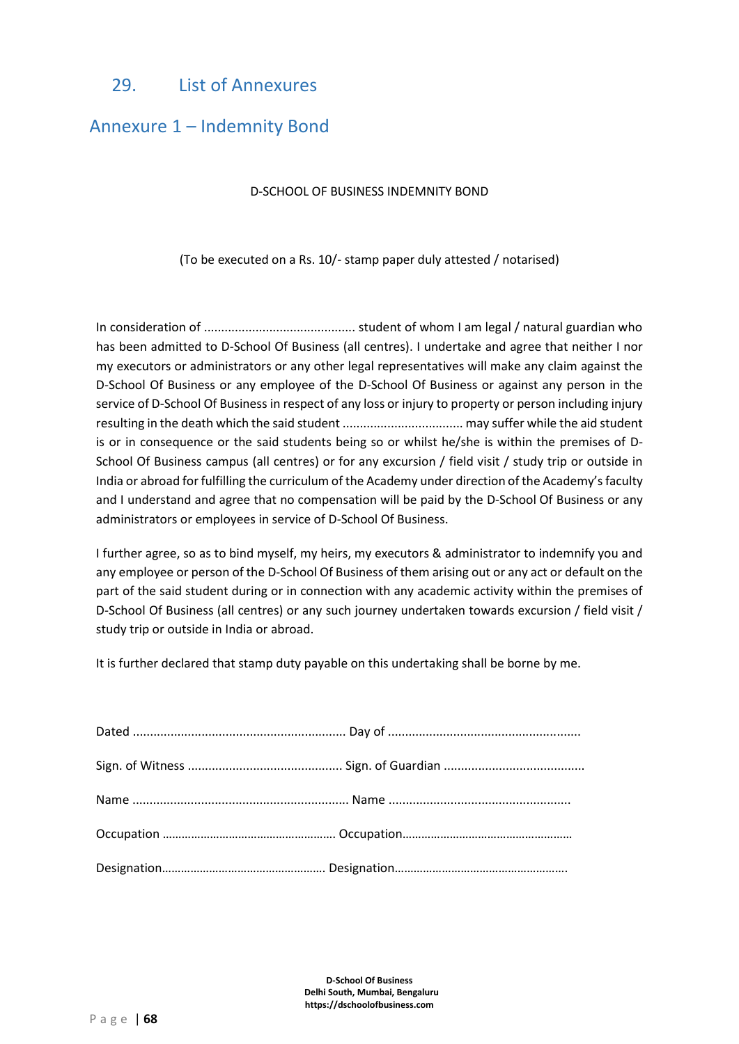# 29. List of Annexures

# <span id="page-67-0"></span>Annexure 1 – Indemnity Bond

#### D-SCHOOL OF BUSINESS INDEMNITY BOND

(To be executed on a Rs. 10/- stamp paper duly attested / notarised)

In consideration of ............................................ student of whom I am legal / natural guardian who has been admitted to D-School Of Business (all centres). I undertake and agree that neither I nor my executors or administrators or any other legal representatives will make any claim against the D-School Of Business or any employee of the D-School Of Business or against any person in the service of D-School Of Business in respect of any loss or injury to property or person including injury resulting in the death which the said student ................................... may suffer while the aid student is or in consequence or the said students being so or whilst he/she is within the premises of D-School Of Business campus (all centres) or for any excursion / field visit / study trip or outside in India or abroad for fulfilling the curriculum of the Academy under direction of the Academy's faculty and I understand and agree that no compensation will be paid by the D-School Of Business or any administrators or employees in service of D-School Of Business.

I further agree, so as to bind myself, my heirs, my executors & administrator to indemnify you and any employee or person of the D-School Of Business of them arising out or any act or default on the part of the said student during or in connection with any academic activity within the premises of D-School Of Business (all centres) or any such journey undertaken towards excursion / field visit / study trip or outside in India or abroad.

It is further declared that stamp duty payable on this undertaking shall be borne by me.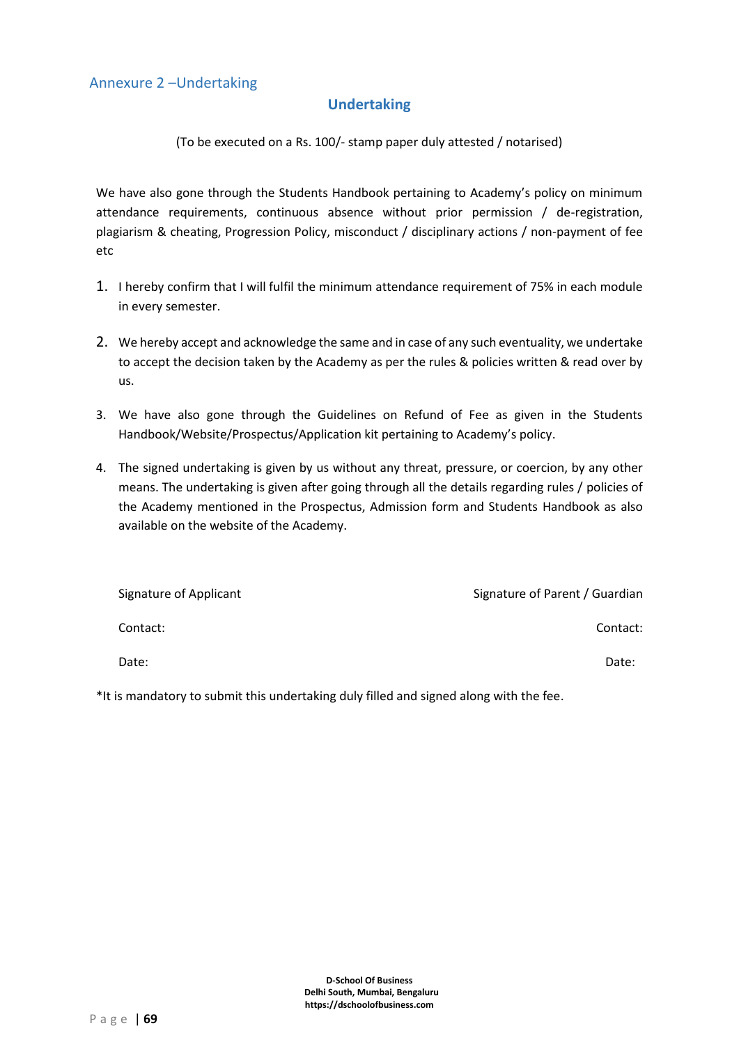### **Undertaking**

<span id="page-68-0"></span>(To be executed on a Rs. 100/- stamp paper duly attested / notarised)

We have also gone through the Students Handbook pertaining to Academy's policy on minimum attendance requirements, continuous absence without prior permission / de-registration, plagiarism & cheating, Progression Policy, misconduct / disciplinary actions / non-payment of fee etc

- 1. I hereby confirm that I will fulfil the minimum attendance requirement of 75% in each module in every semester.
- 2. We hereby accept and acknowledge the same and in case of any such eventuality, we undertake to accept the decision taken by the Academy as per the rules & policies written & read over by us.
- 3. We have also gone through the Guidelines on Refund of Fee as given in the Students Handbook/Website/Prospectus/Application kit pertaining to Academy's policy.
- 4. The signed undertaking is given by us without any threat, pressure, or coercion, by any other means. The undertaking is given after going through all the details regarding rules / policies of the Academy mentioned in the Prospectus, Admission form and Students Handbook as also available on the website of the Academy.

| Signature of Applicant | Signature of Parent / Guardian |
|------------------------|--------------------------------|
| Contact:               | Contact:                       |
| Date:                  | Date:                          |

\*It is mandatory to submit this undertaking duly filled and signed along with the fee.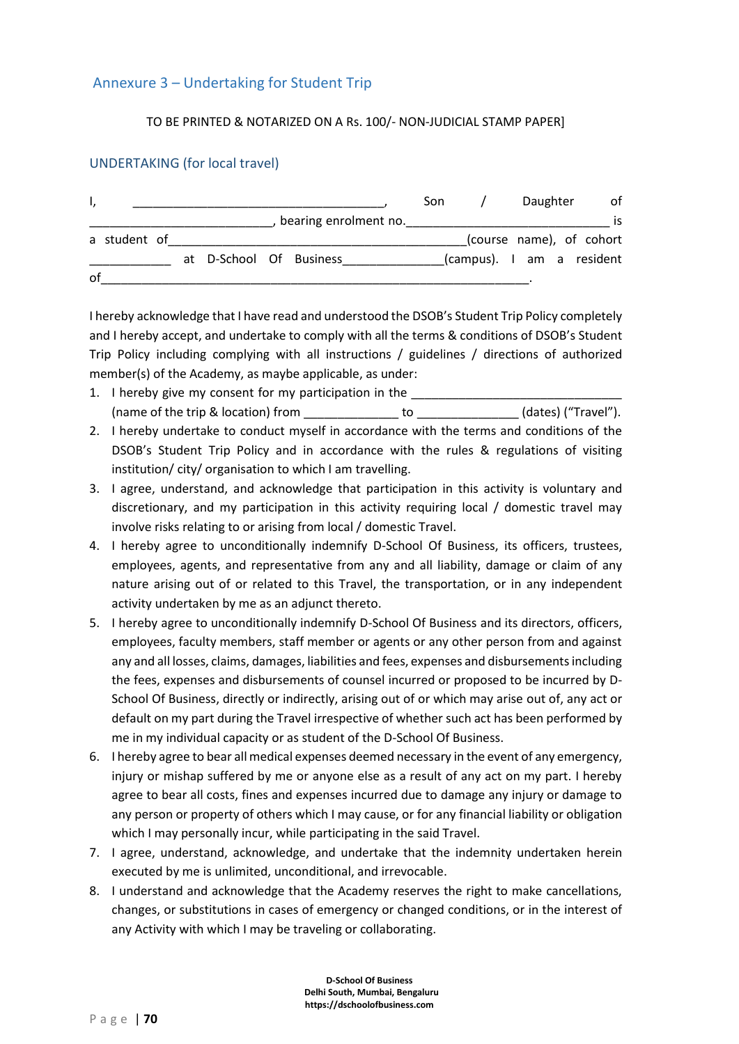### Annexure 3 – Undertaking for Student Trip

#### TO BE PRINTED & NOTARIZED ON A Rs. 100/- NON-JUDICIAL STAMP PAPER]

#### UNDERTAKING (for local travel)

| Ι, |              |  |                         | Son |                           | Daughter                 | of  |
|----|--------------|--|-------------------------|-----|---------------------------|--------------------------|-----|
|    |              |  | bearing enrolment no.   |     |                           |                          | IS. |
|    | a student of |  |                         |     |                           | (course name), of cohort |     |
|    |              |  | at D-School Of Business |     | (campus). I am a resident |                          |     |
| 0f |              |  |                         |     |                           |                          |     |

I hereby acknowledge that I have read and understood the DSOB's Student Trip Policy completely and I hereby accept, and undertake to comply with all the terms & conditions of DSOB's Student Trip Policy including complying with all instructions / guidelines / directions of authorized member(s) of the Academy, as maybe applicable, as under:

- 1. I hereby give my consent for my participation in the (name of the trip & location) from  $\qquad \qquad$  to  $\qquad \qquad$  (dates) ("Travel").
- 2. I hereby undertake to conduct myself in accordance with the terms and conditions of the DSOB's Student Trip Policy and in accordance with the rules & regulations of visiting institution/ city/ organisation to which I am travelling.
- 3. I agree, understand, and acknowledge that participation in this activity is voluntary and discretionary, and my participation in this activity requiring local / domestic travel may involve risks relating to or arising from local / domestic Travel.
- 4. I hereby agree to unconditionally indemnify D-School Of Business, its officers, trustees, employees, agents, and representative from any and all liability, damage or claim of any nature arising out of or related to this Travel, the transportation, or in any independent activity undertaken by me as an adjunct thereto.
- 5. I hereby agree to unconditionally indemnify D-School Of Business and its directors, officers, employees, faculty members, staff member or agents or any other person from and against any and all losses, claims, damages, liabilities and fees, expenses and disbursements including the fees, expenses and disbursements of counsel incurred or proposed to be incurred by D-School Of Business, directly or indirectly, arising out of or which may arise out of, any act or default on my part during the Travel irrespective of whether such act has been performed by me in my individual capacity or as student of the D-School Of Business.
- 6. I hereby agree to bear all medical expenses deemed necessary in the event of any emergency, injury or mishap suffered by me or anyone else as a result of any act on my part. I hereby agree to bear all costs, fines and expenses incurred due to damage any injury or damage to any person or property of others which I may cause, or for any financial liability or obligation which I may personally incur, while participating in the said Travel.
- 7. I agree, understand, acknowledge, and undertake that the indemnity undertaken herein executed by me is unlimited, unconditional, and irrevocable.
- 8. I understand and acknowledge that the Academy reserves the right to make cancellations, changes, or substitutions in cases of emergency or changed conditions, or in the interest of any Activity with which I may be traveling or collaborating.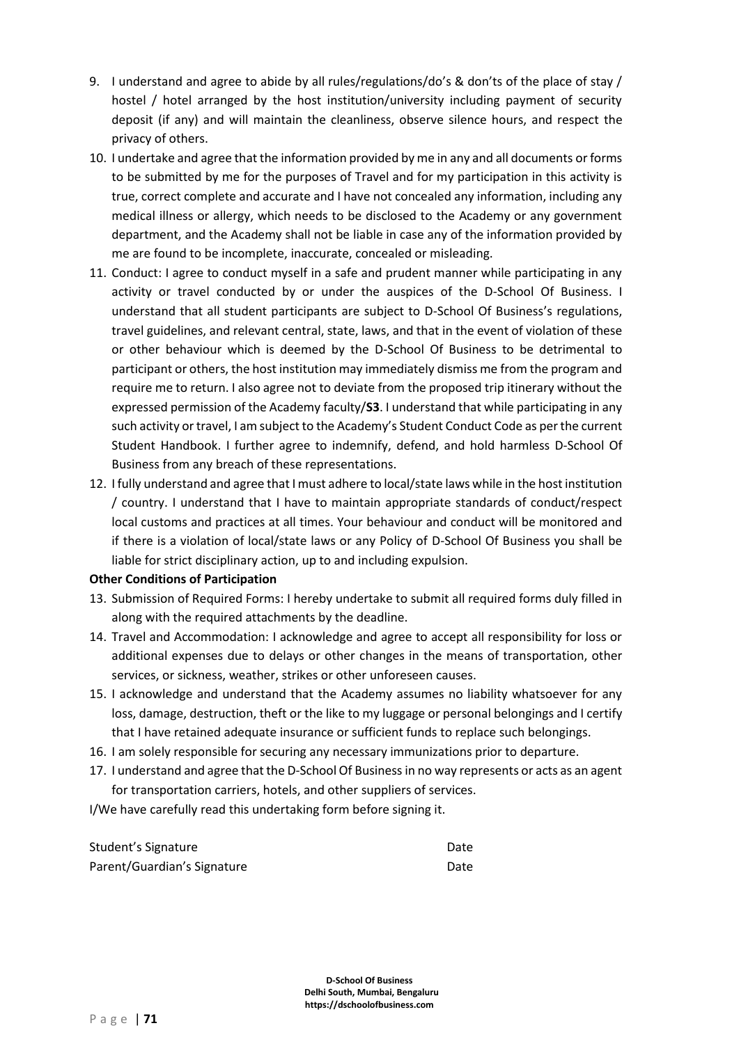- 9. I understand and agree to abide by all rules/regulations/do's & don'ts of the place of stay / hostel / hotel arranged by the host institution/university including payment of security deposit (if any) and will maintain the cleanliness, observe silence hours, and respect the privacy of others.
- 10. I undertake and agree that the information provided by me in any and all documents or forms to be submitted by me for the purposes of Travel and for my participation in this activity is true, correct complete and accurate and I have not concealed any information, including any medical illness or allergy, which needs to be disclosed to the Academy or any government department, and the Academy shall not be liable in case any of the information provided by me are found to be incomplete, inaccurate, concealed or misleading.
- 11. Conduct: I agree to conduct myself in a safe and prudent manner while participating in any activity or travel conducted by or under the auspices of the D-School Of Business. I understand that all student participants are subject to D-School Of Business's regulations, travel guidelines, and relevant central, state, laws, and that in the event of violation of these or other behaviour which is deemed by the D-School Of Business to be detrimental to participant or others, the host institution may immediately dismiss me from the program and require me to return. I also agree not to deviate from the proposed trip itinerary without the expressed permission of the Academy faculty/**S3**. I understand that while participating in any such activity or travel, I am subject to the Academy's Student Conduct Code as per the current Student Handbook. I further agree to indemnify, defend, and hold harmless D-School Of Business from any breach of these representations.
- 12. I fully understand and agree that I must adhere to local/state laws while in the host institution / country. I understand that I have to maintain appropriate standards of conduct/respect local customs and practices at all times. Your behaviour and conduct will be monitored and if there is a violation of local/state laws or any Policy of D-School Of Business you shall be liable for strict disciplinary action, up to and including expulsion.

#### **Other Conditions of Participation**

- 13. Submission of Required Forms: I hereby undertake to submit all required forms duly filled in along with the required attachments by the deadline.
- 14. Travel and Accommodation: I acknowledge and agree to accept all responsibility for loss or additional expenses due to delays or other changes in the means of transportation, other services, or sickness, weather, strikes or other unforeseen causes.
- 15. I acknowledge and understand that the Academy assumes no liability whatsoever for any loss, damage, destruction, theft or the like to my luggage or personal belongings and I certify that I have retained adequate insurance or sufficient funds to replace such belongings.
- 16. I am solely responsible for securing any necessary immunizations prior to departure.
- 17. I understand and agree that the D-School Of Businessin no way represents or acts as an agent for transportation carriers, hotels, and other suppliers of services.

I/We have carefully read this undertaking form before signing it.

| Student's Signature         | Date |
|-----------------------------|------|
| Parent/Guardian's Signature | Date |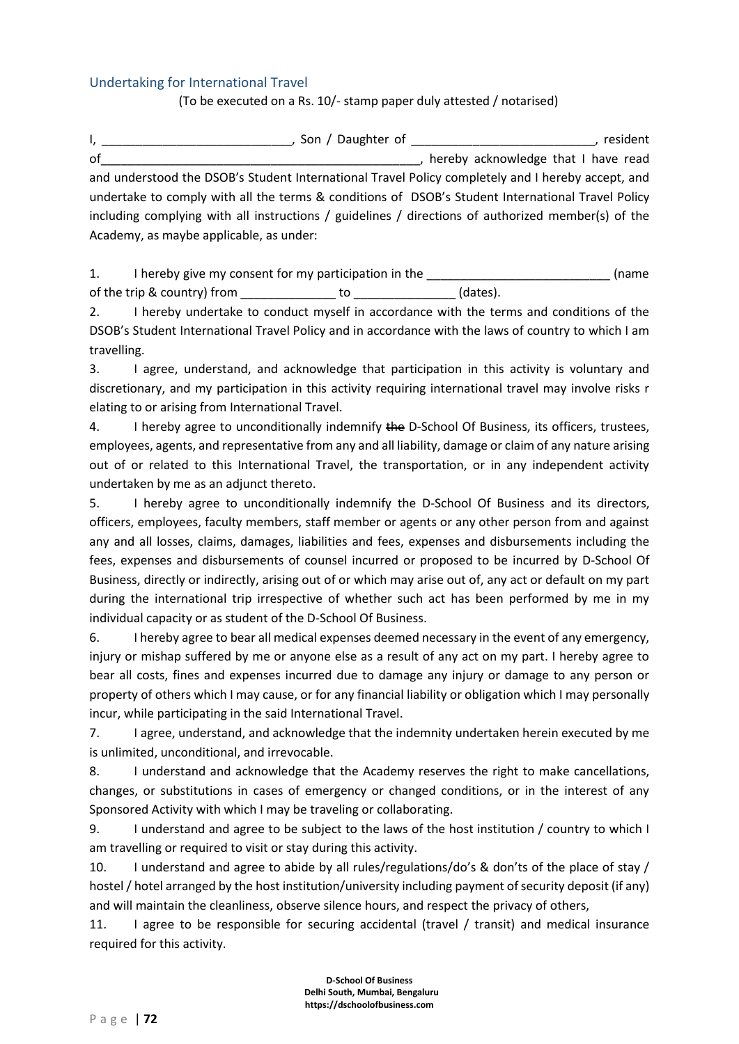### <span id="page-71-0"></span>Undertaking for International Travel

(To be executed on a Rs. 10/- stamp paper duly attested / notarised)

I, \_\_\_\_\_\_\_\_\_\_\_\_\_\_\_\_\_\_\_\_\_\_\_\_\_\_\_\_\_\_\_\_, Son / Daughter of \_\_\_\_\_\_\_\_\_\_\_\_\_\_\_\_\_\_\_\_\_\_\_\_\_\_\_\_\_\_\_\_\_\_, resident of the contract of the contract of the contract of the contract of the contract of the contract of the contract of the contract of the contract of the contract of the contract of the contract of the contract of the contrac and understood the DSOB's Student International Travel Policy completely and I hereby accept, and undertake to comply with all the terms & conditions of DSOB's Student International Travel Policy including complying with all instructions / guidelines / directions of authorized member(s) of the Academy, as maybe applicable, as under:

1. I hereby give my consent for my participation in the \_\_\_\_\_\_\_\_\_\_\_\_\_\_\_\_\_\_\_\_\_\_\_\_\_ (name of the trip & country) from to to the trip & country of the trip & country of the trip and the trip and the tri

2. I hereby undertake to conduct myself in accordance with the terms and conditions of the DSOB's Student International Travel Policy and in accordance with the laws of country to which I am travelling.

3. I agree, understand, and acknowledge that participation in this activity is voluntary and discretionary, and my participation in this activity requiring international travel may involve risks r elating to or arising from International Travel.

4. I hereby agree to unconditionally indemnify the D-School Of Business, its officers, trustees, employees, agents, and representative from any and all liability, damage or claim of any nature arising out of or related to this International Travel, the transportation, or in any independent activity undertaken by me as an adjunct thereto.

5. I hereby agree to unconditionally indemnify the D-School Of Business and its directors, officers, employees, faculty members, staff member or agents or any other person from and against any and all losses, claims, damages, liabilities and fees, expenses and disbursements including the fees, expenses and disbursements of counsel incurred or proposed to be incurred by D-School Of Business, directly or indirectly, arising out of or which may arise out of, any act or default on my part during the international trip irrespective of whether such act has been performed by me in my individual capacity or as student of the D-School Of Business.

6. I hereby agree to bear all medical expenses deemed necessary in the event of any emergency, injury or mishap suffered by me or anyone else as a result of any act on my part. I hereby agree to bear all costs, fines and expenses incurred due to damage any injury or damage to any person or property of others which I may cause, or for any financial liability or obligation which I may personally incur, while participating in the said International Travel.

7. I agree, understand, and acknowledge that the indemnity undertaken herein executed by me is unlimited, unconditional, and irrevocable.

8. I understand and acknowledge that the Academy reserves the right to make cancellations, changes, or substitutions in cases of emergency or changed conditions, or in the interest of any Sponsored Activity with which I may be traveling or collaborating.

9. I understand and agree to be subject to the laws of the host institution / country to which I am travelling or required to visit or stay during this activity.

10. I understand and agree to abide by all rules/regulations/do's & don'ts of the place of stay / hostel / hotel arranged by the host institution/university including payment of security deposit (if any) and will maintain the cleanliness, observe silence hours, and respect the privacy of others,

11. I agree to be responsible for securing accidental (travel / transit) and medical insurance required for this activity.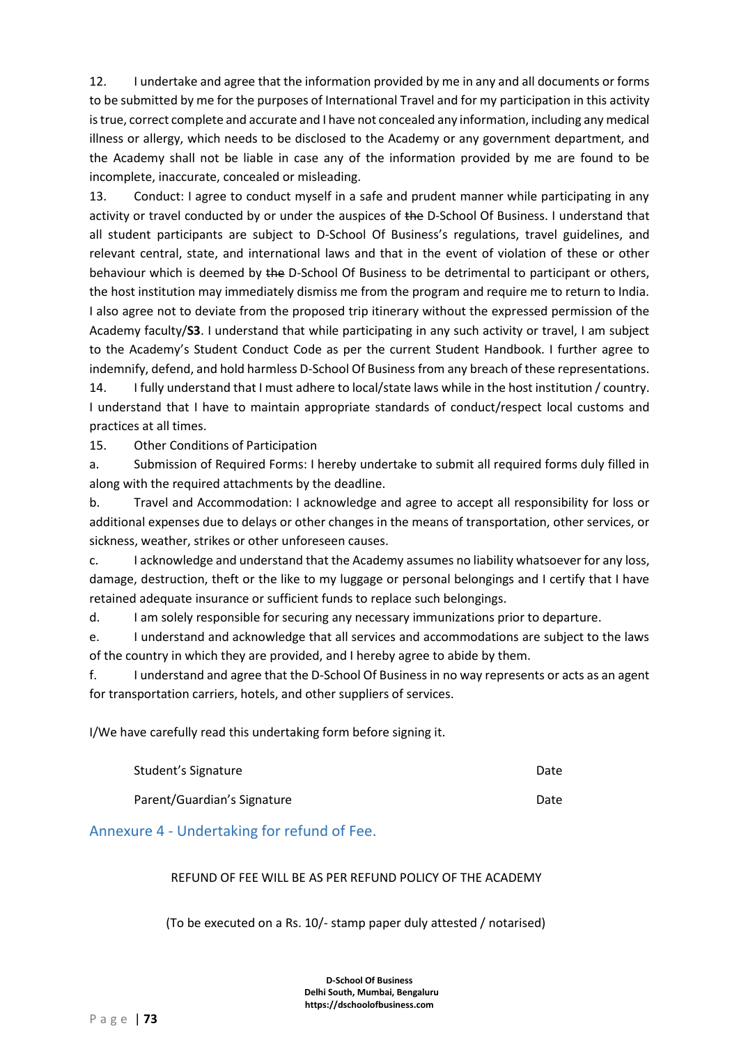12. I undertake and agree that the information provided by me in any and all documents or forms to be submitted by me for the purposes of International Travel and for my participation in this activity is true, correct complete and accurate and I have not concealed any information, including any medical illness or allergy, which needs to be disclosed to the Academy or any government department, and the Academy shall not be liable in case any of the information provided by me are found to be incomplete, inaccurate, concealed or misleading.

13. Conduct: I agree to conduct myself in a safe and prudent manner while participating in any activity or travel conducted by or under the auspices of the D-School Of Business. I understand that all student participants are subject to D-School Of Business's regulations, travel guidelines, and relevant central, state, and international laws and that in the event of violation of these or other behaviour which is deemed by the D-School Of Business to be detrimental to participant or others, the host institution may immediately dismiss me from the program and require me to return to India. I also agree not to deviate from the proposed trip itinerary without the expressed permission of the Academy faculty/**S3**. I understand that while participating in any such activity or travel, I am subject to the Academy's Student Conduct Code as per the current Student Handbook. I further agree to indemnify, defend, and hold harmless D-School Of Business from any breach of these representations.

14. I fully understand that I must adhere to local/state laws while in the host institution / country. I understand that I have to maintain appropriate standards of conduct/respect local customs and practices at all times.

15. Other Conditions of Participation

a. Submission of Required Forms: I hereby undertake to submit all required forms duly filled in along with the required attachments by the deadline.

b. Travel and Accommodation: I acknowledge and agree to accept all responsibility for loss or additional expenses due to delays or other changes in the means of transportation, other services, or sickness, weather, strikes or other unforeseen causes.

c. I acknowledge and understand that the Academy assumes no liability whatsoever for any loss, damage, destruction, theft or the like to my luggage or personal belongings and I certify that I have retained adequate insurance or sufficient funds to replace such belongings.

d. I am solely responsible for securing any necessary immunizations prior to departure.

e. I understand and acknowledge that all services and accommodations are subject to the laws of the country in which they are provided, and I hereby agree to abide by them.

f. I understand and agree that the D-School Of Business in no way represents or acts as an agent for transportation carriers, hotels, and other suppliers of services.

I/We have carefully read this undertaking form before signing it.

| Student's Signature         | Date |
|-----------------------------|------|
| Parent/Guardian's Signature | Date |

Annexure 4 - Undertaking for refund of Fee.

#### REFUND OF FEE WILL BE AS PER REFUND POLICY OF THE ACADEMY

(To be executed on a Rs. 10/- stamp paper duly attested / notarised)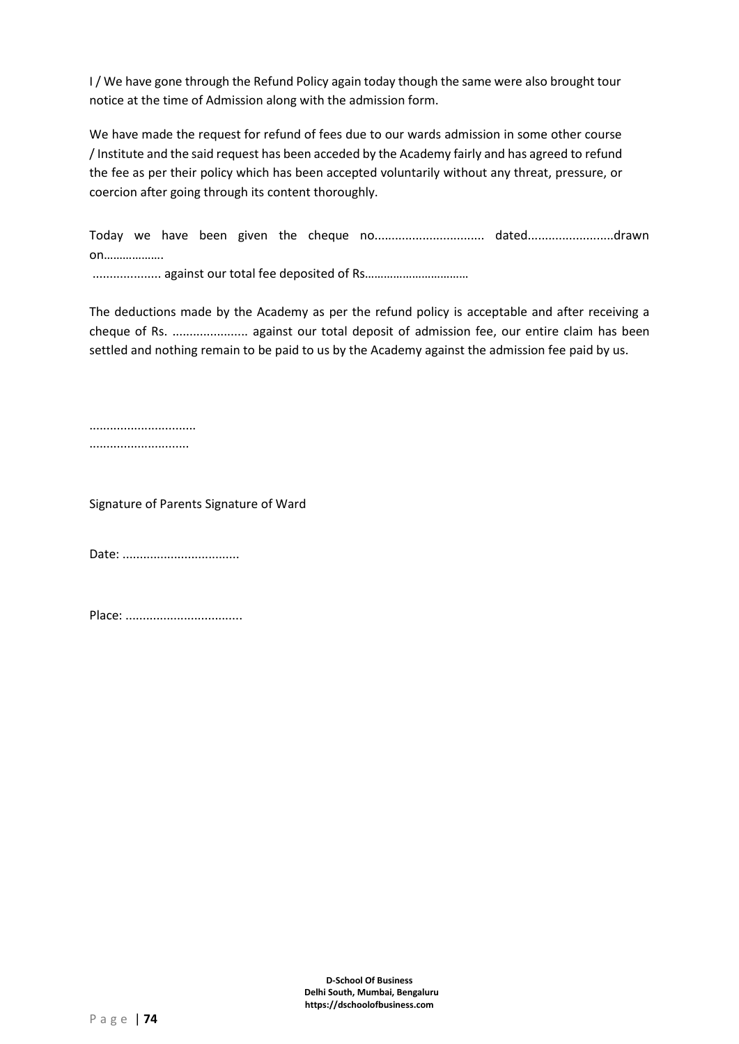I/We have gone through the Refund Policy again today though the same were also brought tour notice at the time of Admission along with the admission form.

We have made the request for refund of fees due to our wards admission in some other course / Institute and the said request has been acceded by the Academy fairly and has agreed to refund the fee as per their policy which has been accepted voluntarily without any threat, pressure, or coercion after going through its content thoroughly.

Today we have been given the cheque no................................ dated........................drawn on………………. .................... against our total fee deposited of Rs……………………………

The deductions made by the Academy as per the refund policy is acceptable and after receiving a cheque of Rs. ...................... against our total deposit of admission fee, our entire claim has been settled and nothing remain to be paid to us by the Academy against the admission fee paid by us.

...............................

.............................

Signature of Parents Signature of Ward

Date: ..................................

Place: ..................................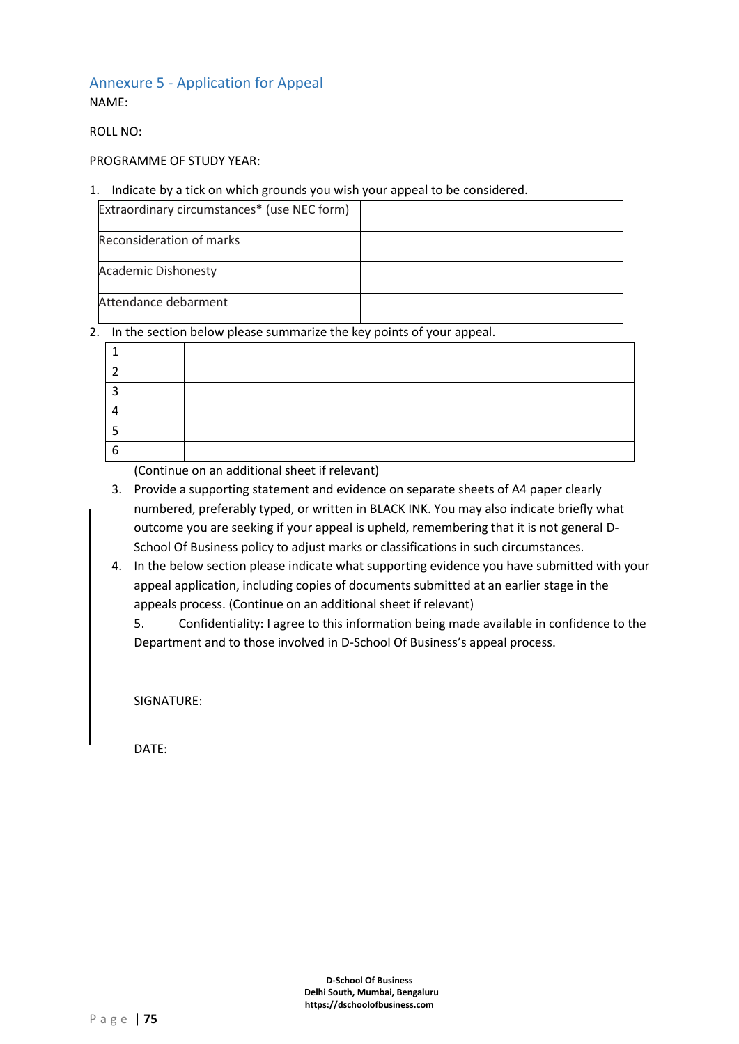# Annexure 5 - Application for Appeal

NAME:

ROLL NO:

# PROGRAMME OF STUDY YEAR:

## 1. Indicate by a tick on which grounds you wish your appeal to be considered.

| Extraordinary circumstances* (use NEC form) |  |
|---------------------------------------------|--|
| Reconsideration of marks                    |  |
| <b>Academic Dishonesty</b>                  |  |
| Attendance debarment                        |  |

## 2. In the section below please summarize the key points of your appeal.

| O |  |
|---|--|

(Continue on an additional sheet if relevant)

- 3. Provide a supporting statement and evidence on separate sheets of A4 paper clearly numbered, preferably typed, or written in BLACK INK. You may also indicate briefly what outcome you are seeking if your appeal is upheld, remembering that it is not general D-School Of Business policy to adjust marks or classifications in such circumstances.
- 4. In the below section please indicate what supporting evidence you have submitted with your appeal application, including copies of documents submitted at an earlier stage in the appeals process. (Continue on an additional sheet if relevant)

5. Confidentiality: I agree to this information being made available in confidence to the Department and to those involved in D-School Of Business's appeal process.

SIGNATURE:

DATE: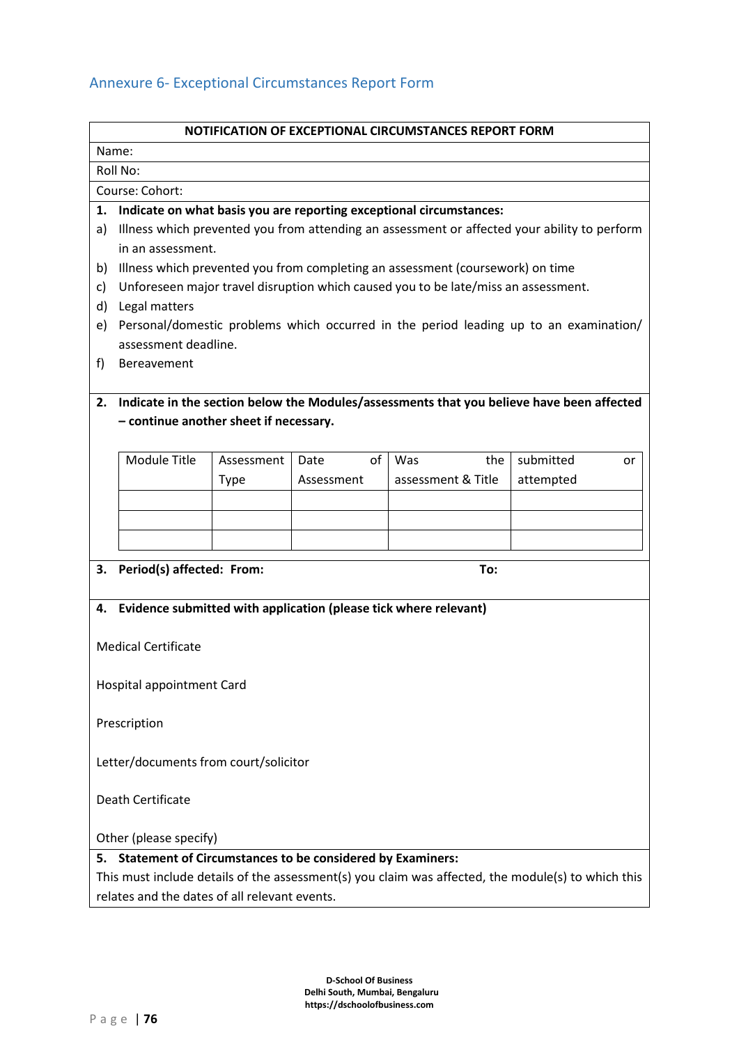# Annexure 6- Exceptional Circumstances Report Form

| NOTIFICATION OF EXCEPTIONAL CIRCUMSTANCES REPORT FORM                  |                                                                                              |             |            |                                                                                |                                                                                                    |  |  |  |
|------------------------------------------------------------------------|----------------------------------------------------------------------------------------------|-------------|------------|--------------------------------------------------------------------------------|----------------------------------------------------------------------------------------------------|--|--|--|
|                                                                        | Name:                                                                                        |             |            |                                                                                |                                                                                                    |  |  |  |
|                                                                        | Roll No:                                                                                     |             |            |                                                                                |                                                                                                    |  |  |  |
| Course: Cohort:                                                        |                                                                                              |             |            |                                                                                |                                                                                                    |  |  |  |
| 1.                                                                     | Indicate on what basis you are reporting exceptional circumstances:                          |             |            |                                                                                |                                                                                                    |  |  |  |
| a)                                                                     | Illness which prevented you from attending an assessment or affected your ability to perform |             |            |                                                                                |                                                                                                    |  |  |  |
|                                                                        | in an assessment.                                                                            |             |            |                                                                                |                                                                                                    |  |  |  |
| b)                                                                     |                                                                                              |             |            | Illness which prevented you from completing an assessment (coursework) on time |                                                                                                    |  |  |  |
| c)                                                                     | Unforeseen major travel disruption which caused you to be late/miss an assessment.           |             |            |                                                                                |                                                                                                    |  |  |  |
| d)                                                                     | Legal matters                                                                                |             |            |                                                                                |                                                                                                    |  |  |  |
| e)                                                                     | Personal/domestic problems which occurred in the period leading up to an examination/        |             |            |                                                                                |                                                                                                    |  |  |  |
|                                                                        | assessment deadline.                                                                         |             |            |                                                                                |                                                                                                    |  |  |  |
| f)                                                                     | Bereavement                                                                                  |             |            |                                                                                |                                                                                                    |  |  |  |
|                                                                        |                                                                                              |             |            |                                                                                |                                                                                                    |  |  |  |
| 2.                                                                     | Indicate in the section below the Modules/assessments that you believe have been affected    |             |            |                                                                                |                                                                                                    |  |  |  |
|                                                                        | - continue another sheet if necessary.                                                       |             |            |                                                                                |                                                                                                    |  |  |  |
|                                                                        |                                                                                              |             |            |                                                                                |                                                                                                    |  |  |  |
|                                                                        | <b>Module Title</b>                                                                          | Assessment  | of<br>Date | Was<br>the                                                                     | submitted<br>or                                                                                    |  |  |  |
|                                                                        |                                                                                              | <b>Type</b> | Assessment | assessment & Title                                                             | attempted                                                                                          |  |  |  |
|                                                                        |                                                                                              |             |            |                                                                                |                                                                                                    |  |  |  |
|                                                                        |                                                                                              |             |            |                                                                                |                                                                                                    |  |  |  |
|                                                                        |                                                                                              |             |            |                                                                                |                                                                                                    |  |  |  |
|                                                                        |                                                                                              |             |            | To:                                                                            |                                                                                                    |  |  |  |
| 3.                                                                     | Period(s) affected: From:                                                                    |             |            |                                                                                |                                                                                                    |  |  |  |
|                                                                        |                                                                                              |             |            | Evidence submitted with application (please tick where relevant)               |                                                                                                    |  |  |  |
| 4.                                                                     |                                                                                              |             |            |                                                                                |                                                                                                    |  |  |  |
|                                                                        | <b>Medical Certificate</b>                                                                   |             |            |                                                                                |                                                                                                    |  |  |  |
|                                                                        |                                                                                              |             |            |                                                                                |                                                                                                    |  |  |  |
|                                                                        | <b>Hospital appointment Card</b>                                                             |             |            |                                                                                |                                                                                                    |  |  |  |
|                                                                        |                                                                                              |             |            |                                                                                |                                                                                                    |  |  |  |
| Prescription                                                           |                                                                                              |             |            |                                                                                |                                                                                                    |  |  |  |
|                                                                        |                                                                                              |             |            |                                                                                |                                                                                                    |  |  |  |
|                                                                        |                                                                                              |             |            |                                                                                |                                                                                                    |  |  |  |
|                                                                        | Letter/documents from court/solicitor                                                        |             |            |                                                                                |                                                                                                    |  |  |  |
|                                                                        | Death Certificate                                                                            |             |            |                                                                                |                                                                                                    |  |  |  |
|                                                                        |                                                                                              |             |            |                                                                                |                                                                                                    |  |  |  |
| Other (please specify)                                                 |                                                                                              |             |            |                                                                                |                                                                                                    |  |  |  |
| <b>Statement of Circumstances to be considered by Examiners:</b><br>5. |                                                                                              |             |            |                                                                                |                                                                                                    |  |  |  |
|                                                                        |                                                                                              |             |            |                                                                                | This must include details of the assessment(s) you claim was affected, the module(s) to which this |  |  |  |
|                                                                        |                                                                                              |             |            |                                                                                |                                                                                                    |  |  |  |
|                                                                        | relates and the dates of all relevant events.                                                |             |            |                                                                                |                                                                                                    |  |  |  |